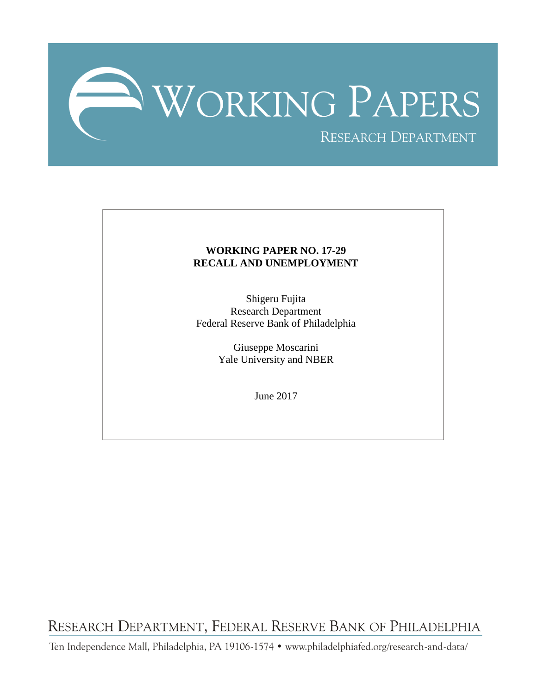

### **WORKING PAPER NO. 17-29 RECALL AND UNEMPLOYMENT**

Shigeru Fujita Research Department Federal Reserve Bank of Philadelphia

> Giuseppe Moscarini Yale University and NBER

> > June 2017

RESEARCH DEPARTMENT, FEDERAL RESERVE BANK OF PHILADELPHIA

Ten Independence Mall, Philadelphia, PA 19106-1574 · www.philadelphiafed.org/research-and-data/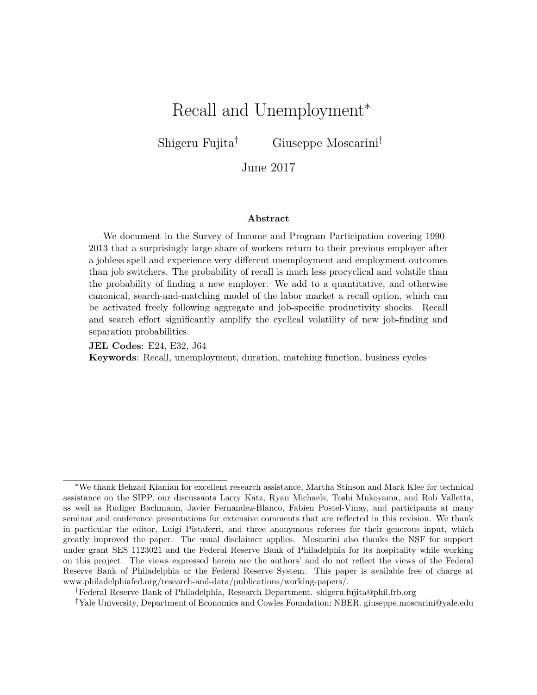# Recall and Unemployment<sup>∗</sup>

Shigeru Fujita† Giuseppe Moscarini‡

June 2017

#### Abstract

We document in the Survey of Income and Program Participation covering 1990- 2013 that a surprisingly large share of workers return to their previous employer after a jobless spell and experience very different unemployment and employment outcomes than job switchers. The probability of recall is much less procyclical and volatile than the probability of finding a new employer. We add to a quantitative, and otherwise canonical, search-and-matching model of the labor market a recall option, which can be activated freely following aggregate and job-specific productivity shocks. Recall and search effort significantly amplify the cyclical volatility of new job-finding and separation probabilities.

JEL Codes: E24, E32, J64 Keywords: Recall, unemployment, duration, matching function, business cycles

†Federal Reserve Bank of Philadelphia, Research Department. shigeru.fujita@phil.frb.org

<sup>∗</sup>We thank Behzad Kianian for excellent research assistance, Martha Stinson and Mark Klee for technical assistance on the SIPP, our discussants Larry Katz, Ryan Michaels, Toshi Mukoyama, and Rob Valletta, as well as Rudiger Bachmann, Javier Fernandez-Blanco, Fabien Postel-Vinay, and participants at many seminar and conference presentations for extensive comments that are reflected in this revision. We thank in particular the editor, Luigi Pistaferri, and three anonymous referees for their generous input, which greatly improved the paper. The usual disclaimer applies. Moscarini also thanks the NSF for support under grant SES 1123021 and the Federal Reserve Bank of Philadelphia for its hospitality while working on this project. The views expressed herein are the authors' and do not reflect the views of the Federal Reserve Bank of Philadelphia or the Federal Reserve System. This paper is available free of charge at www.philadelphiafed.org/research-and-data/publications/working-papers/.

<sup>‡</sup>Yale University, Department of Economics and Cowles Foundation; NBER. giuseppe.moscarini@yale.edu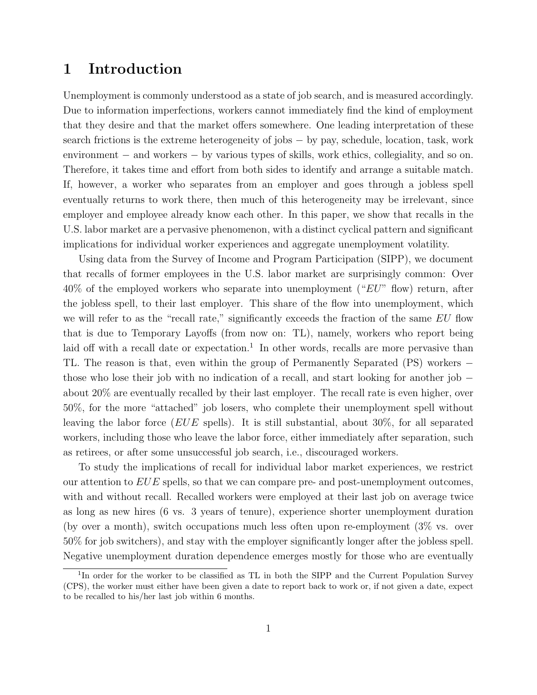### 1 Introduction

Unemployment is commonly understood as a state of job search, and is measured accordingly. Due to information imperfections, workers cannot immediately find the kind of employment that they desire and that the market offers somewhere. One leading interpretation of these search frictions is the extreme heterogeneity of jobs − by pay, schedule, location, task, work environment − and workers − by various types of skills, work ethics, collegiality, and so on. Therefore, it takes time and effort from both sides to identify and arrange a suitable match. If, however, a worker who separates from an employer and goes through a jobless spell eventually returns to work there, then much of this heterogeneity may be irrelevant, since employer and employee already know each other. In this paper, we show that recalls in the U.S. labor market are a pervasive phenomenon, with a distinct cyclical pattern and significant implications for individual worker experiences and aggregate unemployment volatility.

Using data from the Survey of Income and Program Participation (SIPP), we document that recalls of former employees in the U.S. labor market are surprisingly common: Over  $40\%$  of the employed workers who separate into unemployment (" $EU$ " flow) return, after the jobless spell, to their last employer. This share of the flow into unemployment, which we will refer to as the "recall rate," significantly exceeds the fraction of the same EU flow that is due to Temporary Layoffs (from now on: TL), namely, workers who report being laid off with a recall date or expectation.<sup>1</sup> In other words, recalls are more pervasive than TL. The reason is that, even within the group of Permanently Separated (PS) workers − those who lose their job with no indication of a recall, and start looking for another job − about 20% are eventually recalled by their last employer. The recall rate is even higher, over 50%, for the more "attached" job losers, who complete their unemployment spell without leaving the labor force ( $EUE$  spells). It is still substantial, about 30%, for all separated workers, including those who leave the labor force, either immediately after separation, such as retirees, or after some unsuccessful job search, i.e., discouraged workers.

To study the implications of recall for individual labor market experiences, we restrict our attention to  $EUE$  spells, so that we can compare pre- and post-unemployment outcomes, with and without recall. Recalled workers were employed at their last job on average twice as long as new hires (6 vs. 3 years of tenure), experience shorter unemployment duration (by over a month), switch occupations much less often upon re-employment (3% vs. over 50% for job switchers), and stay with the employer significantly longer after the jobless spell. Negative unemployment duration dependence emerges mostly for those who are eventually

<sup>&</sup>lt;sup>1</sup>In order for the worker to be classified as TL in both the SIPP and the Current Population Survey (CPS), the worker must either have been given a date to report back to work or, if not given a date, expect to be recalled to his/her last job within 6 months.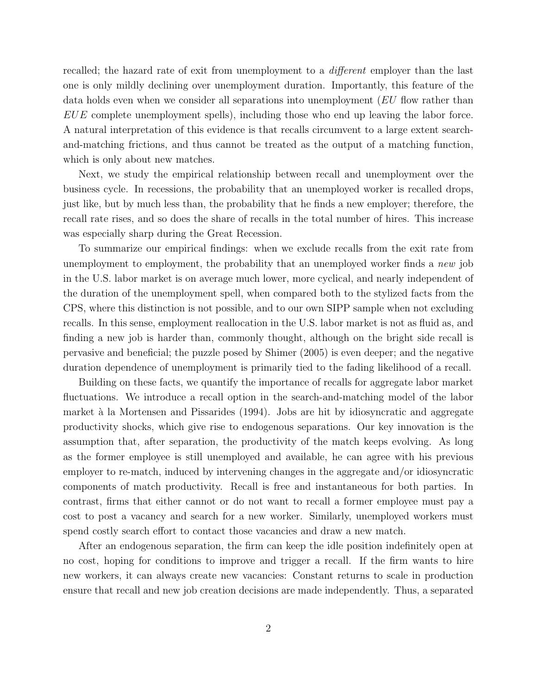recalled; the hazard rate of exit from unemployment to a *different* employer than the last one is only mildly declining over unemployment duration. Importantly, this feature of the data holds even when we consider all separations into unemployment (EU flow rather than  $EUE$  complete unemployment spells), including those who end up leaving the labor force. A natural interpretation of this evidence is that recalls circumvent to a large extent searchand-matching frictions, and thus cannot be treated as the output of a matching function, which is only about new matches.

Next, we study the empirical relationship between recall and unemployment over the business cycle. In recessions, the probability that an unemployed worker is recalled drops, just like, but by much less than, the probability that he finds a new employer; therefore, the recall rate rises, and so does the share of recalls in the total number of hires. This increase was especially sharp during the Great Recession.

To summarize our empirical findings: when we exclude recalls from the exit rate from unemployment to employment, the probability that an unemployed worker finds a new job in the U.S. labor market is on average much lower, more cyclical, and nearly independent of the duration of the unemployment spell, when compared both to the stylized facts from the CPS, where this distinction is not possible, and to our own SIPP sample when not excluding recalls. In this sense, employment reallocation in the U.S. labor market is not as fluid as, and finding a new job is harder than, commonly thought, although on the bright side recall is pervasive and beneficial; the puzzle posed by Shimer (2005) is even deeper; and the negative duration dependence of unemployment is primarily tied to the fading likelihood of a recall.

Building on these facts, we quantify the importance of recalls for aggregate labor market fluctuations. We introduce a recall option in the search-and-matching model of the labor market à la Mortensen and Pissarides (1994). Jobs are hit by idiosyncratic and aggregate productivity shocks, which give rise to endogenous separations. Our key innovation is the assumption that, after separation, the productivity of the match keeps evolving. As long as the former employee is still unemployed and available, he can agree with his previous employer to re-match, induced by intervening changes in the aggregate and/or idiosyncratic components of match productivity. Recall is free and instantaneous for both parties. In contrast, firms that either cannot or do not want to recall a former employee must pay a cost to post a vacancy and search for a new worker. Similarly, unemployed workers must spend costly search effort to contact those vacancies and draw a new match.

After an endogenous separation, the firm can keep the idle position indefinitely open at no cost, hoping for conditions to improve and trigger a recall. If the firm wants to hire new workers, it can always create new vacancies: Constant returns to scale in production ensure that recall and new job creation decisions are made independently. Thus, a separated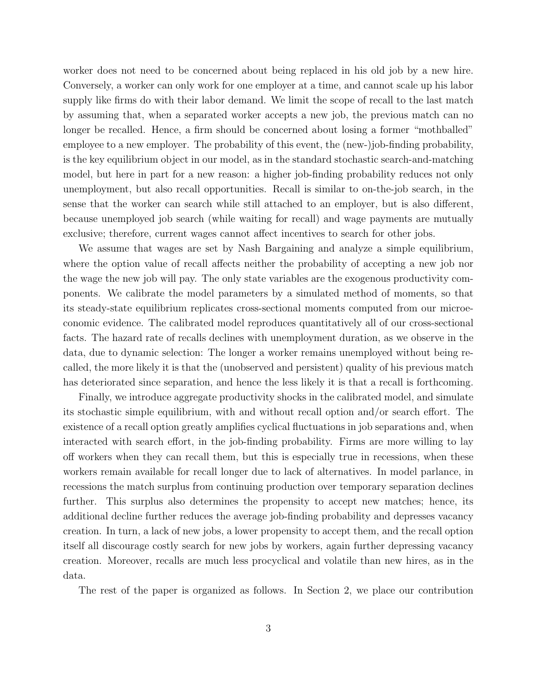worker does not need to be concerned about being replaced in his old job by a new hire. Conversely, a worker can only work for one employer at a time, and cannot scale up his labor supply like firms do with their labor demand. We limit the scope of recall to the last match by assuming that, when a separated worker accepts a new job, the previous match can no longer be recalled. Hence, a firm should be concerned about losing a former "mothballed" employee to a new employer. The probability of this event, the (new-)job-finding probability, is the key equilibrium object in our model, as in the standard stochastic search-and-matching model, but here in part for a new reason: a higher job-finding probability reduces not only unemployment, but also recall opportunities. Recall is similar to on-the-job search, in the sense that the worker can search while still attached to an employer, but is also different, because unemployed job search (while waiting for recall) and wage payments are mutually exclusive; therefore, current wages cannot affect incentives to search for other jobs.

We assume that wages are set by Nash Bargaining and analyze a simple equilibrium, where the option value of recall affects neither the probability of accepting a new job nor the wage the new job will pay. The only state variables are the exogenous productivity components. We calibrate the model parameters by a simulated method of moments, so that its steady-state equilibrium replicates cross-sectional moments computed from our microeconomic evidence. The calibrated model reproduces quantitatively all of our cross-sectional facts. The hazard rate of recalls declines with unemployment duration, as we observe in the data, due to dynamic selection: The longer a worker remains unemployed without being recalled, the more likely it is that the (unobserved and persistent) quality of his previous match has deteriorated since separation, and hence the less likely it is that a recall is forthcoming.

Finally, we introduce aggregate productivity shocks in the calibrated model, and simulate its stochastic simple equilibrium, with and without recall option and/or search effort. The existence of a recall option greatly amplifies cyclical fluctuations in job separations and, when interacted with search effort, in the job-finding probability. Firms are more willing to lay off workers when they can recall them, but this is especially true in recessions, when these workers remain available for recall longer due to lack of alternatives. In model parlance, in recessions the match surplus from continuing production over temporary separation declines further. This surplus also determines the propensity to accept new matches; hence, its additional decline further reduces the average job-finding probability and depresses vacancy creation. In turn, a lack of new jobs, a lower propensity to accept them, and the recall option itself all discourage costly search for new jobs by workers, again further depressing vacancy creation. Moreover, recalls are much less procyclical and volatile than new hires, as in the data.

The rest of the paper is organized as follows. In Section 2, we place our contribution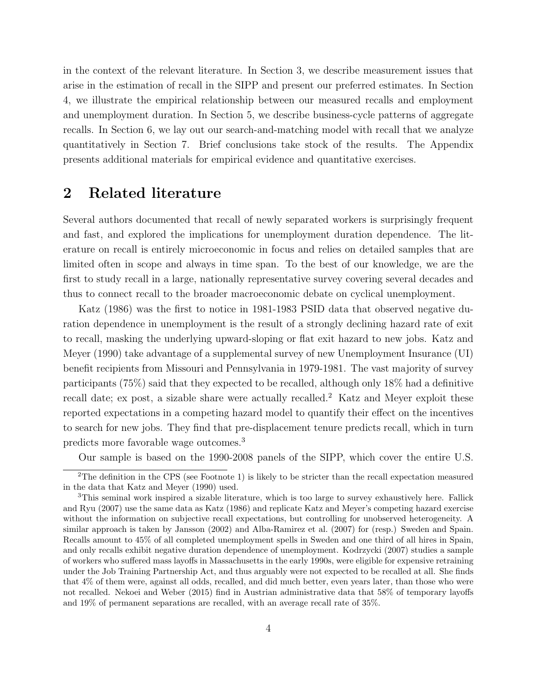in the context of the relevant literature. In Section 3, we describe measurement issues that arise in the estimation of recall in the SIPP and present our preferred estimates. In Section 4, we illustrate the empirical relationship between our measured recalls and employment and unemployment duration. In Section 5, we describe business-cycle patterns of aggregate recalls. In Section 6, we lay out our search-and-matching model with recall that we analyze quantitatively in Section 7. Brief conclusions take stock of the results. The Appendix presents additional materials for empirical evidence and quantitative exercises.

## 2 Related literature

Several authors documented that recall of newly separated workers is surprisingly frequent and fast, and explored the implications for unemployment duration dependence. The literature on recall is entirely microeconomic in focus and relies on detailed samples that are limited often in scope and always in time span. To the best of our knowledge, we are the first to study recall in a large, nationally representative survey covering several decades and thus to connect recall to the broader macroeconomic debate on cyclical unemployment.

Katz (1986) was the first to notice in 1981-1983 PSID data that observed negative duration dependence in unemployment is the result of a strongly declining hazard rate of exit to recall, masking the underlying upward-sloping or flat exit hazard to new jobs. Katz and Meyer (1990) take advantage of a supplemental survey of new Unemployment Insurance (UI) benefit recipients from Missouri and Pennsylvania in 1979-1981. The vast majority of survey participants (75%) said that they expected to be recalled, although only 18% had a definitive recall date; ex post, a sizable share were actually recalled.<sup>2</sup> Katz and Meyer exploit these reported expectations in a competing hazard model to quantify their effect on the incentives to search for new jobs. They find that pre-displacement tenure predicts recall, which in turn predicts more favorable wage outcomes.<sup>3</sup>

Our sample is based on the 1990-2008 panels of the SIPP, which cover the entire U.S.

<sup>2</sup>The definition in the CPS (see Footnote 1) is likely to be stricter than the recall expectation measured in the data that Katz and Meyer (1990) used.

<sup>3</sup>This seminal work inspired a sizable literature, which is too large to survey exhaustively here. Fallick and Ryu (2007) use the same data as Katz (1986) and replicate Katz and Meyer's competing hazard exercise without the information on subjective recall expectations, but controlling for unobserved heterogeneity. A similar approach is taken by Jansson (2002) and Alba-Ramirez et al. (2007) for (resp.) Sweden and Spain. Recalls amount to 45% of all completed unemployment spells in Sweden and one third of all hires in Spain, and only recalls exhibit negative duration dependence of unemployment. Kodrzycki (2007) studies a sample of workers who suffered mass layoffs in Massachusetts in the early 1990s, were eligible for expensive retraining under the Job Training Partnership Act, and thus arguably were not expected to be recalled at all. She finds that 4% of them were, against all odds, recalled, and did much better, even years later, than those who were not recalled. Nekoei and Weber (2015) find in Austrian administrative data that 58% of temporary layoffs and 19% of permanent separations are recalled, with an average recall rate of 35%.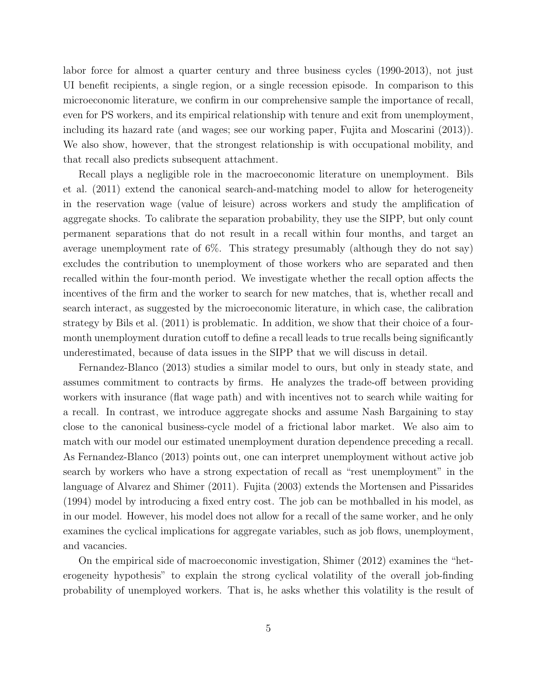labor force for almost a quarter century and three business cycles (1990-2013), not just UI benefit recipients, a single region, or a single recession episode. In comparison to this microeconomic literature, we confirm in our comprehensive sample the importance of recall, even for PS workers, and its empirical relationship with tenure and exit from unemployment, including its hazard rate (and wages; see our working paper, Fujita and Moscarini (2013)). We also show, however, that the strongest relationship is with occupational mobility, and that recall also predicts subsequent attachment.

Recall plays a negligible role in the macroeconomic literature on unemployment. Bils et al. (2011) extend the canonical search-and-matching model to allow for heterogeneity in the reservation wage (value of leisure) across workers and study the amplification of aggregate shocks. To calibrate the separation probability, they use the SIPP, but only count permanent separations that do not result in a recall within four months, and target an average unemployment rate of 6%. This strategy presumably (although they do not say) excludes the contribution to unemployment of those workers who are separated and then recalled within the four-month period. We investigate whether the recall option affects the incentives of the firm and the worker to search for new matches, that is, whether recall and search interact, as suggested by the microeconomic literature, in which case, the calibration strategy by Bils et al. (2011) is problematic. In addition, we show that their choice of a fourmonth unemployment duration cutoff to define a recall leads to true recalls being significantly underestimated, because of data issues in the SIPP that we will discuss in detail.

Fernandez-Blanco (2013) studies a similar model to ours, but only in steady state, and assumes commitment to contracts by firms. He analyzes the trade-off between providing workers with insurance (flat wage path) and with incentives not to search while waiting for a recall. In contrast, we introduce aggregate shocks and assume Nash Bargaining to stay close to the canonical business-cycle model of a frictional labor market. We also aim to match with our model our estimated unemployment duration dependence preceding a recall. As Fernandez-Blanco (2013) points out, one can interpret unemployment without active job search by workers who have a strong expectation of recall as "rest unemployment" in the language of Alvarez and Shimer (2011). Fujita (2003) extends the Mortensen and Pissarides (1994) model by introducing a fixed entry cost. The job can be mothballed in his model, as in our model. However, his model does not allow for a recall of the same worker, and he only examines the cyclical implications for aggregate variables, such as job flows, unemployment, and vacancies.

On the empirical side of macroeconomic investigation, Shimer (2012) examines the "heterogeneity hypothesis" to explain the strong cyclical volatility of the overall job-finding probability of unemployed workers. That is, he asks whether this volatility is the result of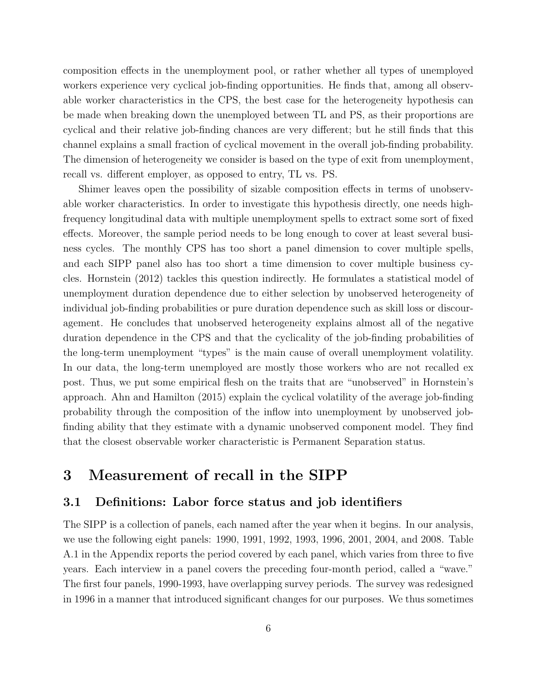composition effects in the unemployment pool, or rather whether all types of unemployed workers experience very cyclical job-finding opportunities. He finds that, among all observable worker characteristics in the CPS, the best case for the heterogeneity hypothesis can be made when breaking down the unemployed between TL and PS, as their proportions are cyclical and their relative job-finding chances are very different; but he still finds that this channel explains a small fraction of cyclical movement in the overall job-finding probability. The dimension of heterogeneity we consider is based on the type of exit from unemployment, recall vs. different employer, as opposed to entry, TL vs. PS.

Shimer leaves open the possibility of sizable composition effects in terms of unobservable worker characteristics. In order to investigate this hypothesis directly, one needs highfrequency longitudinal data with multiple unemployment spells to extract some sort of fixed effects. Moreover, the sample period needs to be long enough to cover at least several business cycles. The monthly CPS has too short a panel dimension to cover multiple spells, and each SIPP panel also has too short a time dimension to cover multiple business cycles. Hornstein (2012) tackles this question indirectly. He formulates a statistical model of unemployment duration dependence due to either selection by unobserved heterogeneity of individual job-finding probabilities or pure duration dependence such as skill loss or discouragement. He concludes that unobserved heterogeneity explains almost all of the negative duration dependence in the CPS and that the cyclicality of the job-finding probabilities of the long-term unemployment "types" is the main cause of overall unemployment volatility. In our data, the long-term unemployed are mostly those workers who are not recalled ex post. Thus, we put some empirical flesh on the traits that are "unobserved" in Hornstein's approach. Ahn and Hamilton (2015) explain the cyclical volatility of the average job-finding probability through the composition of the inflow into unemployment by unobserved jobfinding ability that they estimate with a dynamic unobserved component model. They find that the closest observable worker characteristic is Permanent Separation status.

### 3 Measurement of recall in the SIPP

#### 3.1 Definitions: Labor force status and job identifiers

The SIPP is a collection of panels, each named after the year when it begins. In our analysis, we use the following eight panels: 1990, 1991, 1992, 1993, 1996, 2001, 2004, and 2008. Table A.1 in the Appendix reports the period covered by each panel, which varies from three to five years. Each interview in a panel covers the preceding four-month period, called a "wave." The first four panels, 1990-1993, have overlapping survey periods. The survey was redesigned in 1996 in a manner that introduced significant changes for our purposes. We thus sometimes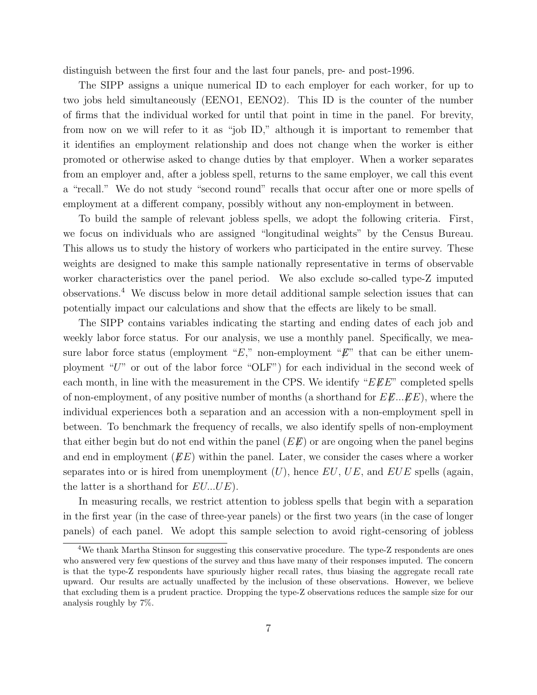distinguish between the first four and the last four panels, pre- and post-1996.

The SIPP assigns a unique numerical ID to each employer for each worker, for up to two jobs held simultaneously (EENO1, EENO2). This ID is the counter of the number of firms that the individual worked for until that point in time in the panel. For brevity, from now on we will refer to it as "job ID," although it is important to remember that it identifies an employment relationship and does not change when the worker is either promoted or otherwise asked to change duties by that employer. When a worker separates from an employer and, after a jobless spell, returns to the same employer, we call this event a "recall." We do not study "second round" recalls that occur after one or more spells of employment at a different company, possibly without any non-employment in between.

To build the sample of relevant jobless spells, we adopt the following criteria. First, we focus on individuals who are assigned "longitudinal weights" by the Census Bureau. This allows us to study the history of workers who participated in the entire survey. These weights are designed to make this sample nationally representative in terms of observable worker characteristics over the panel period. We also exclude so-called type-Z imputed observations.<sup>4</sup> We discuss below in more detail additional sample selection issues that can potentially impact our calculations and show that the effects are likely to be small.

The SIPP contains variables indicating the starting and ending dates of each job and weekly labor force status. For our analysis, we use a monthly panel. Specifically, we measure labor force status (employment " $E$ ," non-employment " $E$ " that can be either unemployment "U" or out of the labor force "OLF") for each individual in the second week of each month, in line with the measurement in the CPS. We identify " $E\cancel{E}E$ " completed spells of non-employment, of any positive number of months (a shorthand for  $E\mathscr{L}$ ... $\mathscr{L}E$ ), where the individual experiences both a separation and an accession with a non-employment spell in between. To benchmark the frequency of recalls, we also identify spells of non-employment that either begin but do not end within the panel  $(EE)$  or are ongoing when the panel begins and end in employment  $(EE)$  within the panel. Later, we consider the cases where a worker separates into or is hired from unemployment  $(U)$ , hence EU, UE, and EUE spells (again, the latter is a shorthand for  $EU...UE$ .

In measuring recalls, we restrict attention to jobless spells that begin with a separation in the first year (in the case of three-year panels) or the first two years (in the case of longer panels) of each panel. We adopt this sample selection to avoid right-censoring of jobless

<sup>4</sup>We thank Martha Stinson for suggesting this conservative procedure. The type-Z respondents are ones who answered very few questions of the survey and thus have many of their responses imputed. The concern is that the type-Z respondents have spuriously higher recall rates, thus biasing the aggregate recall rate upward. Our results are actually unaffected by the inclusion of these observations. However, we believe that excluding them is a prudent practice. Dropping the type-Z observations reduces the sample size for our analysis roughly by 7%.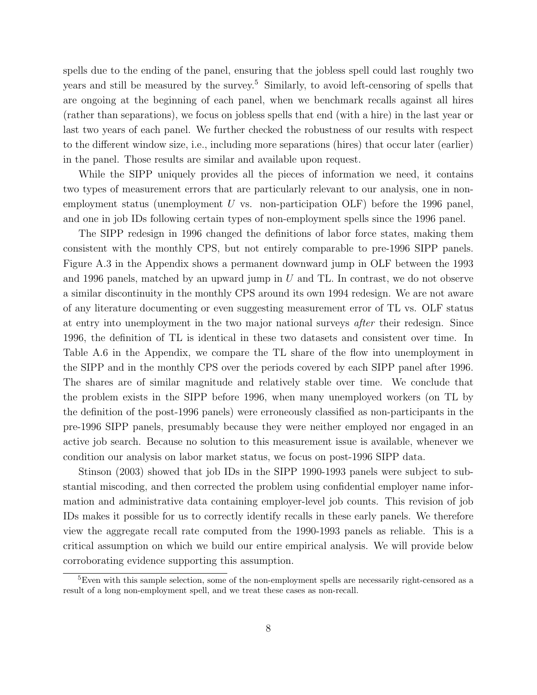spells due to the ending of the panel, ensuring that the jobless spell could last roughly two years and still be measured by the survey.<sup>5</sup> Similarly, to avoid left-censoring of spells that are ongoing at the beginning of each panel, when we benchmark recalls against all hires (rather than separations), we focus on jobless spells that end (with a hire) in the last year or last two years of each panel. We further checked the robustness of our results with respect to the different window size, i.e., including more separations (hires) that occur later (earlier) in the panel. Those results are similar and available upon request.

While the SIPP uniquely provides all the pieces of information we need, it contains two types of measurement errors that are particularly relevant to our analysis, one in nonemployment status (unemployment  $U$  vs. non-participation OLF) before the 1996 panel, and one in job IDs following certain types of non-employment spells since the 1996 panel.

The SIPP redesign in 1996 changed the definitions of labor force states, making them consistent with the monthly CPS, but not entirely comparable to pre-1996 SIPP panels. Figure A.3 in the Appendix shows a permanent downward jump in OLF between the 1993 and 1996 panels, matched by an upward jump in  $U$  and TL. In contrast, we do not observe a similar discontinuity in the monthly CPS around its own 1994 redesign. We are not aware of any literature documenting or even suggesting measurement error of TL vs. OLF status at entry into unemployment in the two major national surveys after their redesign. Since 1996, the definition of TL is identical in these two datasets and consistent over time. In Table A.6 in the Appendix, we compare the TL share of the flow into unemployment in the SIPP and in the monthly CPS over the periods covered by each SIPP panel after 1996. The shares are of similar magnitude and relatively stable over time. We conclude that the problem exists in the SIPP before 1996, when many unemployed workers (on TL by the definition of the post-1996 panels) were erroneously classified as non-participants in the pre-1996 SIPP panels, presumably because they were neither employed nor engaged in an active job search. Because no solution to this measurement issue is available, whenever we condition our analysis on labor market status, we focus on post-1996 SIPP data.

Stinson (2003) showed that job IDs in the SIPP 1990-1993 panels were subject to substantial miscoding, and then corrected the problem using confidential employer name information and administrative data containing employer-level job counts. This revision of job IDs makes it possible for us to correctly identify recalls in these early panels. We therefore view the aggregate recall rate computed from the 1990-1993 panels as reliable. This is a critical assumption on which we build our entire empirical analysis. We will provide below corroborating evidence supporting this assumption.

<sup>&</sup>lt;sup>5</sup>Even with this sample selection, some of the non-employment spells are necessarily right-censored as a result of a long non-employment spell, and we treat these cases as non-recall.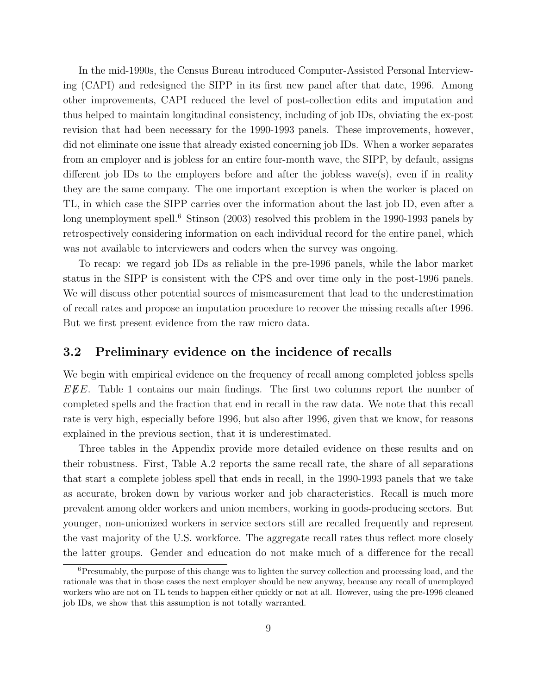In the mid-1990s, the Census Bureau introduced Computer-Assisted Personal Interviewing (CAPI) and redesigned the SIPP in its first new panel after that date, 1996. Among other improvements, CAPI reduced the level of post-collection edits and imputation and thus helped to maintain longitudinal consistency, including of job IDs, obviating the ex-post revision that had been necessary for the 1990-1993 panels. These improvements, however, did not eliminate one issue that already existed concerning job IDs. When a worker separates from an employer and is jobless for an entire four-month wave, the SIPP, by default, assigns different job IDs to the employers before and after the jobless wave(s), even if in reality they are the same company. The one important exception is when the worker is placed on TL, in which case the SIPP carries over the information about the last job ID, even after a long unemployment spell.<sup>6</sup> Stinson (2003) resolved this problem in the 1990-1993 panels by retrospectively considering information on each individual record for the entire panel, which was not available to interviewers and coders when the survey was ongoing.

To recap: we regard job IDs as reliable in the pre-1996 panels, while the labor market status in the SIPP is consistent with the CPS and over time only in the post-1996 panels. We will discuss other potential sources of mismeasurement that lead to the underestimation of recall rates and propose an imputation procedure to recover the missing recalls after 1996. But we first present evidence from the raw micro data.

#### 3.2 Preliminary evidence on the incidence of recalls

We begin with empirical evidence on the frequency of recall among completed jobless spells  $EEE$ . Table 1 contains our main findings. The first two columns report the number of completed spells and the fraction that end in recall in the raw data. We note that this recall rate is very high, especially before 1996, but also after 1996, given that we know, for reasons explained in the previous section, that it is underestimated.

Three tables in the Appendix provide more detailed evidence on these results and on their robustness. First, Table A.2 reports the same recall rate, the share of all separations that start a complete jobless spell that ends in recall, in the 1990-1993 panels that we take as accurate, broken down by various worker and job characteristics. Recall is much more prevalent among older workers and union members, working in goods-producing sectors. But younger, non-unionized workers in service sectors still are recalled frequently and represent the vast majority of the U.S. workforce. The aggregate recall rates thus reflect more closely the latter groups. Gender and education do not make much of a difference for the recall

<sup>&</sup>lt;sup>6</sup>Presumably, the purpose of this change was to lighten the survey collection and processing load, and the rationale was that in those cases the next employer should be new anyway, because any recall of unemployed workers who are not on TL tends to happen either quickly or not at all. However, using the pre-1996 cleaned job IDs, we show that this assumption is not totally warranted.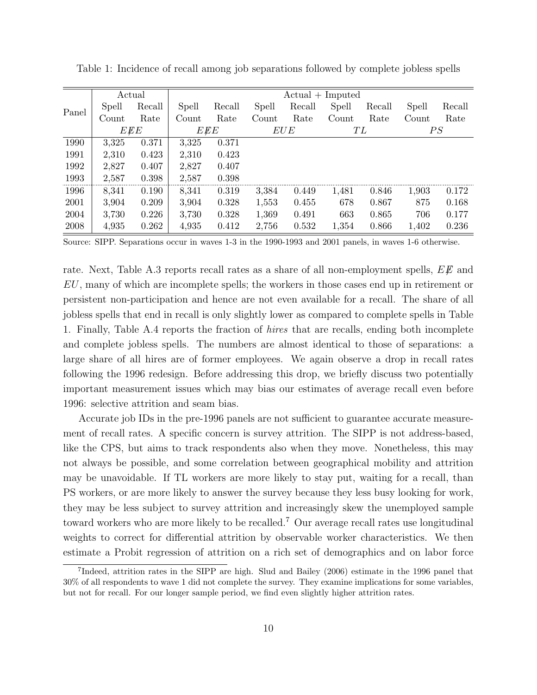|       | Actual |        | $Actual + Imputed$ |        |       |        |       |        |       |        |
|-------|--------|--------|--------------------|--------|-------|--------|-------|--------|-------|--------|
| Panel | Spell  | Recall | Spell              | Recall | Spell | Recall | Spell | Recall | Spell | Recall |
|       | Count  | Rate   | Count              | Rate   | Count | Rate   | Count | Rate   | Count | Rate   |
|       | EEE    |        | $E \rlap{\,/}E E$  |        | EUE   |        | ТL    |        | PS    |        |
| 1990  | 3,325  | 0.371  | 3,325              | 0.371  |       |        |       |        |       |        |
| 1991  | 2,310  | 0.423  | 2,310              | 0.423  |       |        |       |        |       |        |
| 1992  | 2,827  | 0.407  | 2,827              | 0.407  |       |        |       |        |       |        |
| 1993  | 2,587  | 0.398  | 2,587              | 0.398  |       |        |       |        |       |        |
| 1996  | 8,341  | 0.190  | 8,341              | 0.319  | 3,384 | 0.449  | 1,481 | 0.846  | 1,903 | 0.172  |
| 2001  | 3,904  | 0.209  | 3,904              | 0.328  | 1,553 | 0.455  | 678   | 0.867  | 875   | 0.168  |
| 2004  | 3,730  | 0.226  | 3,730              | 0.328  | 1,369 | 0.491  | 663   | 0.865  | 706   | 0.177  |
| 2008  | 4,935  | 0.262  | 4,935              | 0.412  | 2,756 | 0.532  | 1,354 | 0.866  | 1,402 | 0.236  |

Table 1: Incidence of recall among job separations followed by complete jobless spells

Source: SIPP. Separations occur in waves 1-3 in the 1990-1993 and 2001 panels, in waves 1-6 otherwise.

rate. Next, Table A.3 reports recall rates as a share of all non-employment spells,  $E\lll E$  and EU, many of which are incomplete spells; the workers in those cases end up in retirement or persistent non-participation and hence are not even available for a recall. The share of all jobless spells that end in recall is only slightly lower as compared to complete spells in Table 1. Finally, Table A.4 reports the fraction of hires that are recalls, ending both incomplete and complete jobless spells. The numbers are almost identical to those of separations: a large share of all hires are of former employees. We again observe a drop in recall rates following the 1996 redesign. Before addressing this drop, we briefly discuss two potentially important measurement issues which may bias our estimates of average recall even before 1996: selective attrition and seam bias.

Accurate job IDs in the pre-1996 panels are not sufficient to guarantee accurate measurement of recall rates. A specific concern is survey attrition. The SIPP is not address-based, like the CPS, but aims to track respondents also when they move. Nonetheless, this may not always be possible, and some correlation between geographical mobility and attrition may be unavoidable. If TL workers are more likely to stay put, waiting for a recall, than PS workers, or are more likely to answer the survey because they less busy looking for work, they may be less subject to survey attrition and increasingly skew the unemployed sample toward workers who are more likely to be recalled.<sup>7</sup> Our average recall rates use longitudinal weights to correct for differential attrition by observable worker characteristics. We then estimate a Probit regression of attrition on a rich set of demographics and on labor force

<sup>&</sup>lt;sup>7</sup>Indeed, attrition rates in the SIPP are high. Slud and Bailey (2006) estimate in the 1996 panel that 30% of all respondents to wave 1 did not complete the survey. They examine implications for some variables, but not for recall. For our longer sample period, we find even slightly higher attrition rates.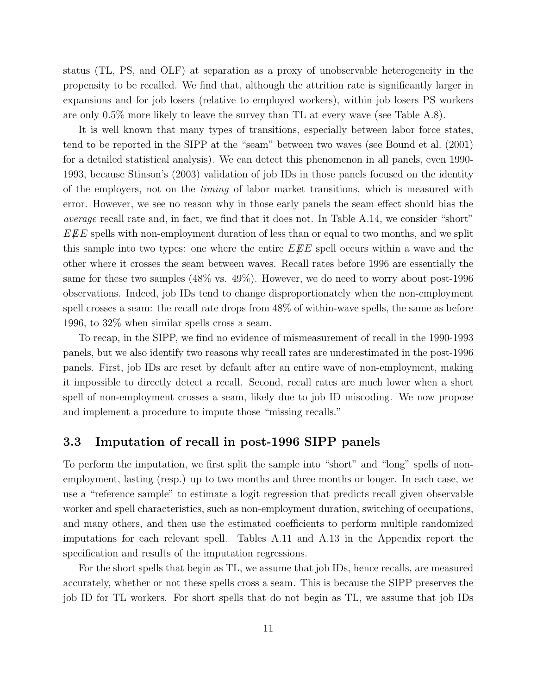status (TL, PS, and OLF) at separation as a proxy of unobservable heterogeneity in the propensity to be recalled. We find that, although the attrition rate is significantly larger in expansions and for job losers (relative to employed workers), within job losers PS workers are only 0.5% more likely to leave the survey than TL at every wave (see Table A.8).

It is well known that many types of transitions, especially between labor force states, tend to be reported in the SIPP at the "seam" between two waves (see Bound et al. (2001) for a detailed statistical analysis). We can detect this phenomenon in all panels, even 1990- 1993, because Stinson's (2003) validation of job IDs in those panels focused on the identity of the employers, not on the timing of labor market transitions, which is measured with error. However, we see no reason why in those early panels the seam effect should bias the average recall rate and, in fact, we find that it does not. In Table A.14, we consider "short"  $EEE$  spells with non-employment duration of less than or equal to two months, and we split this sample into two types: one where the entire  $E \not E E$  spell occurs within a wave and the other where it crosses the seam between waves. Recall rates before 1996 are essentially the same for these two samples (48% vs. 49%). However, we do need to worry about post-1996 observations. Indeed, job IDs tend to change disproportionately when the non-employment spell crosses a seam: the recall rate drops from 48% of within-wave spells, the same as before 1996, to 32% when similar spells cross a seam.

To recap, in the SIPP, we find no evidence of mismeasurement of recall in the 1990-1993 panels, but we also identify two reasons why recall rates are underestimated in the post-1996 panels. First, job IDs are reset by default after an entire wave of non-employment, making it impossible to directly detect a recall. Second, recall rates are much lower when a short spell of non-employment crosses a seam, likely due to job ID miscoding. We now propose and implement a procedure to impute those "missing recalls."

### 3.3 Imputation of recall in post-1996 SIPP panels

To perform the imputation, we first split the sample into "short" and "long" spells of nonemployment, lasting (resp.) up to two months and three months or longer. In each case, we use a "reference sample" to estimate a logit regression that predicts recall given observable worker and spell characteristics, such as non-employment duration, switching of occupations, and many others, and then use the estimated coefficients to perform multiple randomized imputations for each relevant spell. Tables A.11 and A.13 in the Appendix report the specification and results of the imputation regressions.

For the short spells that begin as TL, we assume that job IDs, hence recalls, are measured accurately, whether or not these spells cross a seam. This is because the SIPP preserves the job ID for TL workers. For short spells that do not begin as TL, we assume that job IDs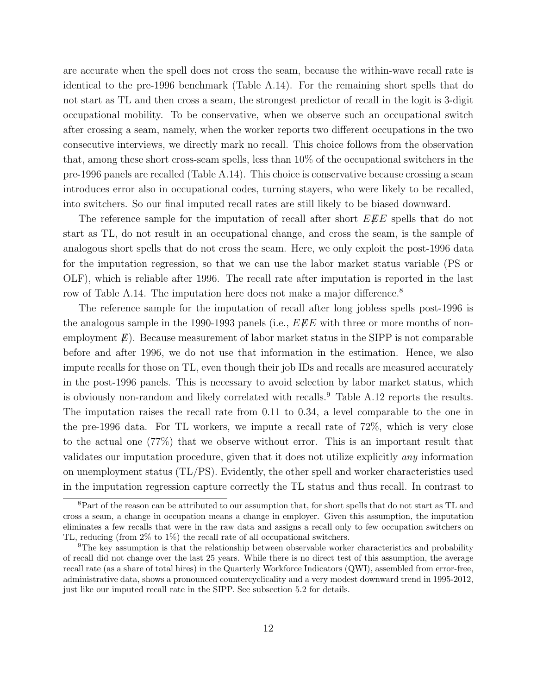are accurate when the spell does not cross the seam, because the within-wave recall rate is identical to the pre-1996 benchmark (Table A.14). For the remaining short spells that do not start as TL and then cross a seam, the strongest predictor of recall in the logit is 3-digit occupational mobility. To be conservative, when we observe such an occupational switch after crossing a seam, namely, when the worker reports two different occupations in the two consecutive interviews, we directly mark no recall. This choice follows from the observation that, among these short cross-seam spells, less than 10% of the occupational switchers in the pre-1996 panels are recalled (Table A.14). This choice is conservative because crossing a seam introduces error also in occupational codes, turning stayers, who were likely to be recalled, into switchers. So our final imputed recall rates are still likely to be biased downward.

The reference sample for the imputation of recall after short  $E\mathscr{L}E$  spells that do not start as TL, do not result in an occupational change, and cross the seam, is the sample of analogous short spells that do not cross the seam. Here, we only exploit the post-1996 data for the imputation regression, so that we can use the labor market status variable (PS or OLF), which is reliable after 1996. The recall rate after imputation is reported in the last row of Table A.14. The imputation here does not make a major difference.<sup>8</sup>

The reference sample for the imputation of recall after long jobless spells post-1996 is the analogous sample in the 1990-1993 panels (i.e.,  $E\ddot{E}E$  with three or more months of nonemployment  $E$ ). Because measurement of labor market status in the SIPP is not comparable before and after 1996, we do not use that information in the estimation. Hence, we also impute recalls for those on TL, even though their job IDs and recalls are measured accurately in the post-1996 panels. This is necessary to avoid selection by labor market status, which is obviously non-random and likely correlated with recalls.<sup>9</sup> Table A.12 reports the results. The imputation raises the recall rate from 0.11 to 0.34, a level comparable to the one in the pre-1996 data. For TL workers, we impute a recall rate of 72%, which is very close to the actual one (77%) that we observe without error. This is an important result that validates our imputation procedure, given that it does not utilize explicitly any information on unemployment status (TL/PS). Evidently, the other spell and worker characteristics used in the imputation regression capture correctly the TL status and thus recall. In contrast to

<sup>8</sup>Part of the reason can be attributed to our assumption that, for short spells that do not start as TL and cross a seam, a change in occupation means a change in employer. Given this assumption, the imputation eliminates a few recalls that were in the raw data and assigns a recall only to few occupation switchers on TL, reducing (from 2% to 1%) the recall rate of all occupational switchers.

<sup>&</sup>lt;sup>9</sup>The key assumption is that the relationship between observable worker characteristics and probability of recall did not change over the last 25 years. While there is no direct test of this assumption, the average recall rate (as a share of total hires) in the Quarterly Workforce Indicators (QWI), assembled from error-free, administrative data, shows a pronounced countercyclicality and a very modest downward trend in 1995-2012, just like our imputed recall rate in the SIPP. See subsection 5.2 for details.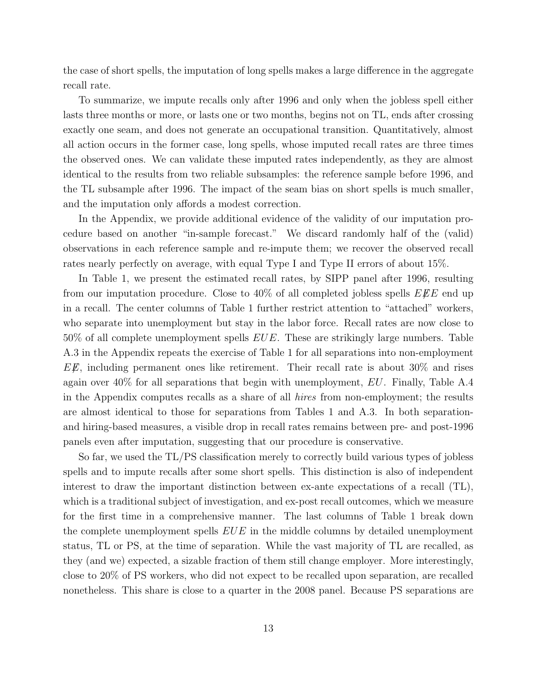the case of short spells, the imputation of long spells makes a large difference in the aggregate recall rate.

To summarize, we impute recalls only after 1996 and only when the jobless spell either lasts three months or more, or lasts one or two months, begins not on TL, ends after crossing exactly one seam, and does not generate an occupational transition. Quantitatively, almost all action occurs in the former case, long spells, whose imputed recall rates are three times the observed ones. We can validate these imputed rates independently, as they are almost identical to the results from two reliable subsamples: the reference sample before 1996, and the TL subsample after 1996. The impact of the seam bias on short spells is much smaller, and the imputation only affords a modest correction.

In the Appendix, we provide additional evidence of the validity of our imputation procedure based on another "in-sample forecast." We discard randomly half of the (valid) observations in each reference sample and re-impute them; we recover the observed recall rates nearly perfectly on average, with equal Type I and Type II errors of about 15%.

In Table 1, we present the estimated recall rates, by SIPP panel after 1996, resulting from our imputation procedure. Close to 40% of all completed jobless spells  $E\mathscr{F}E$  end up in a recall. The center columns of Table 1 further restrict attention to "attached" workers, who separate into unemployment but stay in the labor force. Recall rates are now close to  $50\%$  of all complete unemployment spells  $EUE$ . These are strikingly large numbers. Table A.3 in the Appendix repeats the exercise of Table 1 for all separations into non-employment  $E\lll E$ , including permanent ones like retirement. Their recall rate is about 30% and rises again over  $40\%$  for all separations that begin with unemployment, EU. Finally, Table A.4 in the Appendix computes recalls as a share of all hires from non-employment; the results are almost identical to those for separations from Tables 1 and A.3. In both separationand hiring-based measures, a visible drop in recall rates remains between pre- and post-1996 panels even after imputation, suggesting that our procedure is conservative.

So far, we used the TL/PS classification merely to correctly build various types of jobless spells and to impute recalls after some short spells. This distinction is also of independent interest to draw the important distinction between ex-ante expectations of a recall (TL), which is a traditional subject of investigation, and ex-post recall outcomes, which we measure for the first time in a comprehensive manner. The last columns of Table 1 break down the complete unemployment spells  $EUE$  in the middle columns by detailed unemployment status, TL or PS, at the time of separation. While the vast majority of TL are recalled, as they (and we) expected, a sizable fraction of them still change employer. More interestingly, close to 20% of PS workers, who did not expect to be recalled upon separation, are recalled nonetheless. This share is close to a quarter in the 2008 panel. Because PS separations are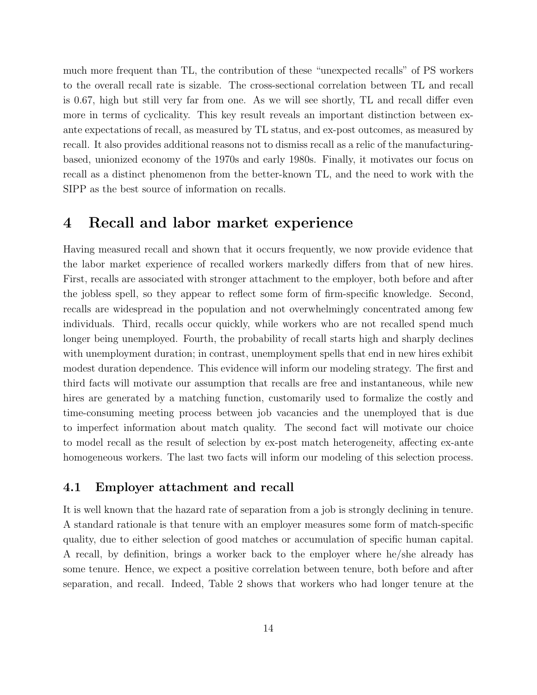much more frequent than TL, the contribution of these "unexpected recalls" of PS workers to the overall recall rate is sizable. The cross-sectional correlation between TL and recall is 0.67, high but still very far from one. As we will see shortly, TL and recall differ even more in terms of cyclicality. This key result reveals an important distinction between exante expectations of recall, as measured by TL status, and ex-post outcomes, as measured by recall. It also provides additional reasons not to dismiss recall as a relic of the manufacturingbased, unionized economy of the 1970s and early 1980s. Finally, it motivates our focus on recall as a distinct phenomenon from the better-known TL, and the need to work with the SIPP as the best source of information on recalls.

### 4 Recall and labor market experience

Having measured recall and shown that it occurs frequently, we now provide evidence that the labor market experience of recalled workers markedly differs from that of new hires. First, recalls are associated with stronger attachment to the employer, both before and after the jobless spell, so they appear to reflect some form of firm-specific knowledge. Second, recalls are widespread in the population and not overwhelmingly concentrated among few individuals. Third, recalls occur quickly, while workers who are not recalled spend much longer being unemployed. Fourth, the probability of recall starts high and sharply declines with unemployment duration; in contrast, unemployment spells that end in new hires exhibit modest duration dependence. This evidence will inform our modeling strategy. The first and third facts will motivate our assumption that recalls are free and instantaneous, while new hires are generated by a matching function, customarily used to formalize the costly and time-consuming meeting process between job vacancies and the unemployed that is due to imperfect information about match quality. The second fact will motivate our choice to model recall as the result of selection by ex-post match heterogeneity, affecting ex-ante homogeneous workers. The last two facts will inform our modeling of this selection process.

#### 4.1 Employer attachment and recall

It is well known that the hazard rate of separation from a job is strongly declining in tenure. A standard rationale is that tenure with an employer measures some form of match-specific quality, due to either selection of good matches or accumulation of specific human capital. A recall, by definition, brings a worker back to the employer where he/she already has some tenure. Hence, we expect a positive correlation between tenure, both before and after separation, and recall. Indeed, Table 2 shows that workers who had longer tenure at the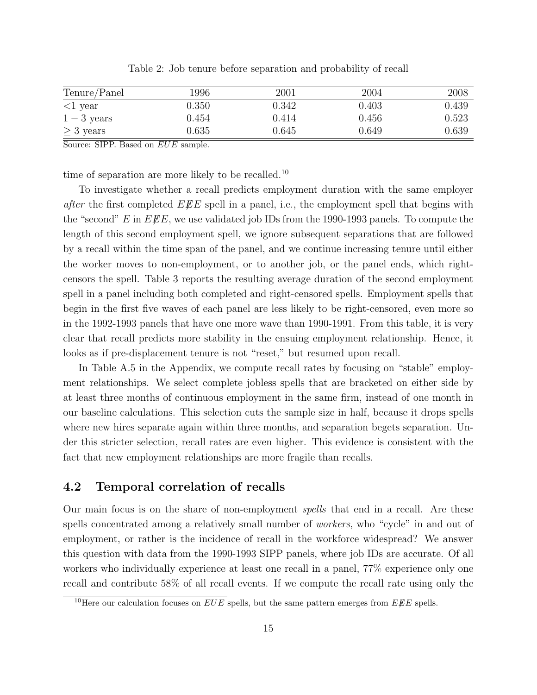| Tenure/Panel   | 1996      | 2001  | 2004  | 2008  |
|----------------|-----------|-------|-------|-------|
| $<$ 1 year     | 0.350     | 0.342 | 0.403 | 0.439 |
| $1-3$ years    | 0.454     | 0.414 | 0.456 | 0.523 |
| $\geq$ 3 years | $0.635\,$ | 0.645 | 0.649 | 0.639 |

Table 2: Job tenure before separation and probability of recall

Source: SIPP. Based on  $EUE$  sample.

time of separation are more likely to be recalled.<sup>10</sup>

To investigate whether a recall predicts employment duration with the same employer after the first completed  $E\mathscr{L}E$  spell in a panel, i.e., the employment spell that begins with the "second" E in  $E\ddot{E}E$ , we use validated job IDs from the 1990-1993 panels. To compute the length of this second employment spell, we ignore subsequent separations that are followed by a recall within the time span of the panel, and we continue increasing tenure until either the worker moves to non-employment, or to another job, or the panel ends, which rightcensors the spell. Table 3 reports the resulting average duration of the second employment spell in a panel including both completed and right-censored spells. Employment spells that begin in the first five waves of each panel are less likely to be right-censored, even more so in the 1992-1993 panels that have one more wave than 1990-1991. From this table, it is very clear that recall predicts more stability in the ensuing employment relationship. Hence, it looks as if pre-displacement tenure is not "reset," but resumed upon recall.

In Table A.5 in the Appendix, we compute recall rates by focusing on "stable" employment relationships. We select complete jobless spells that are bracketed on either side by at least three months of continuous employment in the same firm, instead of one month in our baseline calculations. This selection cuts the sample size in half, because it drops spells where new hires separate again within three months, and separation begets separation. Under this stricter selection, recall rates are even higher. This evidence is consistent with the fact that new employment relationships are more fragile than recalls.

#### 4.2 Temporal correlation of recalls

Our main focus is on the share of non-employment spells that end in a recall. Are these spells concentrated among a relatively small number of workers, who "cycle" in and out of employment, or rather is the incidence of recall in the workforce widespread? We answer this question with data from the 1990-1993 SIPP panels, where job IDs are accurate. Of all workers who individually experience at least one recall in a panel, 77% experience only one recall and contribute 58% of all recall events. If we compute the recall rate using only the

<sup>&</sup>lt;sup>10</sup>Here our calculation focuses on  $EUE$  spells, but the same pattern emerges from  $EEE$  spells.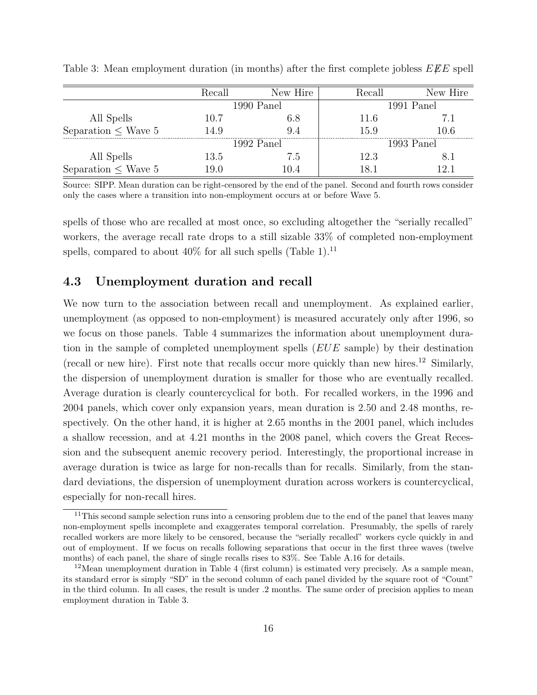|                          | Recall | New Hire   | Recall | New Hire     |  |
|--------------------------|--------|------------|--------|--------------|--|
|                          |        | 1990 Panel |        | 1991 Panel   |  |
| All Spells               | 10.7   | 6.8        | 11.6   | 71           |  |
| Separation $\leq$ Wave 5 | 14.9   | 94         | 15.9   | 10.6         |  |
|                          |        | 1992 Panel |        | $1993$ Panel |  |
| All Spells               | 13.5   | 7.5        | 12.3   |              |  |
| Separation $\leq$ Wave 5 | 19.0   | l) 4       | 81     | $\cdot$ 2 1  |  |

Table 3: Mean employment duration (in months) after the first complete jobless  $EEE$  spell

Source: SIPP. Mean duration can be right-censored by the end of the panel. Second and fourth rows consider only the cases where a transition into non-employment occurs at or before Wave 5.

spells of those who are recalled at most once, so excluding altogether the "serially recalled" workers, the average recall rate drops to a still sizable 33% of completed non-employment spells, compared to about  $40\%$  for all such spells (Table 1).<sup>11</sup>

#### 4.3 Unemployment duration and recall

We now turn to the association between recall and unemployment. As explained earlier, unemployment (as opposed to non-employment) is measured accurately only after 1996, so we focus on those panels. Table 4 summarizes the information about unemployment duration in the sample of completed unemployment spells (EUE sample) by their destination (recall or new hire). First note that recalls occur more quickly than new hires.<sup>12</sup> Similarly, the dispersion of unemployment duration is smaller for those who are eventually recalled. Average duration is clearly countercyclical for both. For recalled workers, in the 1996 and 2004 panels, which cover only expansion years, mean duration is 2.50 and 2.48 months, respectively. On the other hand, it is higher at 2.65 months in the 2001 panel, which includes a shallow recession, and at 4.21 months in the 2008 panel, which covers the Great Recession and the subsequent anemic recovery period. Interestingly, the proportional increase in average duration is twice as large for non-recalls than for recalls. Similarly, from the standard deviations, the dispersion of unemployment duration across workers is countercyclical, especially for non-recall hires.

<sup>&</sup>lt;sup>11</sup>This second sample selection runs into a censoring problem due to the end of the panel that leaves many non-employment spells incomplete and exaggerates temporal correlation. Presumably, the spells of rarely recalled workers are more likely to be censored, because the "serially recalled" workers cycle quickly in and out of employment. If we focus on recalls following separations that occur in the first three waves (twelve months) of each panel, the share of single recalls rises to 83%. See Table A.16 for details.

 $12$ Mean unemployment duration in Table 4 (first column) is estimated very precisely. As a sample mean, its standard error is simply "SD" in the second column of each panel divided by the square root of "Count" in the third column. In all cases, the result is under .2 months. The same order of precision applies to mean employment duration in Table 3.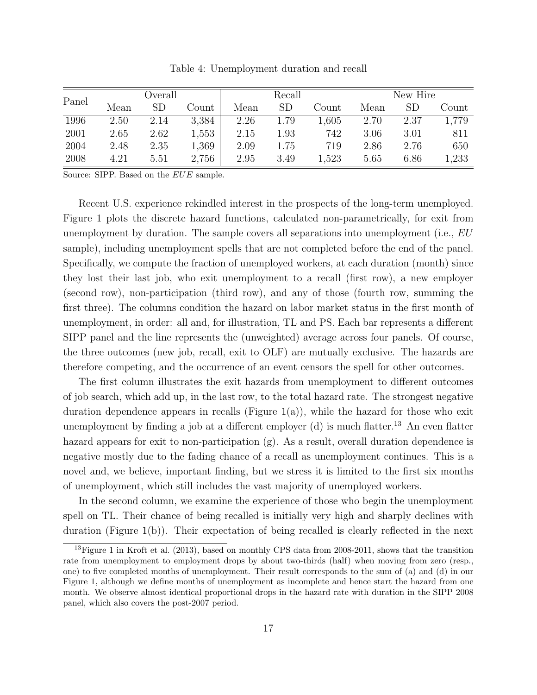| Panel | Overall |           |       | Recall |             |       | New Hire |      |       |
|-------|---------|-----------|-------|--------|-------------|-------|----------|------|-------|
|       | Mean    | <b>SD</b> | Count | Mean   | $_{\rm SD}$ | Count | Mean     | SD   | Count |
| 1996  | 2.50    | 2.14      | 3,384 | 2.26   | 1.79        | 1,605 | 2.70     | 2.37 | 1,779 |
| 2001  | 2.65    | 2.62      | 1,553 | 2.15   | 1.93        | 742   | 3.06     | 3.01 | 811   |
| 2004  | 2.48    | 2.35      | 1,369 | 2.09   | 1.75        | 719   | 2.86     | 2.76 | 650   |
| 2008  | 4.21    | 5.51      | 2,756 | 2.95   | 3.49        | 1,523 | 5.65     | 6.86 | 1,233 |

Table 4: Unemployment duration and recall

Source: SIPP. Based on the EUE sample.

Recent U.S. experience rekindled interest in the prospects of the long-term unemployed. Figure 1 plots the discrete hazard functions, calculated non-parametrically, for exit from unemployment by duration. The sample covers all separations into unemployment (i.e.,  $EU$ ) sample), including unemployment spells that are not completed before the end of the panel. Specifically, we compute the fraction of unemployed workers, at each duration (month) since they lost their last job, who exit unemployment to a recall (first row), a new employer (second row), non-participation (third row), and any of those (fourth row, summing the first three). The columns condition the hazard on labor market status in the first month of unemployment, in order: all and, for illustration, TL and PS. Each bar represents a different SIPP panel and the line represents the (unweighted) average across four panels. Of course, the three outcomes (new job, recall, exit to OLF) are mutually exclusive. The hazards are therefore competing, and the occurrence of an event censors the spell for other outcomes.

The first column illustrates the exit hazards from unemployment to different outcomes of job search, which add up, in the last row, to the total hazard rate. The strongest negative duration dependence appears in recalls (Figure 1(a)), while the hazard for those who exit unemployment by finding a job at a different employer  $(d)$  is much flatter.<sup>13</sup> An even flatter hazard appears for exit to non-participation (g). As a result, overall duration dependence is negative mostly due to the fading chance of a recall as unemployment continues. This is a novel and, we believe, important finding, but we stress it is limited to the first six months of unemployment, which still includes the vast majority of unemployed workers.

In the second column, we examine the experience of those who begin the unemployment spell on TL. Their chance of being recalled is initially very high and sharply declines with duration (Figure 1(b)). Their expectation of being recalled is clearly reflected in the next

<sup>&</sup>lt;sup>13</sup>Figure 1 in Kroft et al. (2013), based on monthly CPS data from 2008-2011, shows that the transition rate from unemployment to employment drops by about two-thirds (half) when moving from zero (resp., one) to five completed months of unemployment. Their result corresponds to the sum of (a) and (d) in our Figure 1, although we define months of unemployment as incomplete and hence start the hazard from one month. We observe almost identical proportional drops in the hazard rate with duration in the SIPP 2008 panel, which also covers the post-2007 period.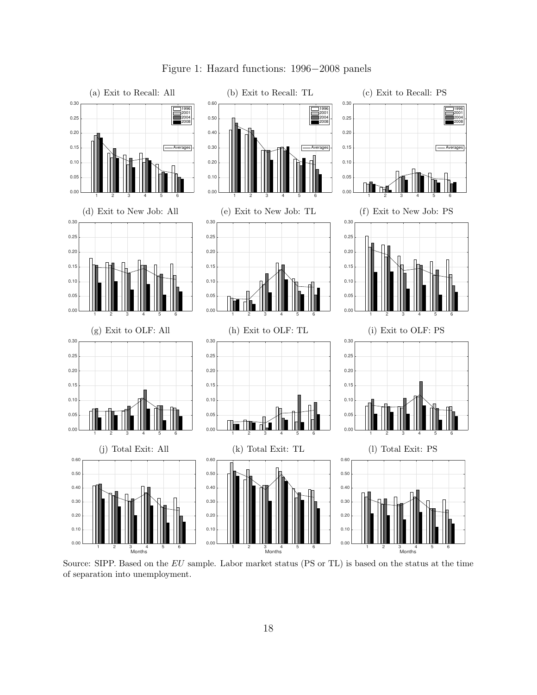

Figure 1: Hazard functions: 1996−2008 panels

Source: SIPP. Based on the EU sample. Labor market status (PS or TL) is based on the status at the time of separation into unemployment.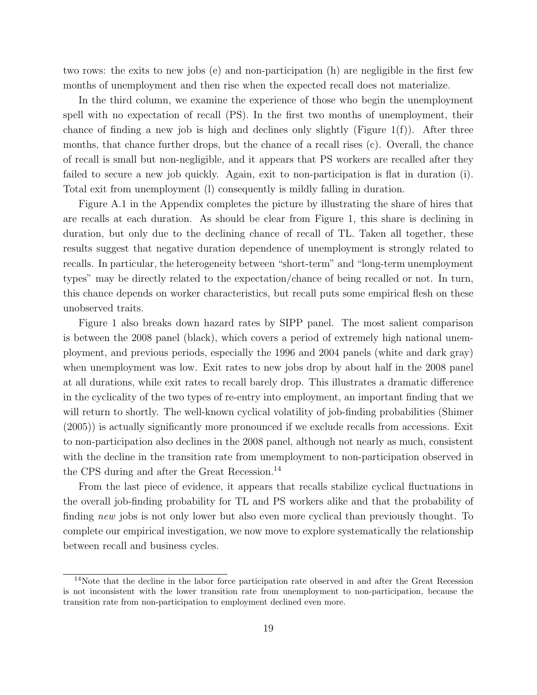two rows: the exits to new jobs (e) and non-participation (h) are negligible in the first few months of unemployment and then rise when the expected recall does not materialize.

In the third column, we examine the experience of those who begin the unemployment spell with no expectation of recall (PS). In the first two months of unemployment, their chance of finding a new job is high and declines only slightly (Figure  $1(f)$ ). After three months, that chance further drops, but the chance of a recall rises (c). Overall, the chance of recall is small but non-negligible, and it appears that PS workers are recalled after they failed to secure a new job quickly. Again, exit to non-participation is flat in duration (i). Total exit from unemployment (l) consequently is mildly falling in duration.

Figure A.1 in the Appendix completes the picture by illustrating the share of hires that are recalls at each duration. As should be clear from Figure 1, this share is declining in duration, but only due to the declining chance of recall of TL. Taken all together, these results suggest that negative duration dependence of unemployment is strongly related to recalls. In particular, the heterogeneity between "short-term" and "long-term unemployment types" may be directly related to the expectation/chance of being recalled or not. In turn, this chance depends on worker characteristics, but recall puts some empirical flesh on these unobserved traits.

Figure 1 also breaks down hazard rates by SIPP panel. The most salient comparison is between the 2008 panel (black), which covers a period of extremely high national unemployment, and previous periods, especially the 1996 and 2004 panels (white and dark gray) when unemployment was low. Exit rates to new jobs drop by about half in the 2008 panel at all durations, while exit rates to recall barely drop. This illustrates a dramatic difference in the cyclicality of the two types of re-entry into employment, an important finding that we will return to shortly. The well-known cyclical volatility of job-finding probabilities (Shimer (2005)) is actually significantly more pronounced if we exclude recalls from accessions. Exit to non-participation also declines in the 2008 panel, although not nearly as much, consistent with the decline in the transition rate from unemployment to non-participation observed in the CPS during and after the Great Recession.<sup>14</sup>

From the last piece of evidence, it appears that recalls stabilize cyclical fluctuations in the overall job-finding probability for TL and PS workers alike and that the probability of finding new jobs is not only lower but also even more cyclical than previously thought. To complete our empirical investigation, we now move to explore systematically the relationship between recall and business cycles.

<sup>&</sup>lt;sup>14</sup>Note that the decline in the labor force participation rate observed in and after the Great Recession is not inconsistent with the lower transition rate from unemployment to non-participation, because the transition rate from non-participation to employment declined even more.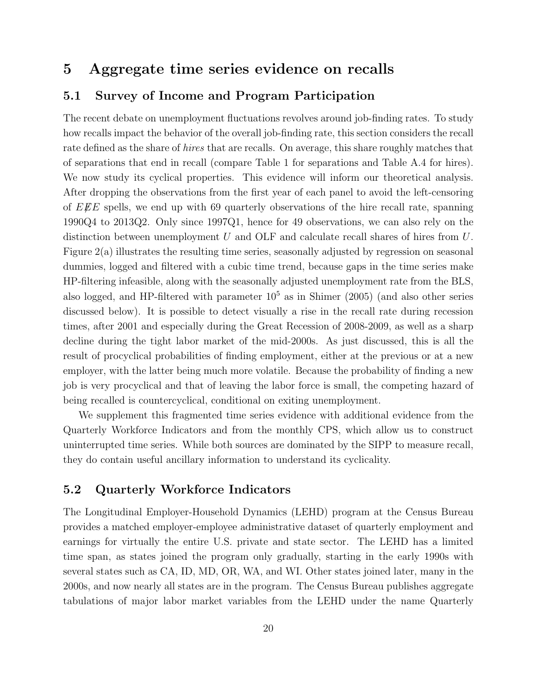## 5 Aggregate time series evidence on recalls

#### 5.1 Survey of Income and Program Participation

The recent debate on unemployment fluctuations revolves around job-finding rates. To study how recalls impact the behavior of the overall job-finding rate, this section considers the recall rate defined as the share of *hires* that are recalls. On average, this share roughly matches that of separations that end in recall (compare Table 1 for separations and Table A.4 for hires). We now study its cyclical properties. This evidence will inform our theoretical analysis. After dropping the observations from the first year of each panel to avoid the left-censoring of  $E \not\!\! E E$  spells, we end up with 69 quarterly observations of the hire recall rate, spanning 1990Q4 to 2013Q2. Only since 1997Q1, hence for 49 observations, we can also rely on the distinction between unemployment U and OLF and calculate recall shares of hires from U. Figure 2(a) illustrates the resulting time series, seasonally adjusted by regression on seasonal dummies, logged and filtered with a cubic time trend, because gaps in the time series make HP-filtering infeasible, along with the seasonally adjusted unemployment rate from the BLS, also logged, and HP-filtered with parameter  $10^5$  as in Shimer (2005) (and also other series discussed below). It is possible to detect visually a rise in the recall rate during recession times, after 2001 and especially during the Great Recession of 2008-2009, as well as a sharp decline during the tight labor market of the mid-2000s. As just discussed, this is all the result of procyclical probabilities of finding employment, either at the previous or at a new employer, with the latter being much more volatile. Because the probability of finding a new job is very procyclical and that of leaving the labor force is small, the competing hazard of being recalled is countercyclical, conditional on exiting unemployment.

We supplement this fragmented time series evidence with additional evidence from the Quarterly Workforce Indicators and from the monthly CPS, which allow us to construct uninterrupted time series. While both sources are dominated by the SIPP to measure recall, they do contain useful ancillary information to understand its cyclicality.

#### 5.2 Quarterly Workforce Indicators

The Longitudinal Employer-Household Dynamics (LEHD) program at the Census Bureau provides a matched employer-employee administrative dataset of quarterly employment and earnings for virtually the entire U.S. private and state sector. The LEHD has a limited time span, as states joined the program only gradually, starting in the early 1990s with several states such as CA, ID, MD, OR, WA, and WI. Other states joined later, many in the 2000s, and now nearly all states are in the program. The Census Bureau publishes aggregate tabulations of major labor market variables from the LEHD under the name Quarterly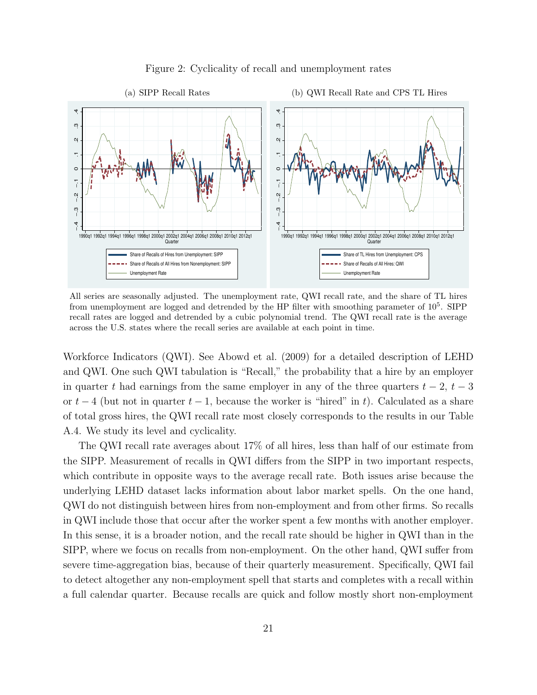

#### Figure 2: Cyclicality of recall and unemployment rates

All series are seasonally adjusted. The unemployment rate, QWI recall rate, and the share of TL hires from unemployment are logged and detrended by the HP filter with smoothing parameter of  $10^5$ . SIPP recall rates are logged and detrended by a cubic polynomial trend. The QWI recall rate is the average across the U.S. states where the recall series are available at each point in time.

Workforce Indicators (QWI). See Abowd et al. (2009) for a detailed description of LEHD and QWI. One such QWI tabulation is "Recall," the probability that a hire by an employer in quarter t had earnings from the same employer in any of the three quarters  $t - 2$ ,  $t - 3$ or  $t-4$  (but not in quarter  $t-1$ , because the worker is "hired" in t). Calculated as a share of total gross hires, the QWI recall rate most closely corresponds to the results in our Table A.4. We study its level and cyclicality.

The QWI recall rate averages about 17% of all hires, less than half of our estimate from the SIPP. Measurement of recalls in QWI differs from the SIPP in two important respects, which contribute in opposite ways to the average recall rate. Both issues arise because the underlying LEHD dataset lacks information about labor market spells. On the one hand, QWI do not distinguish between hires from non-employment and from other firms. So recalls in QWI include those that occur after the worker spent a few months with another employer. In this sense, it is a broader notion, and the recall rate should be higher in QWI than in the SIPP, where we focus on recalls from non-employment. On the other hand, QWI suffer from severe time-aggregation bias, because of their quarterly measurement. Specifically, QWI fail to detect altogether any non-employment spell that starts and completes with a recall within a full calendar quarter. Because recalls are quick and follow mostly short non-employment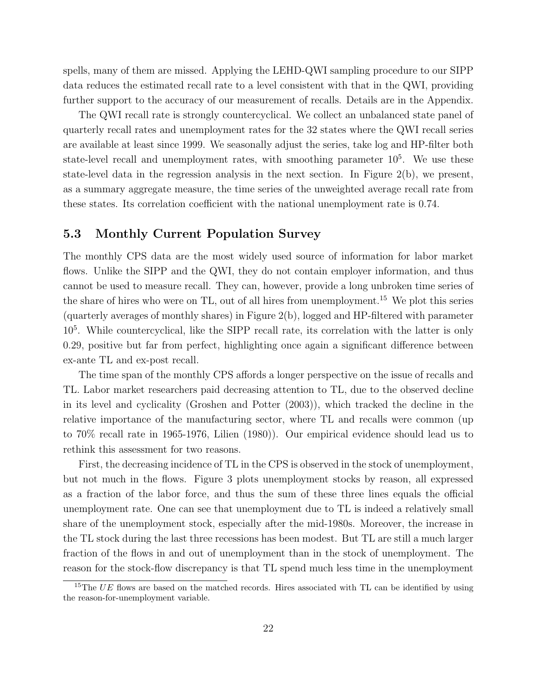spells, many of them are missed. Applying the LEHD-QWI sampling procedure to our SIPP data reduces the estimated recall rate to a level consistent with that in the QWI, providing further support to the accuracy of our measurement of recalls. Details are in the Appendix.

The QWI recall rate is strongly countercyclical. We collect an unbalanced state panel of quarterly recall rates and unemployment rates for the 32 states where the QWI recall series are available at least since 1999. We seasonally adjust the series, take log and HP-filter both state-level recall and unemployment rates, with smoothing parameter  $10<sup>5</sup>$ . We use these state-level data in the regression analysis in the next section. In Figure  $2(b)$ , we present, as a summary aggregate measure, the time series of the unweighted average recall rate from these states. Its correlation coefficient with the national unemployment rate is 0.74.

#### 5.3 Monthly Current Population Survey

The monthly CPS data are the most widely used source of information for labor market flows. Unlike the SIPP and the QWI, they do not contain employer information, and thus cannot be used to measure recall. They can, however, provide a long unbroken time series of the share of hires who were on TL, out of all hires from unemployment.<sup>15</sup> We plot this series (quarterly averages of monthly shares) in Figure 2(b), logged and HP-filtered with parameter 10<sup>5</sup> . While countercyclical, like the SIPP recall rate, its correlation with the latter is only 0.29, positive but far from perfect, highlighting once again a significant difference between ex-ante TL and ex-post recall.

The time span of the monthly CPS affords a longer perspective on the issue of recalls and TL. Labor market researchers paid decreasing attention to TL, due to the observed decline in its level and cyclicality (Groshen and Potter (2003)), which tracked the decline in the relative importance of the manufacturing sector, where TL and recalls were common (up to 70% recall rate in 1965-1976, Lilien (1980)). Our empirical evidence should lead us to rethink this assessment for two reasons.

First, the decreasing incidence of TL in the CPS is observed in the stock of unemployment, but not much in the flows. Figure 3 plots unemployment stocks by reason, all expressed as a fraction of the labor force, and thus the sum of these three lines equals the official unemployment rate. One can see that unemployment due to TL is indeed a relatively small share of the unemployment stock, especially after the mid-1980s. Moreover, the increase in the TL stock during the last three recessions has been modest. But TL are still a much larger fraction of the flows in and out of unemployment than in the stock of unemployment. The reason for the stock-flow discrepancy is that TL spend much less time in the unemployment

<sup>&</sup>lt;sup>15</sup>The  $UE$  flows are based on the matched records. Hires associated with TL can be identified by using the reason-for-unemployment variable.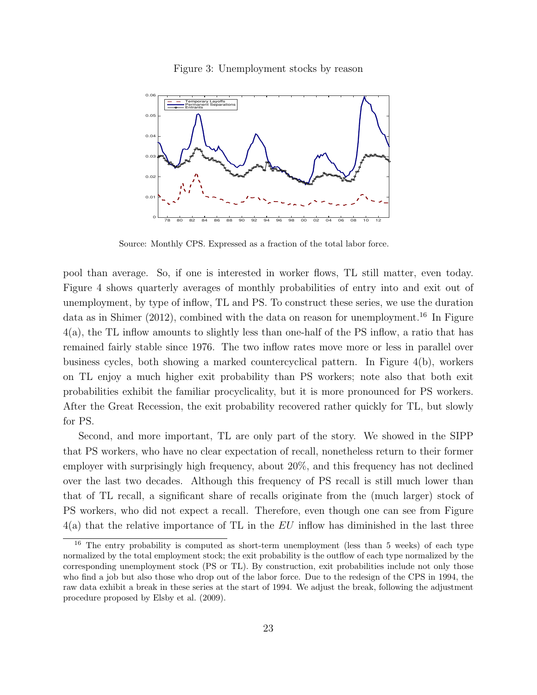Figure 3: Unemployment stocks by reason



Source: Monthly CPS. Expressed as a fraction of the total labor force.

pool than average. So, if one is interested in worker flows, TL still matter, even today. Figure 4 shows quarterly averages of monthly probabilities of entry into and exit out of unemployment, by type of inflow, TL and PS. To construct these series, we use the duration data as in Shimer (2012), combined with the data on reason for unemployment.<sup>16</sup> In Figure 4(a), the TL inflow amounts to slightly less than one-half of the PS inflow, a ratio that has remained fairly stable since 1976. The two inflow rates move more or less in parallel over business cycles, both showing a marked countercyclical pattern. In Figure 4(b), workers on TL enjoy a much higher exit probability than PS workers; note also that both exit probabilities exhibit the familiar procyclicality, but it is more pronounced for PS workers. After the Great Recession, the exit probability recovered rather quickly for TL, but slowly for PS.

Second, and more important, TL are only part of the story. We showed in the SIPP that PS workers, who have no clear expectation of recall, nonetheless return to their former employer with surprisingly high frequency, about 20%, and this frequency has not declined over the last two decades. Although this frequency of PS recall is still much lower than that of TL recall, a significant share of recalls originate from the (much larger) stock of PS workers, who did not expect a recall. Therefore, even though one can see from Figure  $4(a)$  that the relative importance of TL in the EU inflow has diminished in the last three

 $16$  The entry probability is computed as short-term unemployment (less than 5 weeks) of each type normalized by the total employment stock; the exit probability is the outflow of each type normalized by the corresponding unemployment stock (PS or TL). By construction, exit probabilities include not only those who find a job but also those who drop out of the labor force. Due to the redesign of the CPS in 1994, the raw data exhibit a break in these series at the start of 1994. We adjust the break, following the adjustment procedure proposed by Elsby et al. (2009).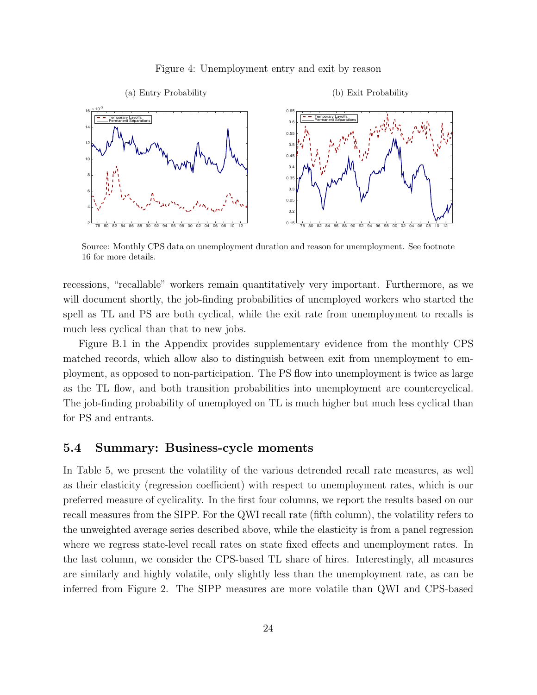Figure 4: Unemployment entry and exit by reason



Source: Monthly CPS data on unemployment duration and reason for unemployment. See footnote 16 for more details.

recessions, "recallable" workers remain quantitatively very important. Furthermore, as we will document shortly, the job-finding probabilities of unemployed workers who started the spell as TL and PS are both cyclical, while the exit rate from unemployment to recalls is much less cyclical than that to new jobs.

Figure B.1 in the Appendix provides supplementary evidence from the monthly CPS matched records, which allow also to distinguish between exit from unemployment to employment, as opposed to non-participation. The PS flow into unemployment is twice as large as the TL flow, and both transition probabilities into unemployment are countercyclical. The job-finding probability of unemployed on TL is much higher but much less cyclical than for PS and entrants.

#### 5.4 Summary: Business-cycle moments

In Table 5, we present the volatility of the various detrended recall rate measures, as well as their elasticity (regression coefficient) with respect to unemployment rates, which is our preferred measure of cyclicality. In the first four columns, we report the results based on our recall measures from the SIPP. For the QWI recall rate (fifth column), the volatility refers to the unweighted average series described above, while the elasticity is from a panel regression where we regress state-level recall rates on state fixed effects and unemployment rates. In the last column, we consider the CPS-based TL share of hires. Interestingly, all measures are similarly and highly volatile, only slightly less than the unemployment rate, as can be inferred from Figure 2. The SIPP measures are more volatile than QWI and CPS-based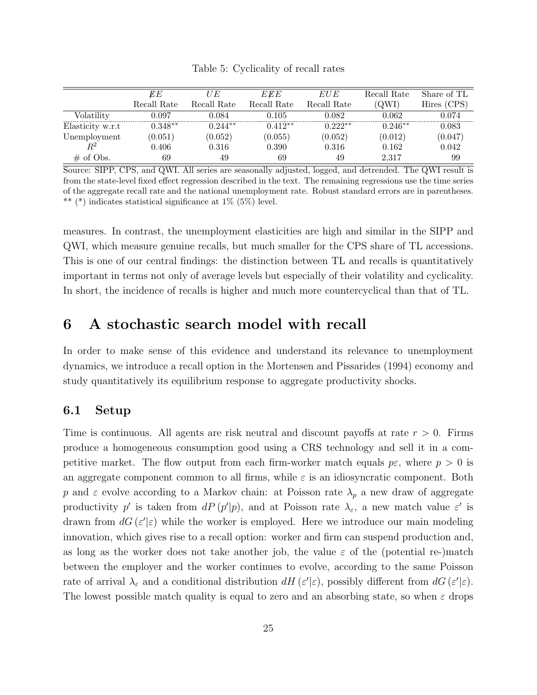| Table 5: Cyclicality of recall rates |  |  |  |  |
|--------------------------------------|--|--|--|--|
|--------------------------------------|--|--|--|--|

|                  | EЕ          | IJЕ         | EEE         | EU E        | Recall Rate | Share of TL    |
|------------------|-------------|-------------|-------------|-------------|-------------|----------------|
|                  | Recall Rate | Recall Rate | Recall Rate | Recall Rate | OWI`        | (CPS)<br>Hires |
| Volatilitv       | 0.097       | 0.084       | 0.105       | 0.082       | 0.062       | 0.074          |
| Elasticity w.r.t | $0.348**$   | $0.244**$   | $0.412**$   | 0.222**     | $0.246**$   | 0.083          |
| Unemployment     | 0.051       | (0.052)     | (0.055)     | (0.052)     | (0.012)     | (0.047)        |
| $R^2$            | 0.406       | ${0.316}$   | 0.390       | 0.316       | 0.162       | 0.042          |
| $\#$ of Obs.     | 69          | 49          | 69          | 49          | 2.317       | 99             |

Source: SIPP, CPS, and QWI. All series are seasonally adjusted, logged, and detrended. The QWI result is from the state-level fixed effect regression described in the text. The remaining regressions use the time series of the aggregate recall rate and the national unemployment rate. Robust standard errors are in parentheses. \*\* (\*) indicates statistical significance at  $1\%$  (5%) level.

measures. In contrast, the unemployment elasticities are high and similar in the SIPP and QWI, which measure genuine recalls, but much smaller for the CPS share of TL accessions. This is one of our central findings: the distinction between TL and recalls is quantitatively important in terms not only of average levels but especially of their volatility and cyclicality. In short, the incidence of recalls is higher and much more countercyclical than that of TL.

### 6 A stochastic search model with recall

In order to make sense of this evidence and understand its relevance to unemployment dynamics, we introduce a recall option in the Mortensen and Pissarides (1994) economy and study quantitatively its equilibrium response to aggregate productivity shocks.

#### 6.1 Setup

Time is continuous. All agents are risk neutral and discount payoffs at rate  $r > 0$ . Firms produce a homogeneous consumption good using a CRS technology and sell it in a competitive market. The flow output from each firm-worker match equals  $p\epsilon$ , where  $p > 0$  is an aggregate component common to all firms, while  $\varepsilon$  is an idiosyncratic component. Both p and  $\varepsilon$  evolve according to a Markov chain: at Poisson rate  $\lambda_p$  a new draw of aggregate productivity p' is taken from  $dP(p'|p)$ , and at Poisson rate  $\lambda_{\varepsilon}$ , a new match value  $\varepsilon'$  is drawn from  $dG(\varepsilon'|\varepsilon)$  while the worker is employed. Here we introduce our main modeling innovation, which gives rise to a recall option: worker and firm can suspend production and, as long as the worker does not take another job, the value  $\varepsilon$  of the (potential re-)match between the employer and the worker continues to evolve, according to the same Poisson rate of arrival  $\lambda_{\varepsilon}$  and a conditional distribution  $dH(\varepsilon'|\varepsilon)$ , possibly different from  $dG(\varepsilon'|\varepsilon)$ . The lowest possible match quality is equal to zero and an absorbing state, so when  $\varepsilon$  drops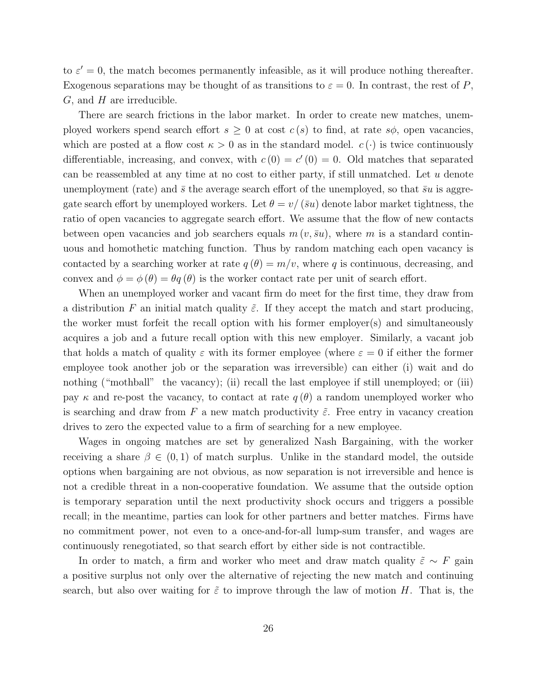to  $\varepsilon' = 0$ , the match becomes permanently infeasible, as it will produce nothing thereafter. Exogenous separations may be thought of as transitions to  $\varepsilon = 0$ . In contrast, the rest of P,  $G$ , and  $H$  are irreducible.

There are search frictions in the labor market. In order to create new matches, unemployed workers spend search effort  $s \geq 0$  at cost  $c(s)$  to find, at rate  $s\phi$ , open vacancies, which are posted at a flow cost  $\kappa > 0$  as in the standard model.  $c(\cdot)$  is twice continuously differentiable, increasing, and convex, with  $c(0) = c'(0) = 0$ . Old matches that separated can be reassembled at any time at no cost to either party, if still unmatched. Let u denote unemployment (rate) and  $\bar{s}$  the average search effort of the unemployed, so that  $\bar{s}u$  is aggregate search effort by unemployed workers. Let  $\theta = v/(\bar{s}u)$  denote labor market tightness, the ratio of open vacancies to aggregate search effort. We assume that the flow of new contacts between open vacancies and job searchers equals  $m(v, \bar{s}u)$ , where m is a standard continuous and homothetic matching function. Thus by random matching each open vacancy is contacted by a searching worker at rate  $q(\theta) = m/v$ , where q is continuous, decreasing, and convex and  $\phi = \phi(\theta) = \theta q(\theta)$  is the worker contact rate per unit of search effort.

When an unemployed worker and vacant firm do meet for the first time, they draw from a distribution F an initial match quality  $\tilde{\varepsilon}$ . If they accept the match and start producing, the worker must forfeit the recall option with his former employer(s) and simultaneously acquires a job and a future recall option with this new employer. Similarly, a vacant job that holds a match of quality  $\varepsilon$  with its former employee (where  $\varepsilon = 0$  if either the former employee took another job or the separation was irreversible) can either (i) wait and do nothing ("mothball" the vacancy); (ii) recall the last employee if still unemployed; or (iii) pay  $\kappa$  and re-post the vacancy, to contact at rate  $q(\theta)$  a random unemployed worker who is searching and draw from F a new match productivity  $\tilde{\varepsilon}$ . Free entry in vacancy creation drives to zero the expected value to a firm of searching for a new employee.

Wages in ongoing matches are set by generalized Nash Bargaining, with the worker receiving a share  $\beta \in (0,1)$  of match surplus. Unlike in the standard model, the outside options when bargaining are not obvious, as now separation is not irreversible and hence is not a credible threat in a non-cooperative foundation. We assume that the outside option is temporary separation until the next productivity shock occurs and triggers a possible recall; in the meantime, parties can look for other partners and better matches. Firms have no commitment power, not even to a once-and-for-all lump-sum transfer, and wages are continuously renegotiated, so that search effort by either side is not contractible.

In order to match, a firm and worker who meet and draw match quality  $\tilde{\varepsilon} \sim F$  gain a positive surplus not only over the alternative of rejecting the new match and continuing search, but also over waiting for  $\tilde{\varepsilon}$  to improve through the law of motion H. That is, the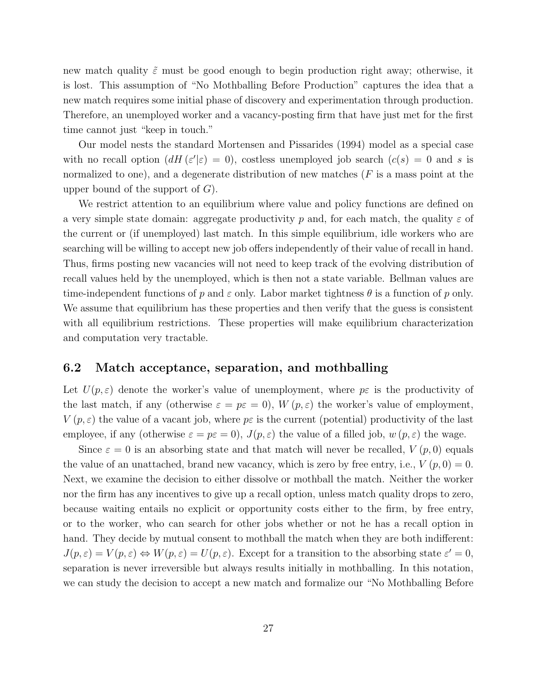new match quality  $\tilde{\varepsilon}$  must be good enough to begin production right away; otherwise, it is lost. This assumption of "No Mothballing Before Production" captures the idea that a new match requires some initial phase of discovery and experimentation through production. Therefore, an unemployed worker and a vacancy-posting firm that have just met for the first time cannot just "keep in touch."

Our model nests the standard Mortensen and Pissarides (1994) model as a special case with no recall option  $(dH(\varepsilon'|\varepsilon) = 0)$ , costless unemployed job search  $(c(s) = 0$  and s is normalized to one), and a degenerate distribution of new matches  $(F$  is a mass point at the upper bound of the support of  $G$ ).

We restrict attention to an equilibrium where value and policy functions are defined on a very simple state domain: aggregate productivity p and, for each match, the quality  $\varepsilon$  of the current or (if unemployed) last match. In this simple equilibrium, idle workers who are searching will be willing to accept new job offers independently of their value of recall in hand. Thus, firms posting new vacancies will not need to keep track of the evolving distribution of recall values held by the unemployed, which is then not a state variable. Bellman values are time-independent functions of p and  $\varepsilon$  only. Labor market tightness  $\theta$  is a function of p only. We assume that equilibrium has these properties and then verify that the guess is consistent with all equilibrium restrictions. These properties will make equilibrium characterization and computation very tractable.

#### 6.2 Match acceptance, separation, and mothballing

Let  $U(p,\varepsilon)$  denote the worker's value of unemployment, where  $p\varepsilon$  is the productivity of the last match, if any (otherwise  $\varepsilon = p\varepsilon = 0$ ),  $W(p,\varepsilon)$  the worker's value of employment,  $V(p,\varepsilon)$  the value of a vacant job, where  $p\varepsilon$  is the current (potential) productivity of the last employee, if any (otherwise  $\varepsilon = p\varepsilon = 0$ ),  $J(p, \varepsilon)$  the value of a filled job,  $w(p, \varepsilon)$  the wage.

Since  $\varepsilon = 0$  is an absorbing state and that match will never be recalled,  $V(p, 0)$  equals the value of an unattached, brand new vacancy, which is zero by free entry, i.e.,  $V(p, 0) = 0$ . Next, we examine the decision to either dissolve or mothball the match. Neither the worker nor the firm has any incentives to give up a recall option, unless match quality drops to zero, because waiting entails no explicit or opportunity costs either to the firm, by free entry, or to the worker, who can search for other jobs whether or not he has a recall option in hand. They decide by mutual consent to mothball the match when they are both indifferent:  $J(p, \varepsilon) = V(p, \varepsilon) \Leftrightarrow W(p, \varepsilon) = U(p, \varepsilon)$ . Except for a transition to the absorbing state  $\varepsilon' = 0$ , separation is never irreversible but always results initially in mothballing. In this notation, we can study the decision to accept a new match and formalize our "No Mothballing Before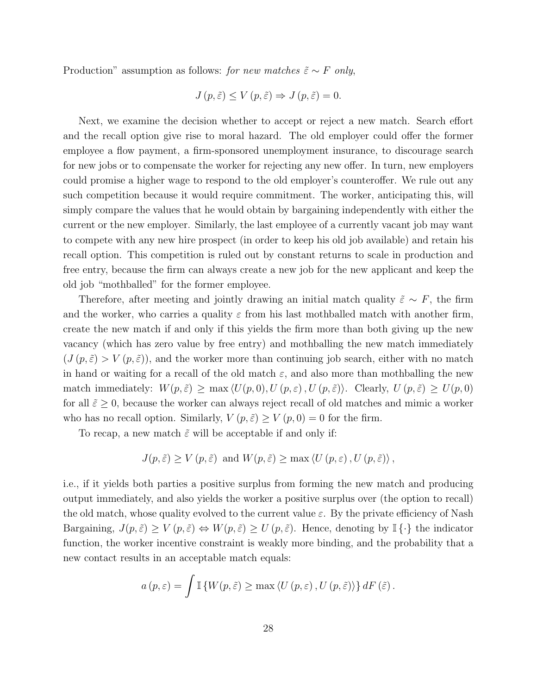Production" assumption as follows: for new matches  $\tilde{\varepsilon} \sim F$  only,

$$
J(p,\tilde{\varepsilon}) \le V(p,\tilde{\varepsilon}) \Rightarrow J(p,\tilde{\varepsilon}) = 0.
$$

Next, we examine the decision whether to accept or reject a new match. Search effort and the recall option give rise to moral hazard. The old employer could offer the former employee a flow payment, a firm-sponsored unemployment insurance, to discourage search for new jobs or to compensate the worker for rejecting any new offer. In turn, new employers could promise a higher wage to respond to the old employer's counteroffer. We rule out any such competition because it would require commitment. The worker, anticipating this, will simply compare the values that he would obtain by bargaining independently with either the current or the new employer. Similarly, the last employee of a currently vacant job may want to compete with any new hire prospect (in order to keep his old job available) and retain his recall option. This competition is ruled out by constant returns to scale in production and free entry, because the firm can always create a new job for the new applicant and keep the old job "mothballed" for the former employee.

Therefore, after meeting and jointly drawing an initial match quality  $\tilde{\varepsilon} \sim F$ , the firm and the worker, who carries a quality  $\varepsilon$  from his last mothballed match with another firm, create the new match if and only if this yields the firm more than both giving up the new vacancy (which has zero value by free entry) and mothballing the new match immediately  $(J(p,\tilde{\varepsilon}) > V(p,\tilde{\varepsilon}))$ , and the worker more than continuing job search, either with no match in hand or waiting for a recall of the old match  $\varepsilon$ , and also more than mothballing the new match immediately:  $W(p, \tilde{\varepsilon}) \ge \max \langle U(p, 0), U(p, \varepsilon), U(p, \tilde{\varepsilon}) \rangle$ . Clearly,  $U(p, \tilde{\varepsilon}) \ge U(p, 0)$ for all  $\tilde{\varepsilon} \geq 0$ , because the worker can always reject recall of old matches and mimic a worker who has no recall option. Similarly,  $V(p, \tilde{\varepsilon}) \geq V(p, 0) = 0$  for the firm.

To recap, a new match  $\tilde{\varepsilon}$  will be acceptable if and only if:

$$
J(p, \tilde{\varepsilon}) \ge V(p, \tilde{\varepsilon}) \text{ and } W(p, \tilde{\varepsilon}) \ge \max \langle U(p, \varepsilon), U(p, \tilde{\varepsilon}) \rangle,
$$

i.e., if it yields both parties a positive surplus from forming the new match and producing output immediately, and also yields the worker a positive surplus over (the option to recall) the old match, whose quality evolved to the current value  $\varepsilon$ . By the private efficiency of Nash Bargaining,  $J(p, \tilde{\varepsilon}) \geq V(p, \tilde{\varepsilon}) \Leftrightarrow W(p, \tilde{\varepsilon}) \geq U(p, \tilde{\varepsilon})$ . Hence, denoting by  $\mathbb{I} \{\cdot\}$  the indicator function, the worker incentive constraint is weakly more binding, and the probability that a new contact results in an acceptable match equals:

$$
a(p,\varepsilon) = \int \mathbb{I} \left\{ W(p,\tilde{\varepsilon}) \ge \max \left\langle U(p,\varepsilon), U(p,\tilde{\varepsilon}) \right\rangle \right\} dF(\tilde{\varepsilon}).
$$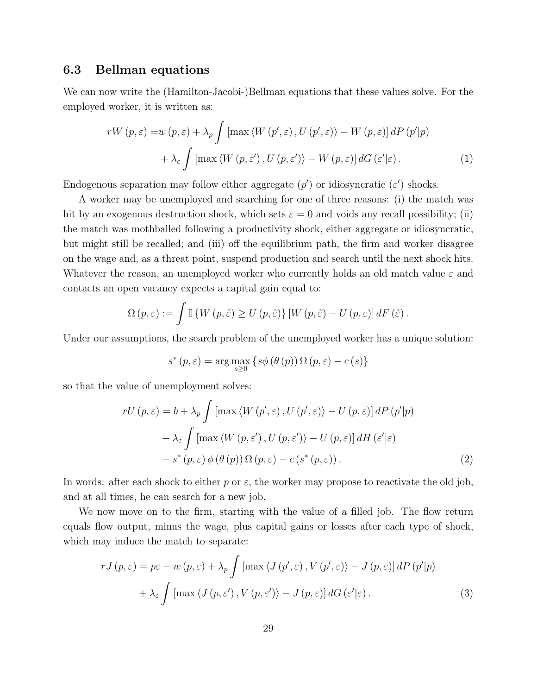#### 6.3 Bellman equations

We can now write the (Hamilton-Jacobi-)Bellman equations that these values solve. For the employed worker, it is written as:

$$
rW(p, \varepsilon) = w(p, \varepsilon) + \lambda_p \int \left[ \max \left\langle W(p', \varepsilon), U(p', \varepsilon) \right\rangle - W(p, \varepsilon) \right] dP(p'|p) + \lambda_{\varepsilon} \int \left[ \max \left\langle W(p, \varepsilon'), U(p, \varepsilon') \right\rangle - W(p, \varepsilon) \right] dG(\varepsilon'|\varepsilon).
$$
 (1)

Endogenous separation may follow either aggregate  $(p')$  or idiosyncratic  $(\varepsilon')$  shocks.

A worker may be unemployed and searching for one of three reasons: (i) the match was hit by an exogenous destruction shock, which sets  $\varepsilon = 0$  and voids any recall possibility; (ii) the match was mothballed following a productivity shock, either aggregate or idiosyncratic, but might still be recalled; and (iii) off the equilibrium path, the firm and worker disagree on the wage and, as a threat point, suspend production and search until the next shock hits. Whatever the reason, an unemployed worker who currently holds an old match value  $\varepsilon$  and contacts an open vacancy expects a capital gain equal to:

$$
\Omega(p,\varepsilon) := \int \mathbb{I} \left\{ W\left(p,\tilde{\varepsilon}\right) \geq U\left(p,\tilde{\varepsilon}\right) \right\} \left[ W\left(p,\tilde{\varepsilon}\right) - U\left(p,\varepsilon\right) \right] dF\left(\tilde{\varepsilon}\right).
$$

Under our assumptions, the search problem of the unemployed worker has a unique solution:

$$
s^*(p, \varepsilon) = \arg \max_{s \ge 0} \left\{ s\phi\left(\theta\left(p\right)\right) \Omega\left(p, \varepsilon\right) - c\left(s\right) \right\}
$$

so that the value of unemployment solves:

$$
rU(p, \varepsilon) = b + \lambda_p \int \left[ \max \left\langle W(p', \varepsilon), U(p', \varepsilon) \right\rangle - U(p, \varepsilon) \right] dP(p'|p)
$$

$$
+ \lambda_{\varepsilon} \int \left[ \max \left\langle W(p, \varepsilon'), U(p, \varepsilon') \right\rangle - U(p, \varepsilon) \right] dH(\varepsilon'|\varepsilon)
$$

$$
+ s^*(p, \varepsilon) \phi(\theta(p)) \Omega(p, \varepsilon) - c(s^*(p, \varepsilon)). \tag{2}
$$

In words: after each shock to either p or  $\varepsilon$ , the worker may propose to reactivate the old job, and at all times, he can search for a new job.

We now move on to the firm, starting with the value of a filled job. The flow return equals flow output, minus the wage, plus capital gains or losses after each type of shock, which may induce the match to separate:

$$
rJ(p,\varepsilon) = p\varepsilon - w(p,\varepsilon) + \lambda_p \int \left[ \max \left\langle J(p',\varepsilon), V(p',\varepsilon) \right\rangle - J(p,\varepsilon) \right] dP(p'|p) + \lambda_{\varepsilon} \int \left[ \max \left\langle J(p,\varepsilon'), V(p,\varepsilon') \right\rangle - J(p,\varepsilon) \right] dG(\varepsilon'|\varepsilon).
$$
 (3)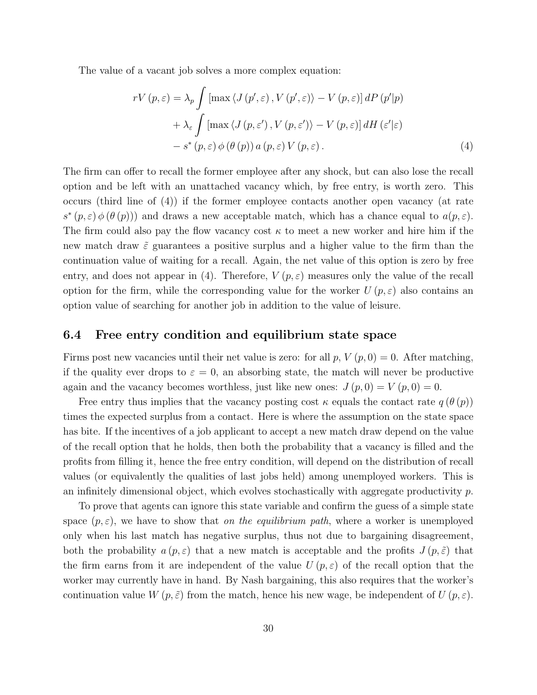The value of a vacant job solves a more complex equation:

$$
rV(p, \varepsilon) = \lambda_p \int \left[ \max \langle J(p', \varepsilon), V(p', \varepsilon) \rangle - V(p, \varepsilon) \right] dP(p'|p)
$$
  
+ 
$$
\lambda_{\varepsilon} \int \left[ \max \langle J(p, \varepsilon'), V(p, \varepsilon') \rangle - V(p, \varepsilon) \right] dH(\varepsilon'|\varepsilon)
$$
  
- 
$$
s^*(p, \varepsilon) \phi(\theta(p)) a(p, \varepsilon) V(p, \varepsilon).
$$
 (4)

The firm can offer to recall the former employee after any shock, but can also lose the recall option and be left with an unattached vacancy which, by free entry, is worth zero. This occurs (third line of (4)) if the former employee contacts another open vacancy (at rate  $s^*(p,\varepsilon) \phi(\theta(p))$  and draws a new acceptable match, which has a chance equal to  $a(p,\varepsilon)$ . The firm could also pay the flow vacancy cost  $\kappa$  to meet a new worker and hire him if the new match draw  $\tilde{\varepsilon}$  guarantees a positive surplus and a higher value to the firm than the continuation value of waiting for a recall. Again, the net value of this option is zero by free entry, and does not appear in (4). Therefore,  $V(p, \varepsilon)$  measures only the value of the recall option for the firm, while the corresponding value for the worker  $U(p, \varepsilon)$  also contains an option value of searching for another job in addition to the value of leisure.

#### 6.4 Free entry condition and equilibrium state space

Firms post new vacancies until their net value is zero: for all  $p, V(p, 0) = 0$ . After matching, if the quality ever drops to  $\varepsilon = 0$ , an absorbing state, the match will never be productive again and the vacancy becomes worthless, just like new ones:  $J(p, 0) = V(p, 0) = 0$ .

Free entry thus implies that the vacancy posting cost  $\kappa$  equals the contact rate  $q(\theta(p))$ times the expected surplus from a contact. Here is where the assumption on the state space has bite. If the incentives of a job applicant to accept a new match draw depend on the value of the recall option that he holds, then both the probability that a vacancy is filled and the profits from filling it, hence the free entry condition, will depend on the distribution of recall values (or equivalently the qualities of last jobs held) among unemployed workers. This is an infinitely dimensional object, which evolves stochastically with aggregate productivity p.

To prove that agents can ignore this state variable and confirm the guess of a simple state space  $(p, \varepsilon)$ , we have to show that *on the equilibrium path*, where a worker is unemployed only when his last match has negative surplus, thus not due to bargaining disagreement, both the probability  $a(p, \varepsilon)$  that a new match is acceptable and the profits  $J(p, \tilde{\varepsilon})$  that the firm earns from it are independent of the value  $U(p,\varepsilon)$  of the recall option that the worker may currently have in hand. By Nash bargaining, this also requires that the worker's continuation value  $W(p, \tilde{\varepsilon})$  from the match, hence his new wage, be independent of  $U(p, \varepsilon)$ .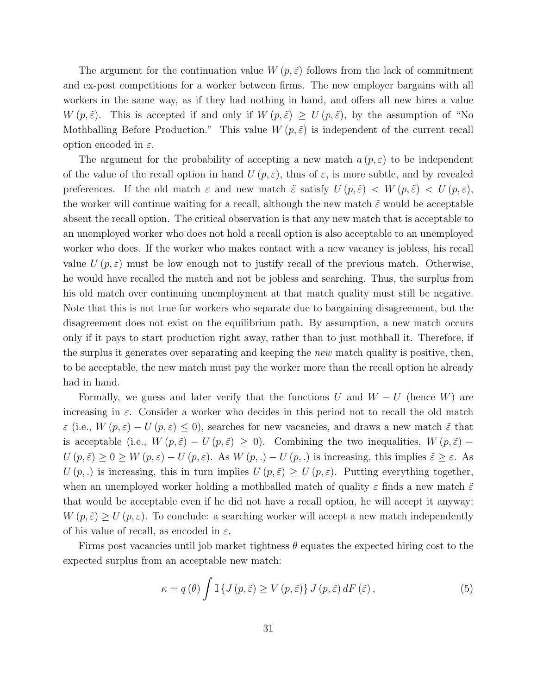The argument for the continuation value  $W(p,\tilde{\varepsilon})$  follows from the lack of commitment and ex-post competitions for a worker between firms. The new employer bargains with all workers in the same way, as if they had nothing in hand, and offers all new hires a value  $W(p, \tilde{\varepsilon})$ . This is accepted if and only if  $W(p, \tilde{\varepsilon}) \geq U(p, \tilde{\varepsilon})$ , by the assumption of "No Mothballing Before Production." This value  $W(p, \tilde{\varepsilon})$  is independent of the current recall option encoded in  $\varepsilon$ .

The argument for the probability of accepting a new match  $a(p, \varepsilon)$  to be independent of the value of the recall option in hand  $U(p,\varepsilon)$ , thus of  $\varepsilon$ , is more subtle, and by revealed preferences. If the old match  $\varepsilon$  and new match  $\tilde{\varepsilon}$  satisfy  $U(p,\tilde{\varepsilon}) < W(p,\tilde{\varepsilon}) < U(p,\varepsilon)$ , the worker will continue waiting for a recall, although the new match  $\tilde{\varepsilon}$  would be acceptable absent the recall option. The critical observation is that any new match that is acceptable to an unemployed worker who does not hold a recall option is also acceptable to an unemployed worker who does. If the worker who makes contact with a new vacancy is jobless, his recall value  $U(p,\varepsilon)$  must be low enough not to justify recall of the previous match. Otherwise, he would have recalled the match and not be jobless and searching. Thus, the surplus from his old match over continuing unemployment at that match quality must still be negative. Note that this is not true for workers who separate due to bargaining disagreement, but the disagreement does not exist on the equilibrium path. By assumption, a new match occurs only if it pays to start production right away, rather than to just mothball it. Therefore, if the surplus it generates over separating and keeping the *new* match quality is positive, then, to be acceptable, the new match must pay the worker more than the recall option he already had in hand.

Formally, we guess and later verify that the functions U and  $W - U$  (hence W) are increasing in  $\varepsilon$ . Consider a worker who decides in this period not to recall the old match  $\varepsilon$  (i.e.,  $W(p,\varepsilon) - U(p,\varepsilon) \leq 0$ ), searches for new vacancies, and draws a new match  $\tilde{\varepsilon}$  that is acceptable (i.e.,  $W(p, \tilde{\varepsilon}) - U(p, \tilde{\varepsilon}) \geq 0$ ). Combining the two inequalities,  $W(p, \tilde{\varepsilon})$  –  $U(p,\tilde{\varepsilon}) \geq 0 \geq W(p,\varepsilon) - U(p,\varepsilon)$ . As  $W(p,.) - U(p,.)$  is increasing, this implies  $\tilde{\varepsilon} \geq \varepsilon$ . As  $U(p,.)$  is increasing, this in turn implies  $U(p,\tilde{\varepsilon}) \geq U(p,\varepsilon)$ . Putting everything together, when an unemployed worker holding a mothballed match of quality  $\varepsilon$  finds a new match  $\tilde{\varepsilon}$ that would be acceptable even if he did not have a recall option, he will accept it anyway:  $W(p, \tilde{\varepsilon}) \geq U(p, \varepsilon)$ . To conclude: a searching worker will accept a new match independently of his value of recall, as encoded in  $\varepsilon$ .

Firms post vacancies until job market tightness  $\theta$  equates the expected hiring cost to the expected surplus from an acceptable new match:

$$
\kappa = q(\theta) \int \mathbb{I} \left\{ J\left(p, \tilde{\varepsilon}\right) \ge V\left(p, \tilde{\varepsilon}\right) \right\} J\left(p, \tilde{\varepsilon}\right) dF\left(\tilde{\varepsilon}\right),\tag{5}
$$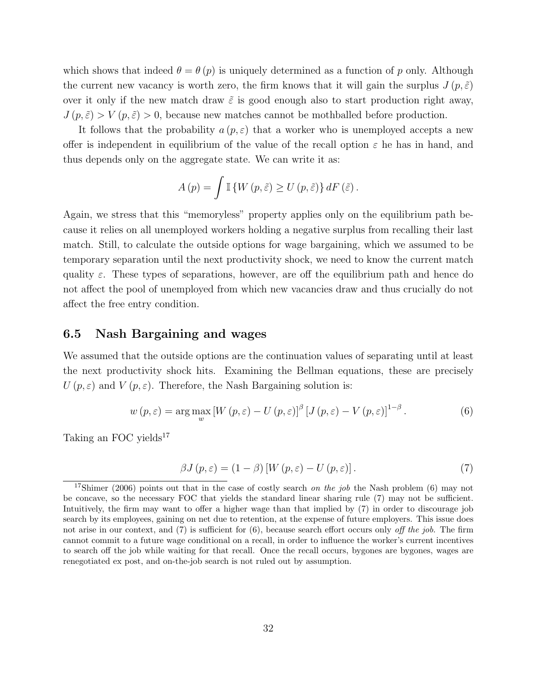which shows that indeed  $\theta = \theta(p)$  is uniquely determined as a function of p only. Although the current new vacancy is worth zero, the firm knows that it will gain the surplus  $J(p, \tilde{\varepsilon})$ over it only if the new match draw  $\tilde{\varepsilon}$  is good enough also to start production right away,  $J(p, \tilde{\varepsilon}) > V(p, \tilde{\varepsilon}) > 0$ , because new matches cannot be mothballed before production.

It follows that the probability  $a(p, \varepsilon)$  that a worker who is unemployed accepts a new offer is independent in equilibrium of the value of the recall option  $\varepsilon$  he has in hand, and thus depends only on the aggregate state. We can write it as:

$$
A(p) = \int \mathbb{I} \left\{ W(p, \tilde{\varepsilon}) \ge U(p, \tilde{\varepsilon}) \right\} dF(\tilde{\varepsilon}).
$$

Again, we stress that this "memoryless" property applies only on the equilibrium path because it relies on all unemployed workers holding a negative surplus from recalling their last match. Still, to calculate the outside options for wage bargaining, which we assumed to be temporary separation until the next productivity shock, we need to know the current match quality  $\varepsilon$ . These types of separations, however, are off the equilibrium path and hence do not affect the pool of unemployed from which new vacancies draw and thus crucially do not affect the free entry condition.

#### 6.5 Nash Bargaining and wages

We assumed that the outside options are the continuation values of separating until at least the next productivity shock hits. Examining the Bellman equations, these are precisely  $U(p,\varepsilon)$  and  $V(p,\varepsilon)$ . Therefore, the Nash Bargaining solution is:

$$
w(p, \varepsilon) = \arg \max_{w} \left[ W(p, \varepsilon) - U(p, \varepsilon) \right]^{\beta} \left[ J(p, \varepsilon) - V(p, \varepsilon) \right]^{1-\beta}.
$$
 (6)

Taking an FOC yields $17$ 

$$
\beta J(p, \varepsilon) = (1 - \beta) \left[ W(p, \varepsilon) - U(p, \varepsilon) \right]. \tag{7}
$$

<sup>&</sup>lt;sup>17</sup>Shimer (2006) points out that in the case of costly search *on the job* the Nash problem (6) may not be concave, so the necessary FOC that yields the standard linear sharing rule (7) may not be sufficient. Intuitively, the firm may want to offer a higher wage than that implied by (7) in order to discourage job search by its employees, gaining on net due to retention, at the expense of future employers. This issue does not arise in our context, and  $(7)$  is sufficient for  $(6)$ , because search effort occurs only off the job. The firm cannot commit to a future wage conditional on a recall, in order to influence the worker's current incentives to search off the job while waiting for that recall. Once the recall occurs, bygones are bygones, wages are renegotiated ex post, and on-the-job search is not ruled out by assumption.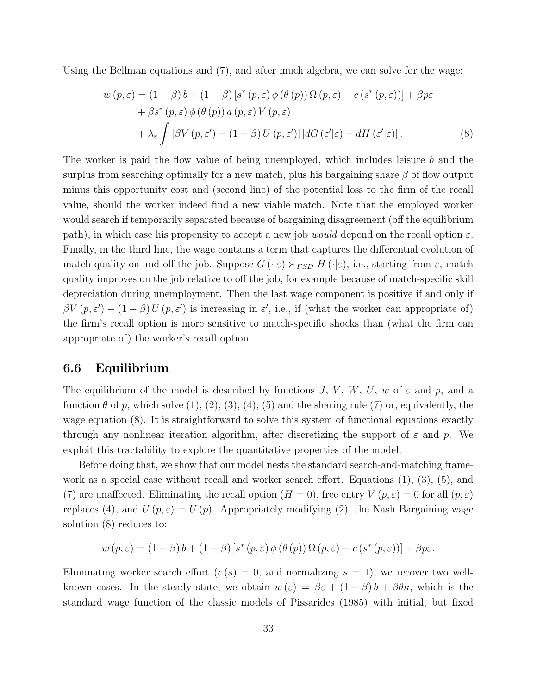Using the Bellman equations and (7), and after much algebra, we can solve for the wage:

$$
w(p, \varepsilon) = (1 - \beta) b + (1 - \beta) [s^*(p, \varepsilon) \phi(\theta(p)) \Omega(p, \varepsilon) - c (s^*(p, \varepsilon))] + \beta p \varepsilon + \beta s^*(p, \varepsilon) \phi(\theta(p)) a(p, \varepsilon) V(p, \varepsilon) + \lambda_{\varepsilon} \int [\beta V(p, \varepsilon') - (1 - \beta) U(p, \varepsilon')] [dG(\varepsilon'|\varepsilon) - dH(\varepsilon'|\varepsilon)].
$$
\n(8)

The worker is paid the flow value of being unemployed, which includes leisure b and the surplus from searching optimally for a new match, plus his bargaining share  $\beta$  of flow output minus this opportunity cost and (second line) of the potential loss to the firm of the recall value, should the worker indeed find a new viable match. Note that the employed worker would search if temporarily separated because of bargaining disagreement (off the equilibrium path), in which case his propensity to accept a new job *would* depend on the recall option  $\varepsilon$ . Finally, in the third line, the wage contains a term that captures the differential evolution of match quality on and off the job. Suppose  $G(\cdot|\varepsilon) \succ_{FSD} H(\cdot|\varepsilon)$ , i.e., starting from  $\varepsilon$ , match quality improves on the job relative to off the job, for example because of match-specific skill depreciation during unemployment. Then the last wage component is positive if and only if  $\beta V(p, \varepsilon') - (1 - \beta) U(p, \varepsilon')$  is increasing in  $\varepsilon'$ , i.e., if (what the worker can appropriate of) the firm's recall option is more sensitive to match-specific shocks than (what the firm can appropriate of) the worker's recall option.

#### 6.6 Equilibrium

The equilibrium of the model is described by functions J, V, W, U, w of  $\varepsilon$  and p, and a function  $\theta$  of p, which solve  $(1), (2), (3), (4), (5)$  and the sharing rule  $(7)$  or, equivalently, the wage equation (8). It is straightforward to solve this system of functional equations exactly through any nonlinear iteration algorithm, after discretizing the support of  $\varepsilon$  and p. We exploit this tractability to explore the quantitative properties of the model.

Before doing that, we show that our model nests the standard search-and-matching framework as a special case without recall and worker search effort. Equations (1), (3), (5), and (7) are unaffected. Eliminating the recall option  $(H = 0)$ , free entry  $V(p, \varepsilon) = 0$  for all  $(p, \varepsilon)$ replaces (4), and  $U(p, \varepsilon) = U(p)$ . Appropriately modifying (2), the Nash Bargaining wage solution (8) reduces to:

$$
w(p, \varepsilon) = (1 - \beta) b + (1 - \beta) [s^*(p, \varepsilon) \phi(\theta(p)) \Omega(p, \varepsilon) - c (s^*(p, \varepsilon))] + \beta p \varepsilon.
$$

Eliminating worker search effort  $(c(s) = 0,$  and normalizing  $s = 1$ , we recover two wellknown cases. In the steady state, we obtain  $w(\varepsilon) = \beta \varepsilon + (1 - \beta) b + \beta \theta \kappa$ , which is the standard wage function of the classic models of Pissarides (1985) with initial, but fixed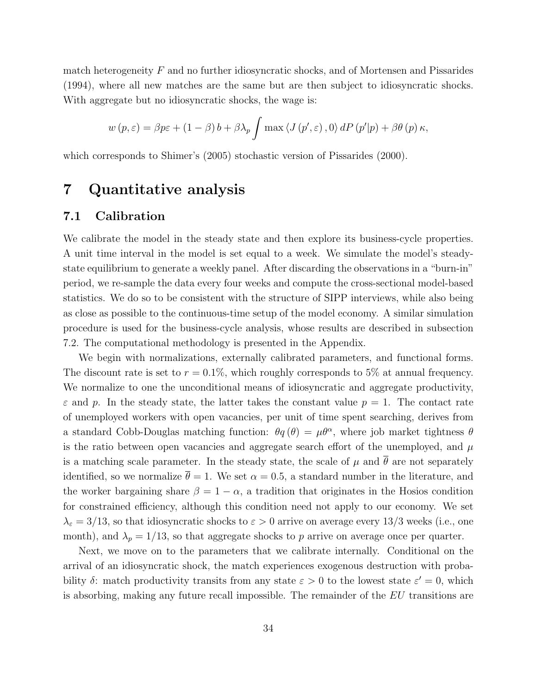match heterogeneity  $F$  and no further idiosyncratic shocks, and of Mortensen and Pissarides (1994), where all new matches are the same but are then subject to idiosyncratic shocks. With aggregate but no idiosyncratic shocks, the wage is:

$$
w(p, \varepsilon) = \beta p \varepsilon + (1 - \beta) b + \beta \lambda_p \int \max \langle J(p', \varepsilon), 0 \rangle dP(p'|p) + \beta \theta(p) \kappa,
$$

which corresponds to Shimer's (2005) stochastic version of Pissarides (2000).

## 7 Quantitative analysis

#### 7.1 Calibration

We calibrate the model in the steady state and then explore its business-cycle properties. A unit time interval in the model is set equal to a week. We simulate the model's steadystate equilibrium to generate a weekly panel. After discarding the observations in a "burn-in" period, we re-sample the data every four weeks and compute the cross-sectional model-based statistics. We do so to be consistent with the structure of SIPP interviews, while also being as close as possible to the continuous-time setup of the model economy. A similar simulation procedure is used for the business-cycle analysis, whose results are described in subsection 7.2. The computational methodology is presented in the Appendix.

We begin with normalizations, externally calibrated parameters, and functional forms. The discount rate is set to  $r = 0.1\%$ , which roughly corresponds to 5% at annual frequency. We normalize to one the unconditional means of idiosyncratic and aggregate productivity,  $\varepsilon$  and p. In the steady state, the latter takes the constant value  $p = 1$ . The contact rate of unemployed workers with open vacancies, per unit of time spent searching, derives from a standard Cobb-Douglas matching function:  $\theta q(\theta) = \mu \theta^{\alpha}$ , where job market tightness  $\theta$ is the ratio between open vacancies and aggregate search effort of the unemployed, and  $\mu$ is a matching scale parameter. In the steady state, the scale of  $\mu$  and  $\bar{\theta}$  are not separately identified, so we normalize  $\bar{\theta} = 1$ . We set  $\alpha = 0.5$ , a standard number in the literature, and the worker bargaining share  $\beta = 1 - \alpha$ , a tradition that originates in the Hosios condition for constrained efficiency, although this condition need not apply to our economy. We set  $\lambda_{\varepsilon} = 3/13$ , so that idiosyncratic shocks to  $\varepsilon > 0$  arrive on average every 13/3 weeks (i.e., one month), and  $\lambda_p = 1/13$ , so that aggregate shocks to p arrive on average once per quarter.

Next, we move on to the parameters that we calibrate internally. Conditional on the arrival of an idiosyncratic shock, the match experiences exogenous destruction with probability  $\delta$ : match productivity transits from any state  $\varepsilon > 0$  to the lowest state  $\varepsilon' = 0$ , which is absorbing, making any future recall impossible. The remainder of the EU transitions are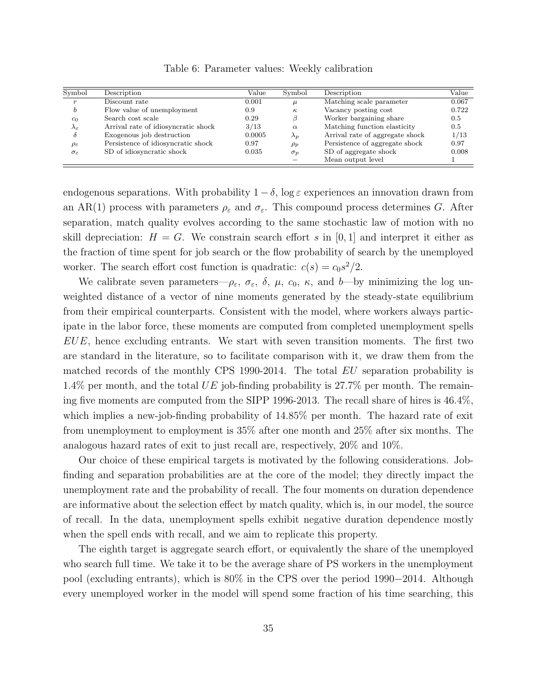| Symbol                  | Description                         | Value  | Symbol      | Description                     | Value |
|-------------------------|-------------------------------------|--------|-------------|---------------------------------|-------|
|                         | Discount rate                       | 0.001  | $\mu$       | Matching scale parameter        | 0.067 |
| b                       | Flow value of unemployment          | 0.9    | $\kappa$    | Vacancy posting cost            | 0.722 |
| c <sub>0</sub>          | Search cost scale                   | 0.29   | B           | Worker bargaining share         | 0.5   |
| $\lambda_{\varepsilon}$ | Arrival rate of idiosyncratic shock | 3/13   | $\alpha$    | Matching function elasticity    | 0.5   |
|                         | Exogenous job destruction           | 0.0005 | $\lambda_p$ | Arrival rate of aggregate shock | 1/13  |
| $\rho_{\varepsilon}$    | Persistence of idiosyncratic shock  | 0.97   | $\rho_p$    | Persistence of aggregate shock  | 0.97  |
| $\sigma_{\varepsilon}$  | SD of idiosyncratic shock           | 0.035  | $\sigma_p$  | SD of aggregate shock           | 0.008 |
|                         |                                     |        |             | Mean output level               |       |

Table 6: Parameter values: Weekly calibration

endogenous separations. With probability  $1 - \delta$ , log  $\varepsilon$  experiences an innovation drawn from an AR(1) process with parameters  $\rho_{\varepsilon}$  and  $\sigma_{\varepsilon}$ . This compound process determines G. After separation, match quality evolves according to the same stochastic law of motion with no skill depreciation:  $H = G$ . We constrain search effort s in [0, 1] and interpret it either as the fraction of time spent for job search or the flow probability of search by the unemployed worker. The search effort cost function is quadratic:  $c(s) = c_0 s^2/2$ .

We calibrate seven parameters— $\rho_{\varepsilon}$ ,  $\sigma_{\varepsilon}$ ,  $\delta$ ,  $\mu$ ,  $c_0$ ,  $\kappa$ , and b—by minimizing the log unweighted distance of a vector of nine moments generated by the steady-state equilibrium from their empirical counterparts. Consistent with the model, where workers always participate in the labor force, these moments are computed from completed unemployment spells  $EUE$ , hence excluding entrants. We start with seven transition moments. The first two are standard in the literature, so to facilitate comparison with it, we draw them from the matched records of the monthly CPS 1990-2014. The total EU separation probability is 1.4% per month, and the total UE job-finding probability is  $27.7\%$  per month. The remaining five moments are computed from the SIPP 1996-2013. The recall share of hires is 46.4%, which implies a new-job-finding probability of 14.85% per month. The hazard rate of exit from unemployment to employment is 35% after one month and 25% after six months. The analogous hazard rates of exit to just recall are, respectively, 20% and 10%.

Our choice of these empirical targets is motivated by the following considerations. Jobfinding and separation probabilities are at the core of the model; they directly impact the unemployment rate and the probability of recall. The four moments on duration dependence are informative about the selection effect by match quality, which is, in our model, the source of recall. In the data, unemployment spells exhibit negative duration dependence mostly when the spell ends with recall, and we aim to replicate this property.

The eighth target is aggregate search effort, or equivalently the share of the unemployed who search full time. We take it to be the average share of PS workers in the unemployment pool (excluding entrants), which is 80% in the CPS over the period 1990−2014. Although every unemployed worker in the model will spend some fraction of his time searching, this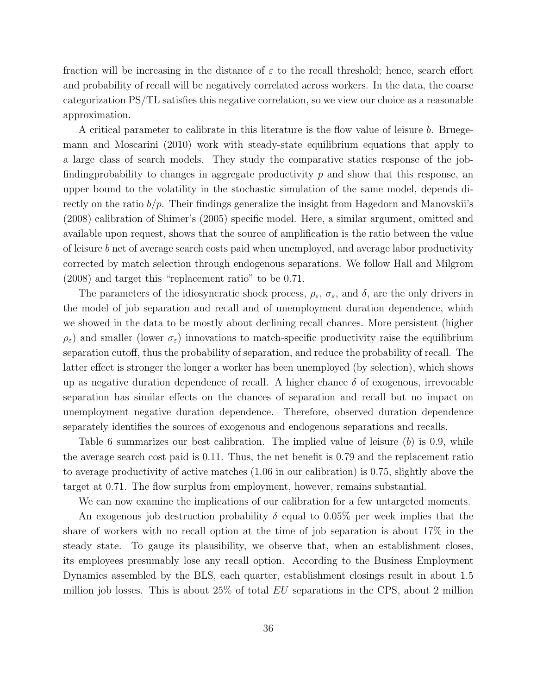fraction will be increasing in the distance of  $\varepsilon$  to the recall threshold; hence, search effort and probability of recall will be negatively correlated across workers. In the data, the coarse categorization PS/TL satisfies this negative correlation, so we view our choice as a reasonable approximation.

A critical parameter to calibrate in this literature is the flow value of leisure b. Bruegemann and Moscarini (2010) work with steady-state equilibrium equations that apply to a large class of search models. They study the comparative statics response of the jobfinding probability to changes in aggregate productivity  $p$  and show that this response, an upper bound to the volatility in the stochastic simulation of the same model, depends directly on the ratio  $b/p$ . Their findings generalize the insight from Hagedorn and Manovskii's (2008) calibration of Shimer's (2005) specific model. Here, a similar argument, omitted and available upon request, shows that the source of amplification is the ratio between the value of leisure b net of average search costs paid when unemployed, and average labor productivity corrected by match selection through endogenous separations. We follow Hall and Milgrom (2008) and target this "replacement ratio" to be 0.71.

The parameters of the idiosyncratic shock process,  $\rho_{\varepsilon}$ ,  $\sigma_{\varepsilon}$ , and  $\delta$ , are the only drivers in the model of job separation and recall and of unemployment duration dependence, which we showed in the data to be mostly about declining recall chances. More persistent (higher  $\rho_{\varepsilon}$ ) and smaller (lower  $\sigma_{\varepsilon}$ ) innovations to match-specific productivity raise the equilibrium separation cutoff, thus the probability of separation, and reduce the probability of recall. The latter effect is stronger the longer a worker has been unemployed (by selection), which shows up as negative duration dependence of recall. A higher chance  $\delta$  of exogenous, irrevocable separation has similar effects on the chances of separation and recall but no impact on unemployment negative duration dependence. Therefore, observed duration dependence separately identifies the sources of exogenous and endogenous separations and recalls.

Table 6 summarizes our best calibration. The implied value of leisure (b) is 0.9, while the average search cost paid is 0.11. Thus, the net benefit is 0.79 and the replacement ratio to average productivity of active matches (1.06 in our calibration) is 0.75, slightly above the target at 0.71. The flow surplus from employment, however, remains substantial.

We can now examine the implications of our calibration for a few untargeted moments.

An exogenous job destruction probability  $\delta$  equal to 0.05% per week implies that the share of workers with no recall option at the time of job separation is about 17% in the steady state. To gauge its plausibility, we observe that, when an establishment closes, its employees presumably lose any recall option. According to the Business Employment Dynamics assembled by the BLS, each quarter, establishment closings result in about 1.5 million job losses. This is about  $25\%$  of total  $EU$  separations in the CPS, about 2 million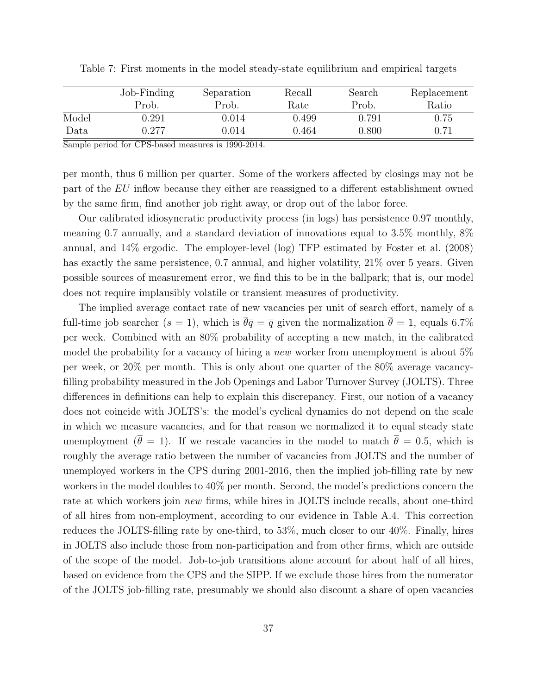|       | Job-Finding | Separation | Recall | Search | Replacement |
|-------|-------------|------------|--------|--------|-------------|
|       | Prob.       | Prob.      | Rate   | Prob.  | Ratio       |
| Model | ).291       | 9.014      | 0.499  | 0.791  | 0.75        |
| Data  | ).277       | 0.014      | 0.464  | 0.800  | 0.71        |

Table 7: First moments in the model steady-state equilibrium and empirical targets

Sample period for CPS-based measures is 1990-2014.

per month, thus 6 million per quarter. Some of the workers affected by closings may not be part of the EU inflow because they either are reassigned to a different establishment owned by the same firm, find another job right away, or drop out of the labor force.

Our calibrated idiosyncratic productivity process (in logs) has persistence 0.97 monthly, meaning 0.7 annually, and a standard deviation of innovations equal to 3.5% monthly, 8% annual, and 14% ergodic. The employer-level (log) TFP estimated by Foster et al. (2008) has exactly the same persistence, 0.7 annual, and higher volatility, 21\% over 5 years. Given possible sources of measurement error, we find this to be in the ballpark; that is, our model does not require implausibly volatile or transient measures of productivity.

The implied average contact rate of new vacancies per unit of search effort, namely of a full-time job searcher (s = 1), which is  $\overline{\theta} \overline{q} = \overline{q}$  given the normalization  $\overline{\theta} = 1$ , equals 6.7% per week. Combined with an 80% probability of accepting a new match, in the calibrated model the probability for a vacancy of hiring a new worker from unemployment is about 5% per week, or 20% per month. This is only about one quarter of the 80% average vacancyfilling probability measured in the Job Openings and Labor Turnover Survey (JOLTS). Three differences in definitions can help to explain this discrepancy. First, our notion of a vacancy does not coincide with JOLTS's: the model's cyclical dynamics do not depend on the scale in which we measure vacancies, and for that reason we normalized it to equal steady state unemployment ( $\bar{\theta} = 1$ ). If we rescale vacancies in the model to match  $\bar{\theta} = 0.5$ , which is roughly the average ratio between the number of vacancies from JOLTS and the number of unemployed workers in the CPS during 2001-2016, then the implied job-filling rate by new workers in the model doubles to 40% per month. Second, the model's predictions concern the rate at which workers join new firms, while hires in JOLTS include recalls, about one-third of all hires from non-employment, according to our evidence in Table A.4. This correction reduces the JOLTS-filling rate by one-third, to 53%, much closer to our 40%. Finally, hires in JOLTS also include those from non-participation and from other firms, which are outside of the scope of the model. Job-to-job transitions alone account for about half of all hires, based on evidence from the CPS and the SIPP. If we exclude those hires from the numerator of the JOLTS job-filling rate, presumably we should also discount a share of open vacancies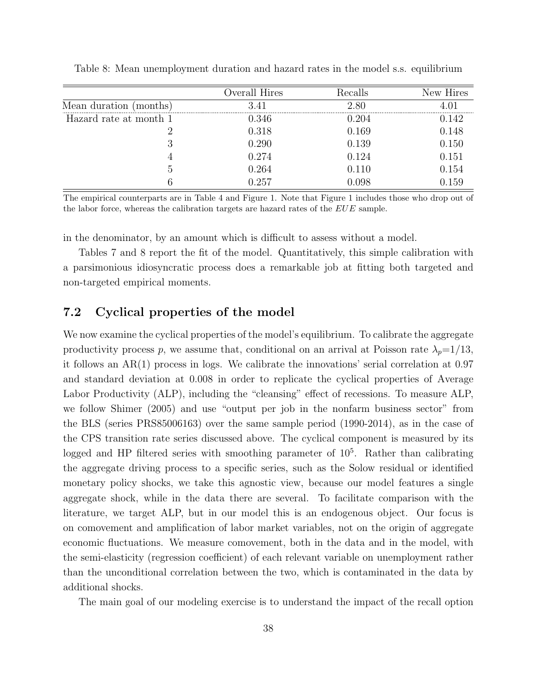|                             | Overall Hires | Recalls | New Hires   |
|-----------------------------|---------------|---------|-------------|
| Mean<br>duration<br>months. |               | 2.80    |             |
| Hazard rate at month 1      | 0.346         | ).204   | .142        |
|                             | 0.318         | 0.169   | 0.148       |
|                             | ${0.290}$     | 0.139   | $\rm 0.150$ |
|                             | $0.274\,$     | 0.124   | 0.151       |
| G                           | $0.264\,$     |         | 0.154       |
|                             |               |         |             |

Table 8: Mean unemployment duration and hazard rates in the model s.s. equilibrium

The empirical counterparts are in Table 4 and Figure 1. Note that Figure 1 includes those who drop out of the labor force, whereas the calibration targets are hazard rates of the EUE sample.

in the denominator, by an amount which is difficult to assess without a model.

Tables 7 and 8 report the fit of the model. Quantitatively, this simple calibration with a parsimonious idiosyncratic process does a remarkable job at fitting both targeted and non-targeted empirical moments.

#### 7.2 Cyclical properties of the model

We now examine the cyclical properties of the model's equilibrium. To calibrate the aggregate productivity process p, we assume that, conditional on an arrival at Poisson rate  $\lambda_p=1/13$ , it follows an AR(1) process in logs. We calibrate the innovations' serial correlation at 0.97 and standard deviation at 0.008 in order to replicate the cyclical properties of Average Labor Productivity (ALP), including the "cleansing" effect of recessions. To measure ALP, we follow Shimer (2005) and use "output per job in the nonfarm business sector" from the BLS (series PRS85006163) over the same sample period (1990-2014), as in the case of the CPS transition rate series discussed above. The cyclical component is measured by its logged and HP filtered series with smoothing parameter of  $10<sup>5</sup>$ . Rather than calibrating the aggregate driving process to a specific series, such as the Solow residual or identified monetary policy shocks, we take this agnostic view, because our model features a single aggregate shock, while in the data there are several. To facilitate comparison with the literature, we target ALP, but in our model this is an endogenous object. Our focus is on comovement and amplification of labor market variables, not on the origin of aggregate economic fluctuations. We measure comovement, both in the data and in the model, with the semi-elasticity (regression coefficient) of each relevant variable on unemployment rather than the unconditional correlation between the two, which is contaminated in the data by additional shocks.

The main goal of our modeling exercise is to understand the impact of the recall option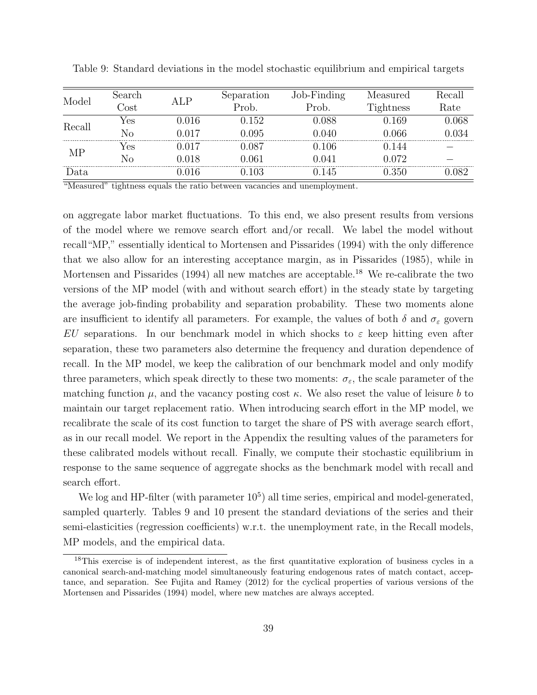| Model          | Search                |                        | Separation | Job-Finding                  | Measured         | Recall |
|----------------|-----------------------|------------------------|------------|------------------------------|------------------|--------|
|                | $\gamma_{\text{ost}}$ |                        | Prob.      | $\mathcal{P}_{\text{rob}}$ . | <b>Tightness</b> | Rate   |
| Recall         | Yes                   | $0.016\,$              | 0.152      | 0.088                        | 169              | J 068  |
|                | No                    | በ በ17                  | ).095      | 0.040                        | 1.066            |        |
|                | res                   | 017                    | LO87       | 0.106                        |                  |        |
| MP             | Nο                    | $\,0.018\,$            | 1.061      | 0.041                        | 072 ا            |        |
| Data           |                       | 016                    |            | 145                          | 350              |        |
| $\sqrt{1 + r}$ |                       | $\cdot$ 1<br>$\cdot$ . | $\bullet$  |                              |                  |        |

Table 9: Standard deviations in the model stochastic equilibrium and empirical targets

"Measured" tightness equals the ratio between vacancies and unemployment.

on aggregate labor market fluctuations. To this end, we also present results from versions of the model where we remove search effort and/or recall. We label the model without recall"MP," essentially identical to Mortensen and Pissarides (1994) with the only difference that we also allow for an interesting acceptance margin, as in Pissarides (1985), while in Mortensen and Pissarides (1994) all new matches are acceptable.<sup>18</sup> We re-calibrate the two versions of the MP model (with and without search effort) in the steady state by targeting the average job-finding probability and separation probability. These two moments alone are insufficient to identify all parameters. For example, the values of both  $\delta$  and  $\sigma_{\varepsilon}$  govern EU separations. In our benchmark model in which shocks to  $\varepsilon$  keep hitting even after separation, these two parameters also determine the frequency and duration dependence of recall. In the MP model, we keep the calibration of our benchmark model and only modify three parameters, which speak directly to these two moments:  $\sigma_{\varepsilon}$ , the scale parameter of the matching function  $\mu$ , and the vacancy posting cost  $\kappa$ . We also reset the value of leisure b to maintain our target replacement ratio. When introducing search effort in the MP model, we recalibrate the scale of its cost function to target the share of PS with average search effort, as in our recall model. We report in the Appendix the resulting values of the parameters for these calibrated models without recall. Finally, we compute their stochastic equilibrium in response to the same sequence of aggregate shocks as the benchmark model with recall and search effort.

We log and HP-filter (with parameter  $10<sup>5</sup>$ ) all time series, empirical and model-generated, sampled quarterly. Tables 9 and 10 present the standard deviations of the series and their semi-elasticities (regression coefficients) w.r.t. the unemployment rate, in the Recall models, MP models, and the empirical data.

<sup>18</sup>This exercise is of independent interest, as the first quantitative exploration of business cycles in a canonical search-and-matching model simultaneously featuring endogenous rates of match contact, acceptance, and separation. See Fujita and Ramey (2012) for the cyclical properties of various versions of the Mortensen and Pissarides (1994) model, where new matches are always accepted.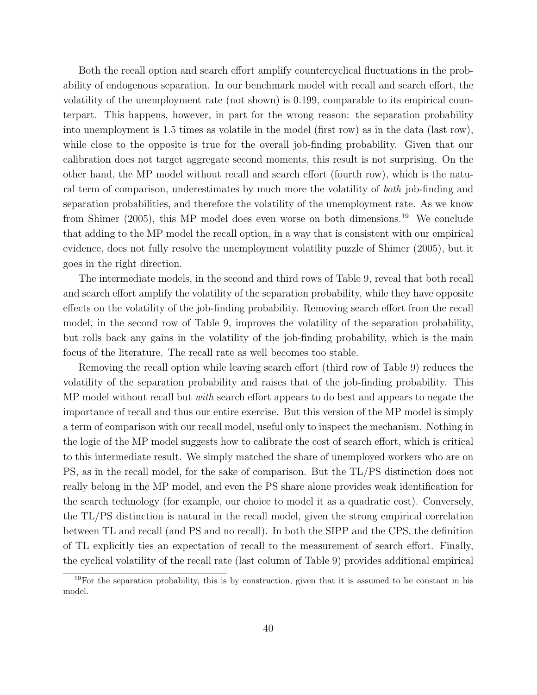Both the recall option and search effort amplify countercyclical fluctuations in the probability of endogenous separation. In our benchmark model with recall and search effort, the volatility of the unemployment rate (not shown) is 0.199, comparable to its empirical counterpart. This happens, however, in part for the wrong reason: the separation probability into unemployment is 1.5 times as volatile in the model (first row) as in the data (last row), while close to the opposite is true for the overall job-finding probability. Given that our calibration does not target aggregate second moments, this result is not surprising. On the other hand, the MP model without recall and search effort (fourth row), which is the natural term of comparison, underestimates by much more the volatility of both job-finding and separation probabilities, and therefore the volatility of the unemployment rate. As we know from Shimer (2005), this MP model does even worse on both dimensions.<sup>19</sup> We conclude that adding to the MP model the recall option, in a way that is consistent with our empirical evidence, does not fully resolve the unemployment volatility puzzle of Shimer (2005), but it goes in the right direction.

The intermediate models, in the second and third rows of Table 9, reveal that both recall and search effort amplify the volatility of the separation probability, while they have opposite effects on the volatility of the job-finding probability. Removing search effort from the recall model, in the second row of Table 9, improves the volatility of the separation probability, but rolls back any gains in the volatility of the job-finding probability, which is the main focus of the literature. The recall rate as well becomes too stable.

Removing the recall option while leaving search effort (third row of Table 9) reduces the volatility of the separation probability and raises that of the job-finding probability. This MP model without recall but *with* search effort appears to do best and appears to negate the importance of recall and thus our entire exercise. But this version of the MP model is simply a term of comparison with our recall model, useful only to inspect the mechanism. Nothing in the logic of the MP model suggests how to calibrate the cost of search effort, which is critical to this intermediate result. We simply matched the share of unemployed workers who are on PS, as in the recall model, for the sake of comparison. But the TL/PS distinction does not really belong in the MP model, and even the PS share alone provides weak identification for the search technology (for example, our choice to model it as a quadratic cost). Conversely, the TL/PS distinction is natural in the recall model, given the strong empirical correlation between TL and recall (and PS and no recall). In both the SIPP and the CPS, the definition of TL explicitly ties an expectation of recall to the measurement of search effort. Finally, the cyclical volatility of the recall rate (last column of Table 9) provides additional empirical

 $19$ For the separation probability, this is by construction, given that it is assumed to be constant in his model.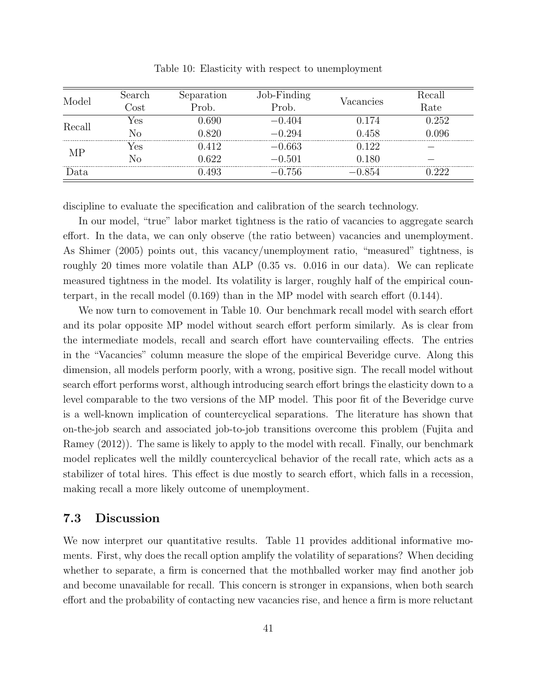| Model  | search | paration<br>5e | $\nu$ -Finding |           | lecal |
|--------|--------|----------------|----------------|-----------|-------|
|        | ЭSt    | Prob.          | 'rob           | Vacancies | Rate  |
| Recall | ∕es    |                |                |           | -252  |
|        | 'N (   | ገ ՋንՐ          | 94             | .458      |       |
| ΜP     | 'es    | 19             | 663            | 199       |       |
|        |        |                | () 501         | 180       |       |
|        |        |                | Ъf             |           |       |

Table 10: Elasticity with respect to unemployment

discipline to evaluate the specification and calibration of the search technology.

In our model, "true" labor market tightness is the ratio of vacancies to aggregate search effort. In the data, we can only observe (the ratio between) vacancies and unemployment. As Shimer (2005) points out, this vacancy/unemployment ratio, "measured" tightness, is roughly 20 times more volatile than ALP (0.35 vs. 0.016 in our data). We can replicate measured tightness in the model. Its volatility is larger, roughly half of the empirical counterpart, in the recall model (0.169) than in the MP model with search effort (0.144).

We now turn to comovement in Table 10. Our benchmark recall model with search effort and its polar opposite MP model without search effort perform similarly. As is clear from the intermediate models, recall and search effort have countervailing effects. The entries in the "Vacancies" column measure the slope of the empirical Beveridge curve. Along this dimension, all models perform poorly, with a wrong, positive sign. The recall model without search effort performs worst, although introducing search effort brings the elasticity down to a level comparable to the two versions of the MP model. This poor fit of the Beveridge curve is a well-known implication of countercyclical separations. The literature has shown that on-the-job search and associated job-to-job transitions overcome this problem (Fujita and Ramey (2012)). The same is likely to apply to the model with recall. Finally, our benchmark model replicates well the mildly countercyclical behavior of the recall rate, which acts as a stabilizer of total hires. This effect is due mostly to search effort, which falls in a recession, making recall a more likely outcome of unemployment.

#### 7.3 Discussion

We now interpret our quantitative results. Table 11 provides additional informative moments. First, why does the recall option amplify the volatility of separations? When deciding whether to separate, a firm is concerned that the mothballed worker may find another job and become unavailable for recall. This concern is stronger in expansions, when both search effort and the probability of contacting new vacancies rise, and hence a firm is more reluctant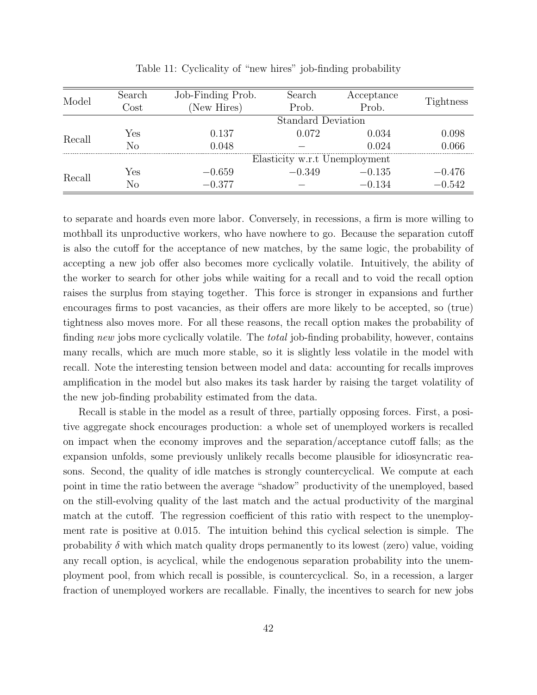| Model  | Search   | Job-Finding Prob. | Search                        | Acceptance | Tightness |
|--------|----------|-------------------|-------------------------------|------------|-----------|
|        | $\cos t$ | New Hires)        | Prob.                         | Prob.      |           |
|        |          |                   | <b>Standard Deviation</b>     |            |           |
|        | Yes      | 0.137             | 0.072                         | 0.034      | 0.098     |
| Recall | Nο       | 0.048             |                               | 0.024      | 0.066     |
|        |          |                   | Elasticity w.r.t Unemployment |            |           |
|        | Yes      | $-0.659$          | $-0.349$                      | $-0.135$   | $-0.476$  |
| Recall | No       | $-0.377$          |                               | $-0.134$   | $-0.542$  |

Table 11: Cyclicality of "new hires" job-finding probability

to separate and hoards even more labor. Conversely, in recessions, a firm is more willing to mothball its unproductive workers, who have nowhere to go. Because the separation cutoff is also the cutoff for the acceptance of new matches, by the same logic, the probability of accepting a new job offer also becomes more cyclically volatile. Intuitively, the ability of the worker to search for other jobs while waiting for a recall and to void the recall option raises the surplus from staying together. This force is stronger in expansions and further encourages firms to post vacancies, as their offers are more likely to be accepted, so (true) tightness also moves more. For all these reasons, the recall option makes the probability of finding new jobs more cyclically volatile. The *total* job-finding probability, however, contains many recalls, which are much more stable, so it is slightly less volatile in the model with recall. Note the interesting tension between model and data: accounting for recalls improves amplification in the model but also makes its task harder by raising the target volatility of the new job-finding probability estimated from the data.

Recall is stable in the model as a result of three, partially opposing forces. First, a positive aggregate shock encourages production: a whole set of unemployed workers is recalled on impact when the economy improves and the separation/acceptance cutoff falls; as the expansion unfolds, some previously unlikely recalls become plausible for idiosyncratic reasons. Second, the quality of idle matches is strongly countercyclical. We compute at each point in time the ratio between the average "shadow" productivity of the unemployed, based on the still-evolving quality of the last match and the actual productivity of the marginal match at the cutoff. The regression coefficient of this ratio with respect to the unemployment rate is positive at 0.015. The intuition behind this cyclical selection is simple. The probability  $\delta$  with which match quality drops permanently to its lowest (zero) value, voiding any recall option, is acyclical, while the endogenous separation probability into the unemployment pool, from which recall is possible, is countercyclical. So, in a recession, a larger fraction of unemployed workers are recallable. Finally, the incentives to search for new jobs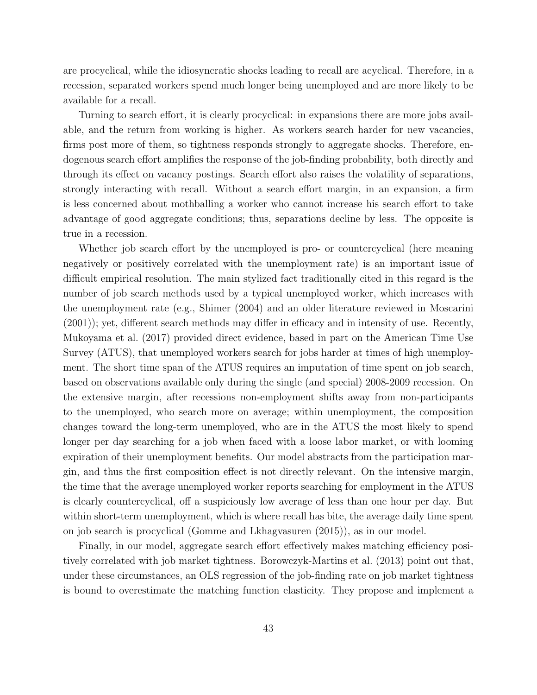are procyclical, while the idiosyncratic shocks leading to recall are acyclical. Therefore, in a recession, separated workers spend much longer being unemployed and are more likely to be available for a recall.

Turning to search effort, it is clearly procyclical: in expansions there are more jobs available, and the return from working is higher. As workers search harder for new vacancies, firms post more of them, so tightness responds strongly to aggregate shocks. Therefore, endogenous search effort amplifies the response of the job-finding probability, both directly and through its effect on vacancy postings. Search effort also raises the volatility of separations, strongly interacting with recall. Without a search effort margin, in an expansion, a firm is less concerned about mothballing a worker who cannot increase his search effort to take advantage of good aggregate conditions; thus, separations decline by less. The opposite is true in a recession.

Whether job search effort by the unemployed is pro- or countercyclical (here meaning negatively or positively correlated with the unemployment rate) is an important issue of difficult empirical resolution. The main stylized fact traditionally cited in this regard is the number of job search methods used by a typical unemployed worker, which increases with the unemployment rate (e.g., Shimer (2004) and an older literature reviewed in Moscarini (2001)); yet, different search methods may differ in efficacy and in intensity of use. Recently, Mukoyama et al. (2017) provided direct evidence, based in part on the American Time Use Survey (ATUS), that unemployed workers search for jobs harder at times of high unemployment. The short time span of the ATUS requires an imputation of time spent on job search, based on observations available only during the single (and special) 2008-2009 recession. On the extensive margin, after recessions non-employment shifts away from non-participants to the unemployed, who search more on average; within unemployment, the composition changes toward the long-term unemployed, who are in the ATUS the most likely to spend longer per day searching for a job when faced with a loose labor market, or with looming expiration of their unemployment benefits. Our model abstracts from the participation margin, and thus the first composition effect is not directly relevant. On the intensive margin, the time that the average unemployed worker reports searching for employment in the ATUS is clearly countercyclical, off a suspiciously low average of less than one hour per day. But within short-term unemployment, which is where recall has bite, the average daily time spent on job search is procyclical (Gomme and Lkhagvasuren (2015)), as in our model.

Finally, in our model, aggregate search effort effectively makes matching efficiency positively correlated with job market tightness. Borowczyk-Martins et al. (2013) point out that, under these circumstances, an OLS regression of the job-finding rate on job market tightness is bound to overestimate the matching function elasticity. They propose and implement a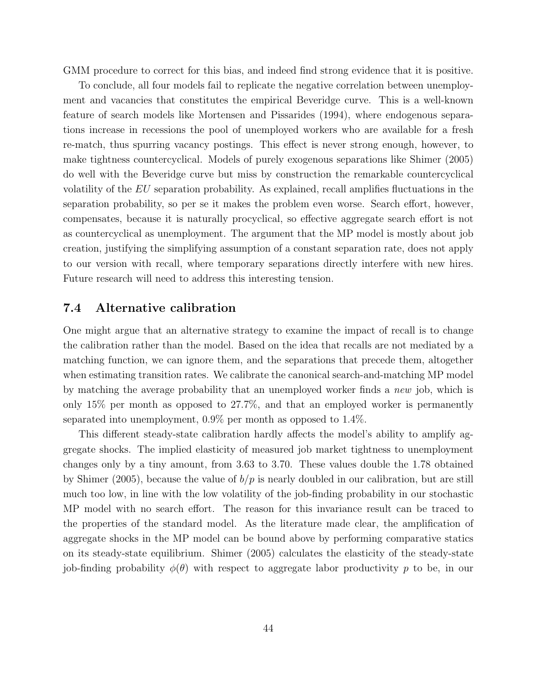GMM procedure to correct for this bias, and indeed find strong evidence that it is positive.

To conclude, all four models fail to replicate the negative correlation between unemployment and vacancies that constitutes the empirical Beveridge curve. This is a well-known feature of search models like Mortensen and Pissarides (1994), where endogenous separations increase in recessions the pool of unemployed workers who are available for a fresh re-match, thus spurring vacancy postings. This effect is never strong enough, however, to make tightness countercyclical. Models of purely exogenous separations like Shimer (2005) do well with the Beveridge curve but miss by construction the remarkable countercyclical volatility of the EU separation probability. As explained, recall amplifies fluctuations in the separation probability, so per se it makes the problem even worse. Search effort, however, compensates, because it is naturally procyclical, so effective aggregate search effort is not as countercyclical as unemployment. The argument that the MP model is mostly about job creation, justifying the simplifying assumption of a constant separation rate, does not apply to our version with recall, where temporary separations directly interfere with new hires. Future research will need to address this interesting tension.

#### 7.4 Alternative calibration

One might argue that an alternative strategy to examine the impact of recall is to change the calibration rather than the model. Based on the idea that recalls are not mediated by a matching function, we can ignore them, and the separations that precede them, altogether when estimating transition rates. We calibrate the canonical search-and-matching MP model by matching the average probability that an unemployed worker finds a *new* job, which is only 15% per month as opposed to 27.7%, and that an employed worker is permanently separated into unemployment, 0.9% per month as opposed to 1.4%.

This different steady-state calibration hardly affects the model's ability to amplify aggregate shocks. The implied elasticity of measured job market tightness to unemployment changes only by a tiny amount, from 3.63 to 3.70. These values double the 1.78 obtained by Shimer (2005), because the value of  $b/p$  is nearly doubled in our calibration, but are still much too low, in line with the low volatility of the job-finding probability in our stochastic MP model with no search effort. The reason for this invariance result can be traced to the properties of the standard model. As the literature made clear, the amplification of aggregate shocks in the MP model can be bound above by performing comparative statics on its steady-state equilibrium. Shimer (2005) calculates the elasticity of the steady-state job-finding probability  $\phi(\theta)$  with respect to aggregate labor productivity p to be, in our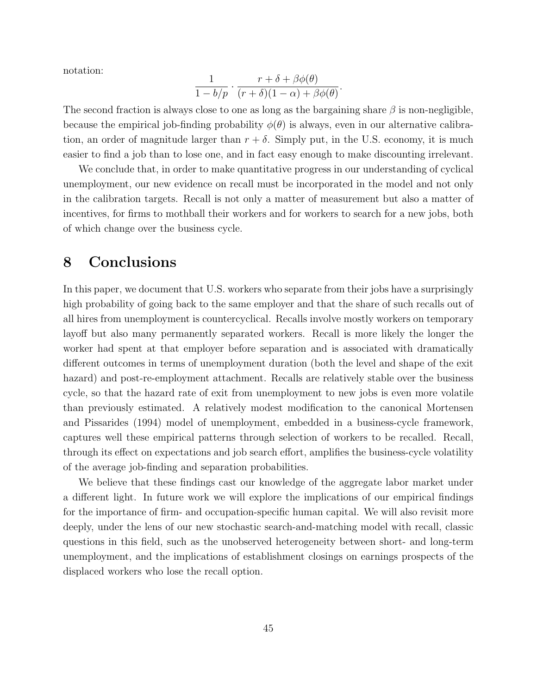notation:

$$
\frac{1}{1-b/p} \cdot \frac{r+\delta+\beta\phi(\theta)}{(r+\delta)(1-\alpha)+\beta\phi(\theta)}.
$$

The second fraction is always close to one as long as the bargaining share  $\beta$  is non-negligible, because the empirical job-finding probability  $\phi(\theta)$  is always, even in our alternative calibration, an order of magnitude larger than  $r + \delta$ . Simply put, in the U.S. economy, it is much easier to find a job than to lose one, and in fact easy enough to make discounting irrelevant.

We conclude that, in order to make quantitative progress in our understanding of cyclical unemployment, our new evidence on recall must be incorporated in the model and not only in the calibration targets. Recall is not only a matter of measurement but also a matter of incentives, for firms to mothball their workers and for workers to search for a new jobs, both of which change over the business cycle.

### 8 Conclusions

In this paper, we document that U.S. workers who separate from their jobs have a surprisingly high probability of going back to the same employer and that the share of such recalls out of all hires from unemployment is countercyclical. Recalls involve mostly workers on temporary layoff but also many permanently separated workers. Recall is more likely the longer the worker had spent at that employer before separation and is associated with dramatically different outcomes in terms of unemployment duration (both the level and shape of the exit hazard) and post-re-employment attachment. Recalls are relatively stable over the business cycle, so that the hazard rate of exit from unemployment to new jobs is even more volatile than previously estimated. A relatively modest modification to the canonical Mortensen and Pissarides (1994) model of unemployment, embedded in a business-cycle framework, captures well these empirical patterns through selection of workers to be recalled. Recall, through its effect on expectations and job search effort, amplifies the business-cycle volatility of the average job-finding and separation probabilities.

We believe that these findings cast our knowledge of the aggregate labor market under a different light. In future work we will explore the implications of our empirical findings for the importance of firm- and occupation-specific human capital. We will also revisit more deeply, under the lens of our new stochastic search-and-matching model with recall, classic questions in this field, such as the unobserved heterogeneity between short- and long-term unemployment, and the implications of establishment closings on earnings prospects of the displaced workers who lose the recall option.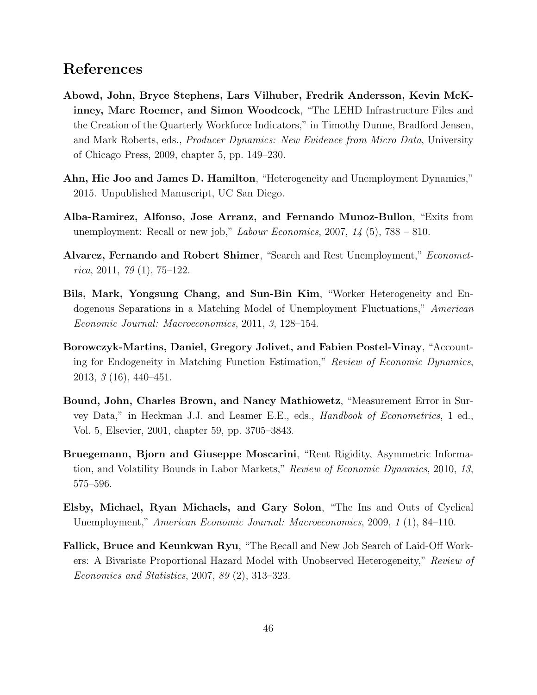## References

- Abowd, John, Bryce Stephens, Lars Vilhuber, Fredrik Andersson, Kevin McKinney, Marc Roemer, and Simon Woodcock, "The LEHD Infrastructure Files and the Creation of the Quarterly Workforce Indicators," in Timothy Dunne, Bradford Jensen, and Mark Roberts, eds., Producer Dynamics: New Evidence from Micro Data, University of Chicago Press, 2009, chapter 5, pp. 149–230.
- Ahn, Hie Joo and James D. Hamilton, "Heterogeneity and Unemployment Dynamics," 2015. Unpublished Manuscript, UC San Diego.
- Alba-Ramirez, Alfonso, Jose Arranz, and Fernando Munoz-Bullon, "Exits from unemployment: Recall or new job," *Labour Economics*, 2007,  $14$  (5), 788 – 810.
- Alvarez, Fernando and Robert Shimer, "Search and Rest Unemployment," Economet $rica, 2011, 79(1), 75-122.$
- Bils, Mark, Yongsung Chang, and Sun-Bin Kim, "Worker Heterogeneity and Endogenous Separations in a Matching Model of Unemployment Fluctuations," American Economic Journal: Macroeconomics, 2011, 3, 128–154.
- Borowczyk-Martins, Daniel, Gregory Jolivet, and Fabien Postel-Vinay, "Accounting for Endogeneity in Matching Function Estimation," Review of Economic Dynamics, 2013, 3 (16), 440–451.
- Bound, John, Charles Brown, and Nancy Mathiowetz, "Measurement Error in Survey Data," in Heckman J.J. and Leamer E.E., eds., Handbook of Econometrics, 1 ed., Vol. 5, Elsevier, 2001, chapter 59, pp. 3705–3843.
- Bruegemann, Bjorn and Giuseppe Moscarini, "Rent Rigidity, Asymmetric Information, and Volatility Bounds in Labor Markets," Review of Economic Dynamics, 2010, 13, 575–596.
- Elsby, Michael, Ryan Michaels, and Gary Solon, "The Ins and Outs of Cyclical Unemployment," American Economic Journal: Macroeconomics, 2009, 1 (1), 84–110.
- Fallick, Bruce and Keunkwan Ryu, "The Recall and New Job Search of Laid-Off Workers: A Bivariate Proportional Hazard Model with Unobserved Heterogeneity," Review of Economics and Statistics, 2007, 89 (2), 313–323.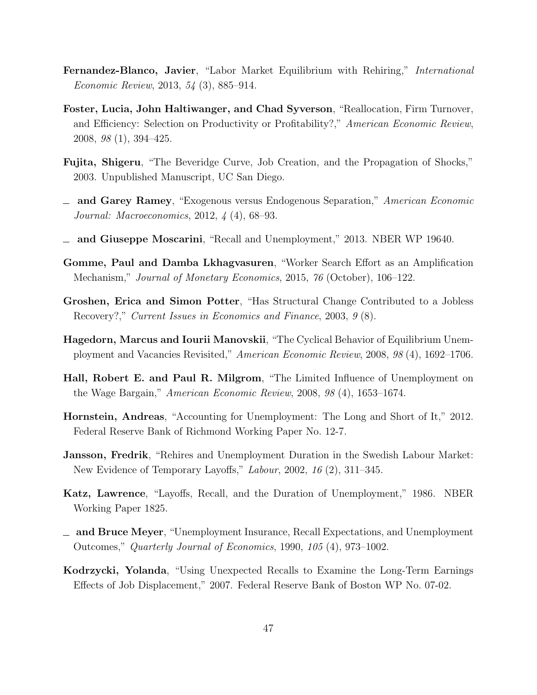- Fernandez-Blanco, Javier, "Labor Market Equilibrium with Rehiring," International Economic Review, 2013, 54 (3), 885–914.
- Foster, Lucia, John Haltiwanger, and Chad Syverson, "Reallocation, Firm Turnover, and Efficiency: Selection on Productivity or Profitability?," American Economic Review, 2008, 98 (1), 394–425.
- Fujita, Shigeru, "The Beveridge Curve, Job Creation, and the Propagation of Shocks," 2003. Unpublished Manuscript, UC San Diego.
- and Garey Ramey, "Exogenous versus Endogenous Separation," American Economic Journal: Macroeconomics, 2012, 4 (4), 68–93.
- and Giuseppe Moscarini, "Recall and Unemployment," 2013. NBER WP 19640.
- Gomme, Paul and Damba Lkhagvasuren, "Worker Search Effort as an Amplification Mechanism," Journal of Monetary Economics, 2015, 76 (October), 106–122.
- Groshen, Erica and Simon Potter, "Has Structural Change Contributed to a Jobless Recovery?," Current Issues in Economics and Finance, 2003, 9 (8).
- Hagedorn, Marcus and Iourii Manovskii, "The Cyclical Behavior of Equilibrium Unemployment and Vacancies Revisited," American Economic Review, 2008, 98 (4), 1692–1706.
- Hall, Robert E. and Paul R. Milgrom, "The Limited Influence of Unemployment on the Wage Bargain," American Economic Review, 2008, 98 (4), 1653–1674.
- Hornstein, Andreas, "Accounting for Unemployment: The Long and Short of It," 2012. Federal Reserve Bank of Richmond Working Paper No. 12-7.
- Jansson, Fredrik, "Rehires and Unemployment Duration in the Swedish Labour Market: New Evidence of Temporary Layoffs," Labour, 2002, 16 (2), 311–345.
- Katz, Lawrence, "Layoffs, Recall, and the Duration of Unemployment," 1986. NBER Working Paper 1825.
- and Bruce Meyer, "Unemployment Insurance, Recall Expectations, and Unemployment Outcomes," Quarterly Journal of Economics, 1990, 105 (4), 973–1002.
- Kodrzycki, Yolanda, "Using Unexpected Recalls to Examine the Long-Term Earnings Effects of Job Displacement," 2007. Federal Reserve Bank of Boston WP No. 07-02.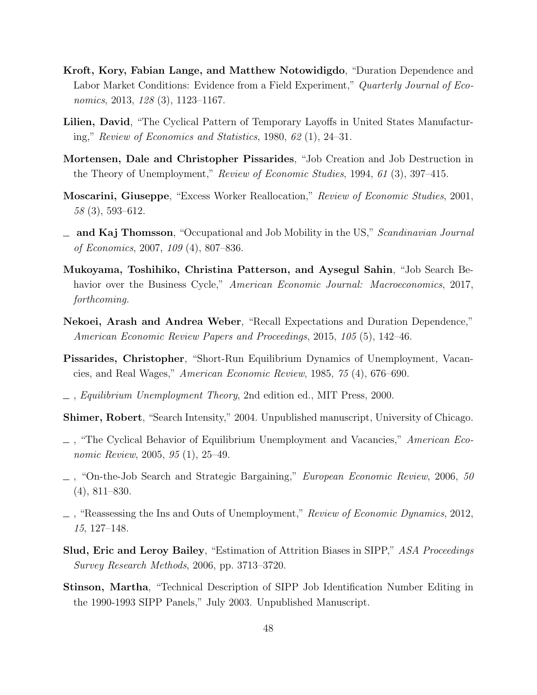- Kroft, Kory, Fabian Lange, and Matthew Notowidigdo, "Duration Dependence and Labor Market Conditions: Evidence from a Field Experiment," Quarterly Journal of Economics, 2013, 128 (3), 1123-1167.
- Lilien, David, "The Cyclical Pattern of Temporary Layoffs in United States Manufacturing," Review of Economics and Statistics, 1980, 62 (1), 24–31.
- Mortensen, Dale and Christopher Pissarides, "Job Creation and Job Destruction in the Theory of Unemployment," Review of Economic Studies, 1994, 61 (3), 397–415.
- Moscarini, Giuseppe, "Excess Worker Reallocation," Review of Economic Studies, 2001, 58 (3), 593–612.
- $\equiv$  and Kaj Thomsson, "Occupational and Job Mobility in the US," Scandinavian Journal of Economics, 2007, 109 (4), 807–836.
- Mukoyama, Toshihiko, Christina Patterson, and Aysegul Sahin, "Job Search Behavior over the Business Cycle," American Economic Journal: Macroeconomics, 2017, forthcoming.
- Nekoei, Arash and Andrea Weber, "Recall Expectations and Duration Dependence," American Economic Review Papers and Proceedings, 2015, 105 (5), 142–46.
- Pissarides, Christopher, "Short-Run Equilibrium Dynamics of Unemployment, Vacancies, and Real Wages," American Economic Review, 1985, 75 (4), 676–690.
- $\Box$ , Equilibrium Unemployment Theory, 2nd edition ed., MIT Press, 2000.
- Shimer, Robert, "Search Intensity," 2004. Unpublished manuscript, University of Chicago.
- $\Box$ , "The Cyclical Behavior of Equilibrium Unemployment and Vacancies," American Economic Review, 2005, 95 (1), 25–49.
- , "On-the-Job Search and Strategic Bargaining," European Economic Review, 2006, 50 (4), 811–830.
- $\Box$ , "Reassessing the Ins and Outs of Unemployment," Review of Economic Dynamics, 2012, 15, 127–148.
- Slud, Eric and Leroy Bailey, "Estimation of Attrition Biases in SIPP," ASA Proceedings Survey Research Methods, 2006, pp. 3713–3720.
- Stinson, Martha, "Technical Description of SIPP Job Identification Number Editing in the 1990-1993 SIPP Panels," July 2003. Unpublished Manuscript.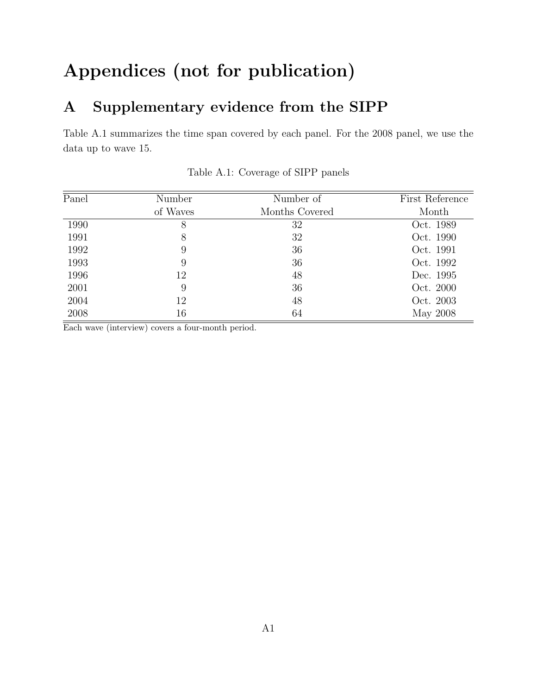# Appendices (not for publication)

## A Supplementary evidence from the SIPP

Table A.1 summarizes the time span covered by each panel. For the 2008 panel, we use the data up to wave 15.

| Panel | Number   | Number of      | First Reference |
|-------|----------|----------------|-----------------|
|       | of Waves | Months Covered | Month           |
| 1990  | 8        | 32             | Oct. 1989       |
| 1991  | 8        | 32             | Oct. 1990       |
| 1992  | 9        | 36             | Oct. 1991       |
| 1993  | 9        | 36             | Oct. 1992       |
| 1996  | 12       | 48             | Dec. 1995       |
| 2001  | 9        | 36             | Oct. 2000       |
| 2004  | 12       | 48             | Oct. 2003       |
| 2008  | 16       | 64             | May 2008        |

Table A.1: Coverage of SIPP panels

Each wave (interview) covers a four-month period.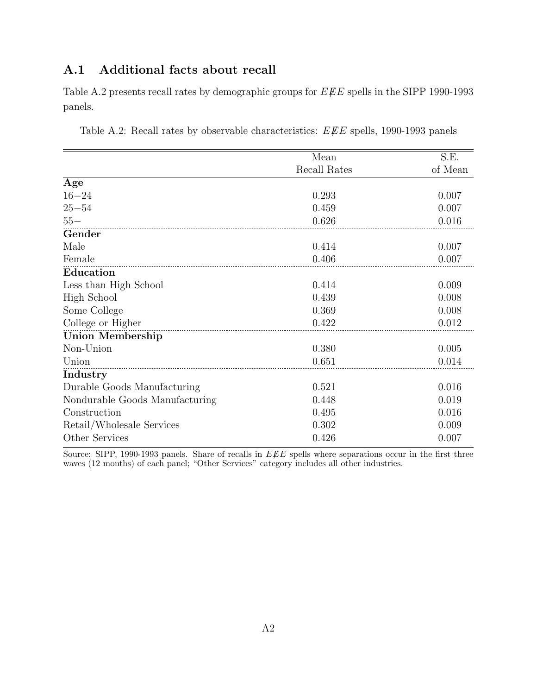## A.1 Additional facts about recall

Table A.2 presents recall rates by demographic groups for  $E\rlap{\,/}E E$  spells in the SIPP 1990-1993 panels.

| Table A.2: Recall rates by observable characteristics: $E \cancel{E} E$ spells, 1990-1993 panels |  |  |
|--------------------------------------------------------------------------------------------------|--|--|
|                                                                                                  |  |  |

|                                | Mean         | S.E.    |
|--------------------------------|--------------|---------|
|                                | Recall Rates | of Mean |
| Age                            |              |         |
| $16 - 24$                      | 0.293        | 0.007   |
| $25 - 54$                      | 0.459        | 0.007   |
| $55 -$                         | 0.626        | 0.016   |
| Gender                         |              |         |
| Male                           | 0.414        | 0.007   |
| Female                         | 0.406        | 0.007   |
| Education                      |              |         |
| Less than High School          | 0.414        | 0.009   |
| High School                    | 0.439        | 0.008   |
| Some College                   | 0.369        | 0.008   |
| College or Higher              | 0.422        | 0.012   |
| <b>Union Membership</b>        |              |         |
| Non-Union                      | 0.380        | 0.005   |
| Union                          | 0.651        | 0.014   |
| Industry                       |              |         |
| Durable Goods Manufacturing    | 0.521        | 0.016   |
| Nondurable Goods Manufacturing | 0.448        | 0.019   |
| Construction                   | 0.495        | 0.016   |
| Retail/Wholesale Services      | 0.302        | 0.009   |
| Other Services                 | 0.426        | 0.007   |

Source: SIPP, 1990-1993 panels. Share of recalls in  $EFE$  spells where separations occur in the first three waves (12 months) of each panel; "Other Services" category includes all other industries.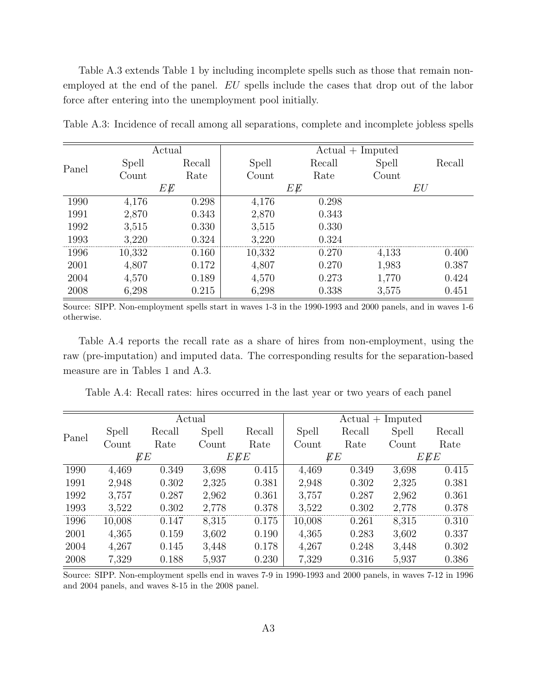Table A.3 extends Table 1 by including incomplete spells such as those that remain nonemployed at the end of the panel. EU spells include the cases that drop out of the labor force after entering into the unemployment pool initially.

|       |        | Actual | $Actual + Imputed$ |        |       |        |  |
|-------|--------|--------|--------------------|--------|-------|--------|--|
|       | Spell  | Recall | Spell              | Recall | Spell | Recall |  |
| Panel | Count  | Rate   | Count              | Rate   | Count |        |  |
|       |        | ΕĘ     |                    | ЕĘ     |       | EU     |  |
| 1990  | 4,176  | 0.298  | 4,176              | 0.298  |       |        |  |
| 1991  | 2,870  | 0.343  | 2,870              | 0.343  |       |        |  |
| 1992  | 3,515  | 0.330  | 3,515              | 0.330  |       |        |  |
| 1993  | 3.220  | 0.324  | 3,220              | 0.324  |       |        |  |
| 1996  | 10,332 | 0.160  | 10,332             | 0.270  | 4,133 | 0.400  |  |
| 2001  | 4,807  | 0.172  | 4,807              | 0.270  | 1,983 | 0.387  |  |
| 2004  | 4,570  | 0.189  | 4,570              | 0.273  | 1,770 | 0.424  |  |
| 2008  | 6,298  | 0.215  | 6,298              | 0.338  | 3,575 | 0.451  |  |

Table A.3: Incidence of recall among all separations, complete and incomplete jobless spells

Source: SIPP. Non-employment spells start in waves 1-3 in the 1990-1993 and 2000 panels, and in waves 1-6 otherwise.

Table A.4 reports the recall rate as a share of hires from non-employment, using the raw (pre-imputation) and imputed data. The corresponding results for the separation-based measure are in Tables 1 and A.3.

Table A.4: Recall rates: hires occurred in the last year or two years of each panel

|       |        | Actual |       |        | $Actual + Imputed$ |        |       |        |
|-------|--------|--------|-------|--------|--------------------|--------|-------|--------|
|       | Spell  | Recall | Spell | Recall | Spell              | Recall | Spell | Recall |
| Panel | Count  | Rate   | Count | Rate   | Count              | Rate   | Count | Rate   |
|       |        | ÆЕ     |       | EEE    |                    | EЕ     |       | EEE    |
| 1990  | 4,469  | 0.349  | 3,698 | 0.415  | 4,469              | 0.349  | 3,698 | 0.415  |
| 1991  | 2,948  | 0.302  | 2,325 | 0.381  | 2,948              | 0.302  | 2,325 | 0.381  |
| 1992  | 3,757  | 0.287  | 2,962 | 0.361  | 3,757              | 0.287  | 2,962 | 0.361  |
| 1993  | 3,522  | 0.302  | 2,778 | 0.378  | 3,522              | 0.302  | 2,778 | 0.378  |
| 1996  | 10,008 | 0.147  | 8,315 | 0.175  | 10,008             | 0.261  | 8,315 | 0.310  |
| 2001  | 4,365  | 0.159  | 3,602 | 0.190  | 4,365              | 0.283  | 3,602 | 0.337  |
| 2004  | 4,267  | 0.145  | 3,448 | 0.178  | 4,267              | 0.248  | 3,448 | 0.302  |
| 2008  | 7,329  | 0.188  | 5,937 | 0.230  | 7,329              | 0.316  | 5,937 | 0.386  |

Source: SIPP. Non-employment spells end in waves 7-9 in 1990-1993 and 2000 panels, in waves 7-12 in 1996 and 2004 panels, and waves 8-15 in the 2008 panel.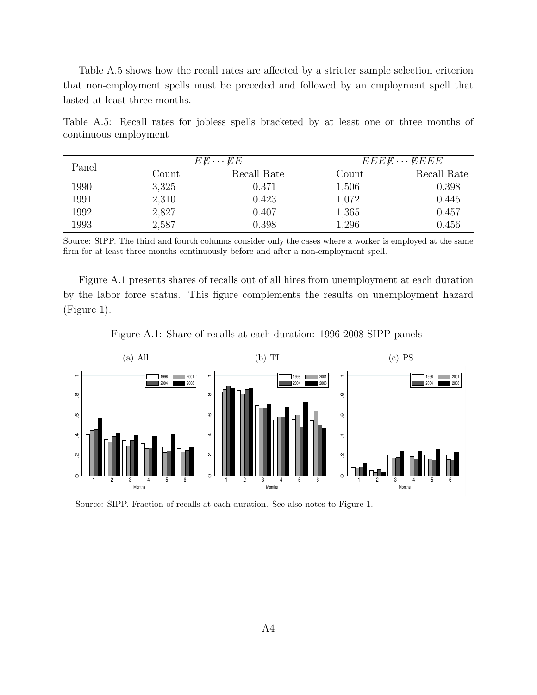Table A.5 shows how the recall rates are affected by a stricter sample selection criterion that non-employment spells must be preceded and followed by an employment spell that lasted at least three months.

Table A.5: Recall rates for jobless spells bracketed by at least one or three months of continuous employment

| Panel |       | $E \cancel{E} \cdots \cancel{E} E$ |       | $EEEE\cdots EEEE$ |
|-------|-------|------------------------------------|-------|-------------------|
|       | Count | Recall Rate                        | Count | Recall Rate       |
| 1990  | 3,325 | 0.371                              | 1,506 | 0.398             |
| 1991  | 2,310 | 0.423                              | 1,072 | 0.445             |
| 1992  | 2,827 | 0.407                              | 1,365 | 0.457             |
| 1993  | 2,587 | 0.398                              | 1,296 | 0.456             |

Source: SIPP. The third and fourth columns consider only the cases where a worker is employed at the same firm for at least three months continuously before and after a non-employment spell.

Figure A.1 presents shares of recalls out of all hires from unemployment at each duration by the labor force status. This figure complements the results on unemployment hazard (Figure 1).

Figure A.1: Share of recalls at each duration: 1996-2008 SIPP panels



Source: SIPP. Fraction of recalls at each duration. See also notes to Figure 1.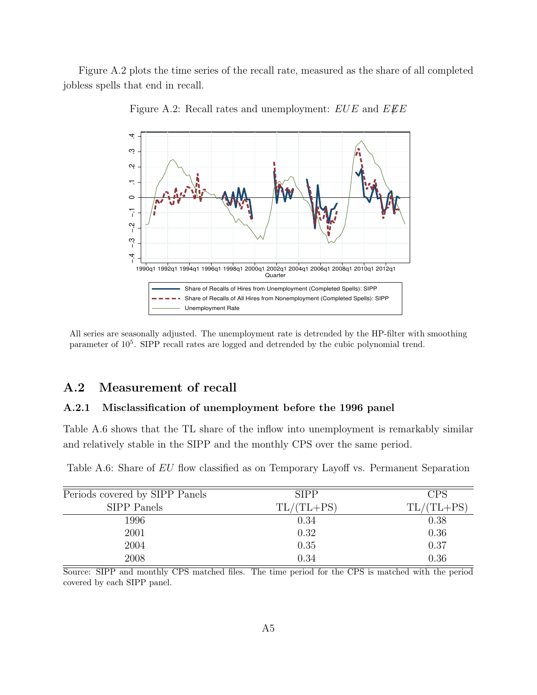Figure A.2 plots the time series of the recall rate, measured as the share of all completed jobless spells that end in recall.



Figure A.2: Recall rates and unemployment:  $EUE$  and  $EEE$ 

All series are seasonally adjusted. The unemployment rate is detrended by the HP-filter with smoothing parameter of  $10^5$ . SIPP recall rates are logged and detrended by the cubic polynomial trend.

#### A.2 Measurement of recall

#### A.2.1 Misclassification of unemployment before the 1996 panel

Table A.6 shows that the TL share of the inflow into unemployment is remarkably similar and relatively stable in the SIPP and the monthly CPS over the same period.

| Periods covered by SIPP Panels | <b>SIPP</b>  | <b>CPS</b>   |
|--------------------------------|--------------|--------------|
| <b>SIPP</b> Panels             | $TL/(TL+PS)$ | $TL/(TL+PS)$ |
| 1996                           | 0.34         | 0.38         |
| 2001                           | 0.32         | 0.36         |
| 2004                           | 0.35         | 0.37         |
| 2008                           | 0.34         | 0.36         |

Table A.6: Share of EU flow classified as on Temporary Layoff vs. Permanent Separation

Source: SIPP and monthly CPS matched files. The time period for the CPS is matched with the period covered by each SIPP panel.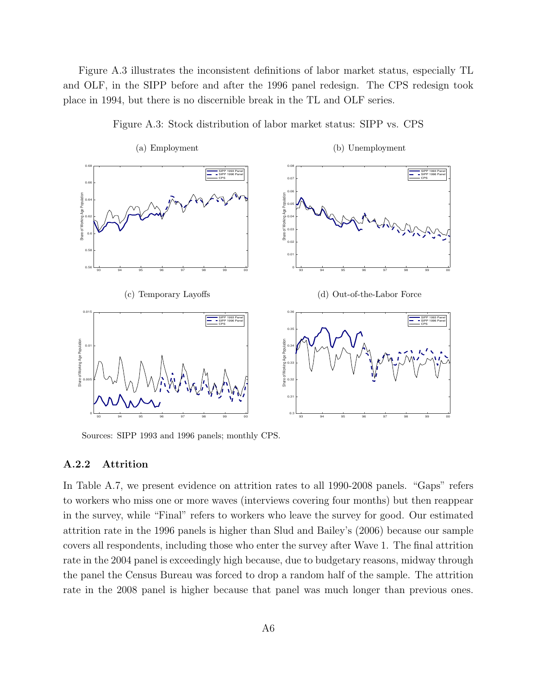Figure A.3 illustrates the inconsistent definitions of labor market status, especially TL and OLF, in the SIPP before and after the 1996 panel redesign. The CPS redesign took place in 1994, but there is no discernible break in the TL and OLF series.



Figure A.3: Stock distribution of labor market status: SIPP vs. CPS

Sources: SIPP 1993 and 1996 panels; monthly CPS.

#### A.2.2 Attrition

In Table A.7, we present evidence on attrition rates to all 1990-2008 panels. "Gaps" refers to workers who miss one or more waves (interviews covering four months) but then reappear in the survey, while "Final" refers to workers who leave the survey for good. Our estimated attrition rate in the 1996 panels is higher than Slud and Bailey's (2006) because our sample covers all respondents, including those who enter the survey after Wave 1. The final attrition rate in the 2004 panel is exceedingly high because, due to budgetary reasons, midway through the panel the Census Bureau was forced to drop a random half of the sample. The attrition rate in the 2008 panel is higher because that panel was much longer than previous ones.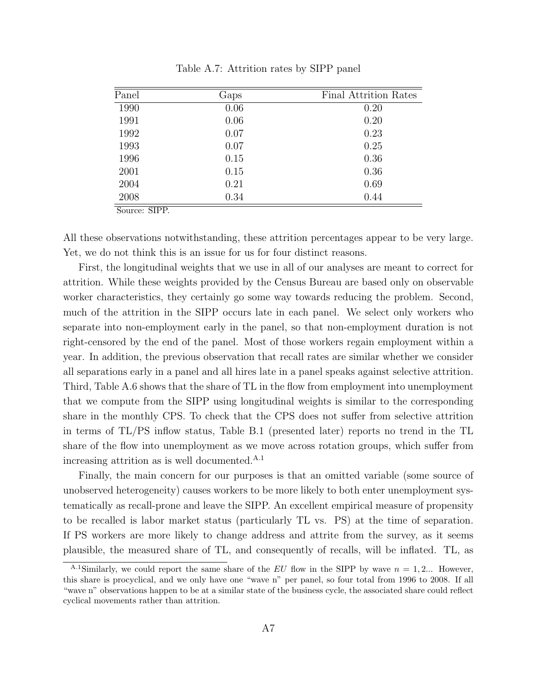| Panel | Gaps | <b>Final Attrition Rates</b> |
|-------|------|------------------------------|
| 1990  | 0.06 | 0.20                         |
| 1991  | 0.06 | 0.20                         |
| 1992  | 0.07 | 0.23                         |
| 1993  | 0.07 | 0.25                         |
| 1996  | 0.15 | 0.36                         |
| 2001  | 0.15 | 0.36                         |
| 2004  | 0.21 | 0.69                         |
| 2008  | 0.34 | 0.44                         |

Table A.7: Attrition rates by SIPP panel

Source: SIPP.

All these observations notwithstanding, these attrition percentages appear to be very large. Yet, we do not think this is an issue for us for four distinct reasons.

First, the longitudinal weights that we use in all of our analyses are meant to correct for attrition. While these weights provided by the Census Bureau are based only on observable worker characteristics, they certainly go some way towards reducing the problem. Second, much of the attrition in the SIPP occurs late in each panel. We select only workers who separate into non-employment early in the panel, so that non-employment duration is not right-censored by the end of the panel. Most of those workers regain employment within a year. In addition, the previous observation that recall rates are similar whether we consider all separations early in a panel and all hires late in a panel speaks against selective attrition. Third, Table A.6 shows that the share of TL in the flow from employment into unemployment that we compute from the SIPP using longitudinal weights is similar to the corresponding share in the monthly CPS. To check that the CPS does not suffer from selective attrition in terms of TL/PS inflow status, Table B.1 (presented later) reports no trend in the TL share of the flow into unemployment as we move across rotation groups, which suffer from increasing attrition as is well documented.<sup>A.1</sup>

Finally, the main concern for our purposes is that an omitted variable (some source of unobserved heterogeneity) causes workers to be more likely to both enter unemployment systematically as recall-prone and leave the SIPP. An excellent empirical measure of propensity to be recalled is labor market status (particularly TL vs. PS) at the time of separation. If PS workers are more likely to change address and attrite from the survey, as it seems plausible, the measured share of TL, and consequently of recalls, will be inflated. TL, as

<sup>&</sup>lt;sup>A.1</sup>Similarly, we could report the same share of the EU flow in the SIPP by wave  $n = 1, 2...$  However, this share is procyclical, and we only have one "wave n" per panel, so four total from 1996 to 2008. If all "wave n" observations happen to be at a similar state of the business cycle, the associated share could reflect cyclical movements rather than attrition.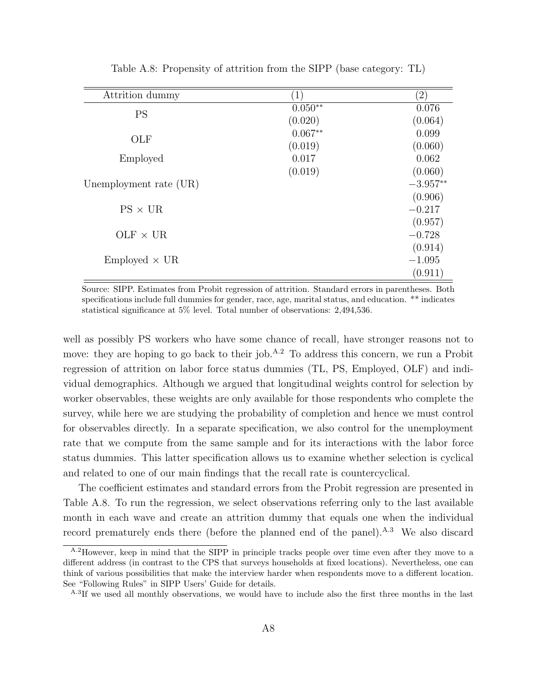| Attrition dummy        | $\left(1\right)$ | $\left( 2\right)$ |
|------------------------|------------------|-------------------|
| <b>PS</b>              | $0.050**$        | 0.076             |
|                        | (0.020)          | (0.064)           |
| OLF                    | $0.067**$        | 0.099             |
|                        | (0.019)          | (0.060)           |
| Employed               | 0.017            | 0.062             |
|                        | (0.019)          | (0.060)           |
| Unemployment rate (UR) |                  | $-3.957**$        |
|                        |                  | (0.906)           |
| $PS \times UR$         |                  | $-0.217$          |
|                        |                  | (0.957)           |
| $OLF \times UR$        |                  | $-0.728$          |
|                        |                  | (0.914)           |
| $Emploved \times UR$   |                  | $-1.095$          |
|                        |                  | (0.911)           |

Table A.8: Propensity of attrition from the SIPP (base category: TL)

Source: SIPP. Estimates from Probit regression of attrition. Standard errors in parentheses. Both specifications include full dummies for gender, race, age, marital status, and education. \*\* indicates statistical significance at 5% level. Total number of observations: 2,494,536.

well as possibly PS workers who have some chance of recall, have stronger reasons not to move: they are hoping to go back to their job.<sup>A.2</sup> To address this concern, we run a Probit regression of attrition on labor force status dummies (TL, PS, Employed, OLF) and individual demographics. Although we argued that longitudinal weights control for selection by worker observables, these weights are only available for those respondents who complete the survey, while here we are studying the probability of completion and hence we must control for observables directly. In a separate specification, we also control for the unemployment rate that we compute from the same sample and for its interactions with the labor force status dummies. This latter specification allows us to examine whether selection is cyclical and related to one of our main findings that the recall rate is countercyclical.

The coefficient estimates and standard errors from the Probit regression are presented in Table A.8. To run the regression, we select observations referring only to the last available month in each wave and create an attrition dummy that equals one when the individual record prematurely ends there (before the planned end of the panel).<sup>A.3</sup> We also discard

A.2However, keep in mind that the SIPP in principle tracks people over time even after they move to a different address (in contrast to the CPS that surveys households at fixed locations). Nevertheless, one can think of various possibilities that make the interview harder when respondents move to a different location. See "Following Rules" in SIPP Users' Guide for details.

A.3If we used all monthly observations, we would have to include also the first three months in the last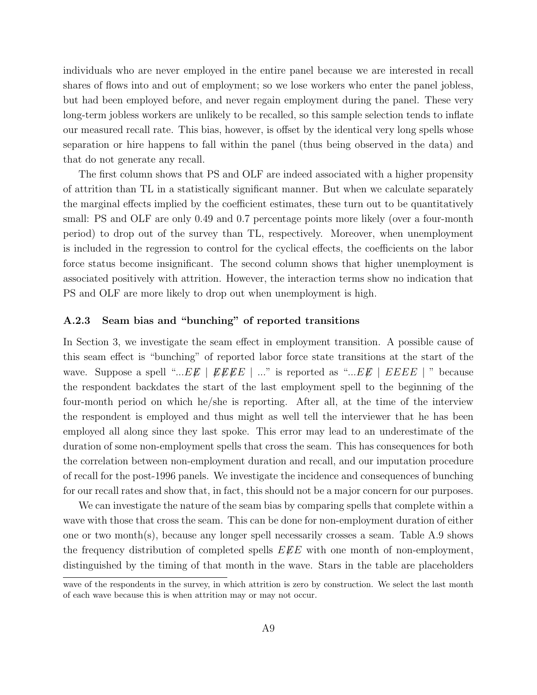individuals who are never employed in the entire panel because we are interested in recall shares of flows into and out of employment; so we lose workers who enter the panel jobless, but had been employed before, and never regain employment during the panel. These very long-term jobless workers are unlikely to be recalled, so this sample selection tends to inflate our measured recall rate. This bias, however, is offset by the identical very long spells whose separation or hire happens to fall within the panel (thus being observed in the data) and that do not generate any recall.

The first column shows that PS and OLF are indeed associated with a higher propensity of attrition than TL in a statistically significant manner. But when we calculate separately the marginal effects implied by the coefficient estimates, these turn out to be quantitatively small: PS and OLF are only 0.49 and 0.7 percentage points more likely (over a four-month period) to drop out of the survey than TL, respectively. Moreover, when unemployment is included in the regression to control for the cyclical effects, the coefficients on the labor force status become insignificant. The second column shows that higher unemployment is associated positively with attrition. However, the interaction terms show no indication that PS and OLF are more likely to drop out when unemployment is high.

#### A.2.3 Seam bias and "bunching" of reported transitions

In Section 3, we investigate the seam effect in employment transition. A possible cause of this seam effect is "bunching" of reported labor force state transitions at the start of the wave. Suppose a spell "...EE | EEEE | ..." is reported as "...EE | EEEE | " because the respondent backdates the start of the last employment spell to the beginning of the four-month period on which he/she is reporting. After all, at the time of the interview the respondent is employed and thus might as well tell the interviewer that he has been employed all along since they last spoke. This error may lead to an underestimate of the duration of some non-employment spells that cross the seam. This has consequences for both the correlation between non-employment duration and recall, and our imputation procedure of recall for the post-1996 panels. We investigate the incidence and consequences of bunching for our recall rates and show that, in fact, this should not be a major concern for our purposes.

We can investigate the nature of the seam bias by comparing spells that complete within a wave with those that cross the seam. This can be done for non-employment duration of either one or two month(s), because any longer spell necessarily crosses a seam. Table A.9 shows the frequency distribution of completed spells  $E\ddot{E}E$  with one month of non-employment, distinguished by the timing of that month in the wave. Stars in the table are placeholders

wave of the respondents in the survey, in which attrition is zero by construction. We select the last month of each wave because this is when attrition may or may not occur.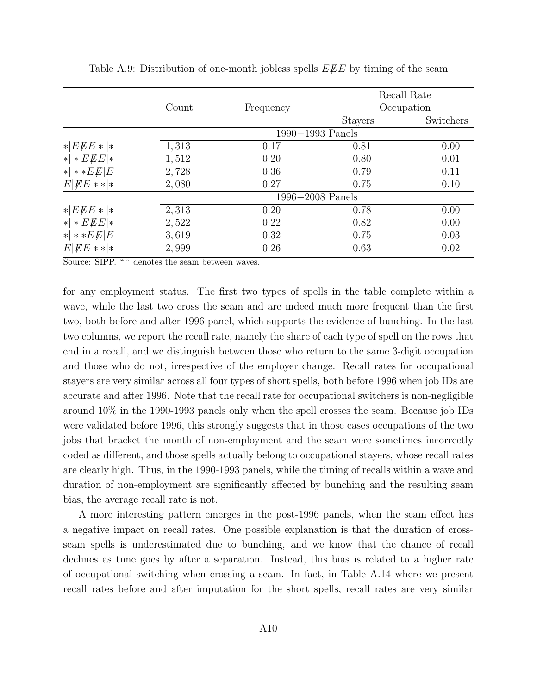|                      |       |           |                      | Recall Rate |
|----------------------|-------|-----------|----------------------|-------------|
|                      | Count | Frequency |                      | Occupation  |
|                      |       |           | <b>Stayers</b>       | Switchers   |
|                      |       |           | $1990 - 1993$ Panels |             |
| EEE                  | 1,313 | 0.17      | 0.81                 | 0.00        |
| $* *EEE *$           | 1,512 | 0.20      | 0.80                 | 0.01        |
| $* **E \not\!\! E E$ | 2,728 | 0.36      | 0.79                 | 0.11        |
| $E EE** *$           | 2,080 | 0.27      | 0.75                 | 0.10        |
|                      |       |           | $1996 - 2008$ Panels |             |
| $ EEE* $             | 2,313 | 0.20      | 0.78                 | 0.00        |
| $* *EEE *$           | 2,522 | 0.22      | 0.82                 | 0.00        |
| $* *E \times E E $   | 3,619 | 0.32      | 0.75                 | 0.03        |
| $E EE** *$           | 2,999 | 0.26      | 0.63                 | 0.02        |

Table A.9: Distribution of one-month jobless spells  $E\ddot{E}E$  by timing of the seam

Source: SIPP. "|" denotes the seam between waves.

for any employment status. The first two types of spells in the table complete within a wave, while the last two cross the seam and are indeed much more frequent than the first two, both before and after 1996 panel, which supports the evidence of bunching. In the last two columns, we report the recall rate, namely the share of each type of spell on the rows that end in a recall, and we distinguish between those who return to the same 3-digit occupation and those who do not, irrespective of the employer change. Recall rates for occupational stayers are very similar across all four types of short spells, both before 1996 when job IDs are accurate and after 1996. Note that the recall rate for occupational switchers is non-negligible around 10% in the 1990-1993 panels only when the spell crosses the seam. Because job IDs were validated before 1996, this strongly suggests that in those cases occupations of the two jobs that bracket the month of non-employment and the seam were sometimes incorrectly coded as different, and those spells actually belong to occupational stayers, whose recall rates are clearly high. Thus, in the 1990-1993 panels, while the timing of recalls within a wave and duration of non-employment are significantly affected by bunching and the resulting seam bias, the average recall rate is not.

A more interesting pattern emerges in the post-1996 panels, when the seam effect has a negative impact on recall rates. One possible explanation is that the duration of crossseam spells is underestimated due to bunching, and we know that the chance of recall declines as time goes by after a separation. Instead, this bias is related to a higher rate of occupational switching when crossing a seam. In fact, in Table A.14 where we present recall rates before and after imputation for the short spells, recall rates are very similar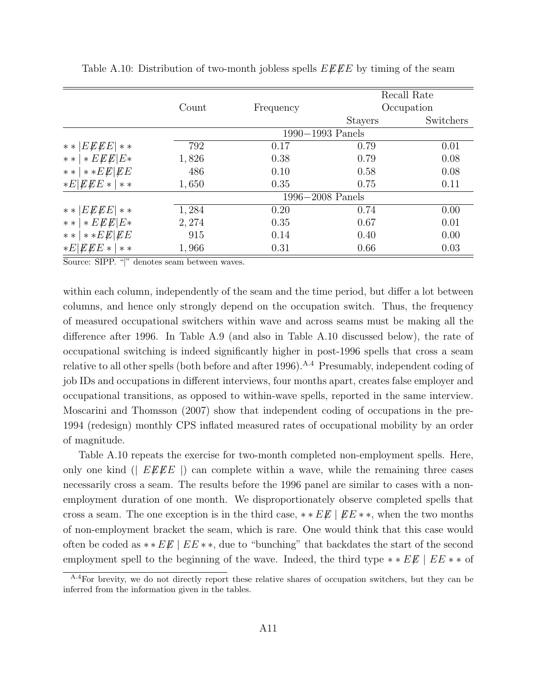|                                 |        |                      |                | Recall Rate |
|---------------------------------|--------|----------------------|----------------|-------------|
|                                 | Count  | Frequency            |                | Occupation  |
|                                 |        |                      | <b>Stayers</b> | Switchers   |
|                                 |        | $1990 - 1993$ Panels |                |             |
| ** $ E \cancel{E} E E $ **      | 792    | 0.17                 | 0.79           | 0.01        |
| $E \ E E   E$<br>$\ast$ $\ast$  | 1,826  | 0.38                 | 0.79           | 0.08        |
| $**$   $**$ $E \not E \not E E$ | 486    | 0.10                 | 0.58           | 0.08        |
| $*E EEE* **$                    | 1,650  | 0.35                 | 0.75           | 0.11        |
|                                 |        | $1996 - 2008$ Panels |                |             |
| ** $ E \cancel{E} E E $ **      | 1,284  | 0.20                 | 0.74           | 0.00        |
| **   * $E E E   E$ *            | 2, 274 | 0.35                 | 0.67           | 0.01        |
| $**$   $**$ $E \not E \not E E$ | 915    | 0.14                 | 0.40           | 0.00        |
| $*E EEE* $<br>$**$              | 1,966  | 0.31                 | 0.66           | 0.03        |

Table A.10: Distribution of two-month jobless spells  $E \cancel{E} E E$  by timing of the seam

Source: SIPP. "|" denotes seam between waves.

within each column, independently of the seam and the time period, but differ a lot between columns, and hence only strongly depend on the occupation switch. Thus, the frequency of measured occupational switchers within wave and across seams must be making all the difference after 1996. In Table A.9 (and also in Table A.10 discussed below), the rate of occupational switching is indeed significantly higher in post-1996 spells that cross a seam relative to all other spells (both before and after 1996).<sup>A.4</sup> Presumably, independent coding of job IDs and occupations in different interviews, four months apart, creates false employer and occupational transitions, as opposed to within-wave spells, reported in the same interview. Moscarini and Thomsson (2007) show that independent coding of occupations in the pre-1994 (redesign) monthly CPS inflated measured rates of occupational mobility by an order of magnitude.

Table A.10 repeats the exercise for two-month completed non-employment spells. Here, only one kind ( $EEE$ ) can complete within a wave, while the remaining three cases necessarily cross a seam. The results before the 1996 panel are similar to cases with a nonemployment duration of one month. We disproportionately observe completed spells that cross a seam. The one exception is in the third case,  $* E E | E \neq *$ , when the two months of non-employment bracket the seam, which is rare. One would think that this case would often be coded as \*\* $E\mathscr{F}$  |  $EE$ \*\*, due to "bunching" that backdates the start of the second employment spell to the beginning of the wave. Indeed, the third type  $* E E \mid E E \cdot * \cdot$  of

<sup>&</sup>lt;sup>A.4</sup>For brevity, we do not directly report these relative shares of occupation switchers, but they can be inferred from the information given in the tables.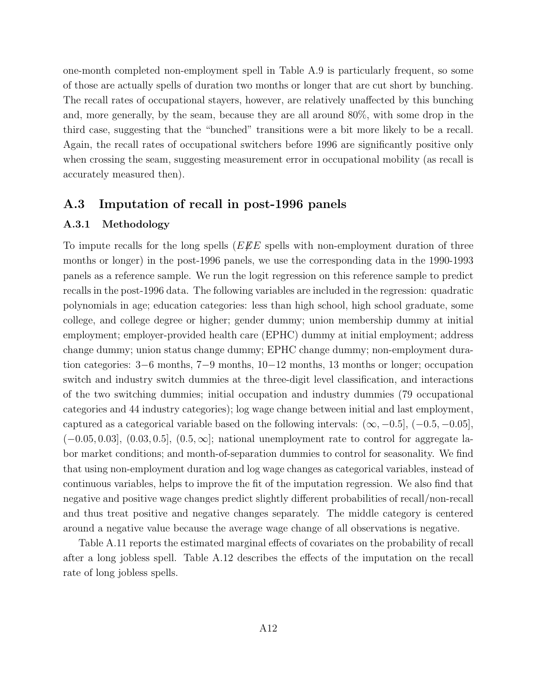one-month completed non-employment spell in Table A.9 is particularly frequent, so some of those are actually spells of duration two months or longer that are cut short by bunching. The recall rates of occupational stayers, however, are relatively unaffected by this bunching and, more generally, by the seam, because they are all around 80%, with some drop in the third case, suggesting that the "bunched" transitions were a bit more likely to be a recall. Again, the recall rates of occupational switchers before 1996 are significantly positive only when crossing the seam, suggesting measurement error in occupational mobility (as recall is accurately measured then).

#### A.3 Imputation of recall in post-1996 panels

#### A.3.1 Methodology

To impute recalls for the long spells ( $E\llsub>E$  spells with non-employment duration of three months or longer) in the post-1996 panels, we use the corresponding data in the 1990-1993 panels as a reference sample. We run the logit regression on this reference sample to predict recalls in the post-1996 data. The following variables are included in the regression: quadratic polynomials in age; education categories: less than high school, high school graduate, some college, and college degree or higher; gender dummy; union membership dummy at initial employment; employer-provided health care (EPHC) dummy at initial employment; address change dummy; union status change dummy; EPHC change dummy; non-employment duration categories: 3−6 months, 7−9 months, 10−12 months, 13 months or longer; occupation switch and industry switch dummies at the three-digit level classification, and interactions of the two switching dummies; initial occupation and industry dummies (79 occupational categories and 44 industry categories); log wage change between initial and last employment, captured as a categorical variable based on the following intervals:  $(\infty, -0.5]$ ,  $(-0.5, -0.05]$ ,  $(-0.05, 0.03]$ ,  $(0.03, 0.5]$ ,  $(0.5, \infty]$ ; national unemployment rate to control for aggregate labor market conditions; and month-of-separation dummies to control for seasonality. We find that using non-employment duration and log wage changes as categorical variables, instead of continuous variables, helps to improve the fit of the imputation regression. We also find that negative and positive wage changes predict slightly different probabilities of recall/non-recall and thus treat positive and negative changes separately. The middle category is centered around a negative value because the average wage change of all observations is negative.

Table A.11 reports the estimated marginal effects of covariates on the probability of recall after a long jobless spell. Table A.12 describes the effects of the imputation on the recall rate of long jobless spells.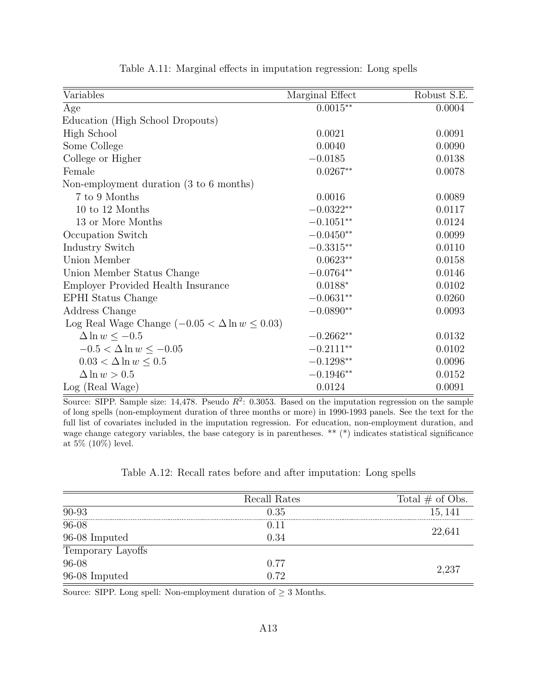| Variables                                              | Marginal Effect | Robust S.E. |
|--------------------------------------------------------|-----------------|-------------|
| Age                                                    | $0.0015**$      | 0.0004      |
| Education (High School Dropouts)                       |                 |             |
| High School                                            | 0.0021          | 0.0091      |
| Some College                                           | 0.0040          | 0.0090      |
| College or Higher                                      | $-0.0185$       | 0.0138      |
| Female                                                 | $0.0267**$      | 0.0078      |
| Non-employment duration (3 to 6 months)                |                 |             |
| 7 to 9 Months                                          | 0.0016          | 0.0089      |
| 10 to 12 Months                                        | $-0.0322**$     | 0.0117      |
| 13 or More Months                                      | $-0.1051**$     | 0.0124      |
| Occupation Switch                                      | $-0.0450**$     | 0.0099      |
| <b>Industry Switch</b>                                 | $-0.3315**$     | 0.0110      |
| Union Member                                           | $0.0623**$      | 0.0158      |
| Union Member Status Change                             | $-0.0764**$     | 0.0146      |
| Employer Provided Health Insurance                     | $0.0188*$       | 0.0102      |
| <b>EPHI</b> Status Change                              | $-0.0631**$     | 0.0260      |
| Address Change                                         | $-0.0890**$     | 0.0093      |
| Log Real Wage Change $(-0.05 < \Delta \ln w \le 0.03)$ |                 |             |
| $\Delta \ln w \le -0.5$                                | $-0.2662**$     | 0.0132      |
| $-0.5 < \Delta \ln w \le -0.05$                        | $-0.2111**$     | 0.0102      |
| $0.03 < \Delta \ln w \leq 0.5$                         | $-0.1298**$     | 0.0096      |
| $\Delta \ln w > 0.5$                                   | $-0.1946**$     | 0.0152      |
| Log (Real Wage)                                        | 0.0124          | 0.0091      |

Table A.11: Marginal effects in imputation regression: Long spells

Source: SIPP. Sample size: 14,478. Pseudo  $R^2$ : 0.3053. Based on the imputation regression on the sample of long spells (non-employment duration of three months or more) in 1990-1993 panels. See the text for the full list of covariates included in the imputation regression. For education, non-employment duration, and wage change category variables, the base category is in parentheses. \*\* (\*) indicates statistical significance at 5% (10%) level.

|  |  | Table A.12: Recall rates before and after imputation: Long spells |  |
|--|--|-------------------------------------------------------------------|--|
|  |  |                                                                   |  |

|                   | Recall Rates | Total $\#$ of Obs. |
|-------------------|--------------|--------------------|
| 90-93             | 0.35         | 15, 141            |
| $96 - 08$         | 0.11         |                    |
| 96-08 Imputed     | 0.34         | 22,641             |
| Temporary Layoffs |              |                    |
| $96 - 08$         | 0.77         | 2.237              |
| 96-08 Imputed     | በ 72         |                    |

Source: SIPP. Long spell: Non-employment duration of  $\geq$  3 Months.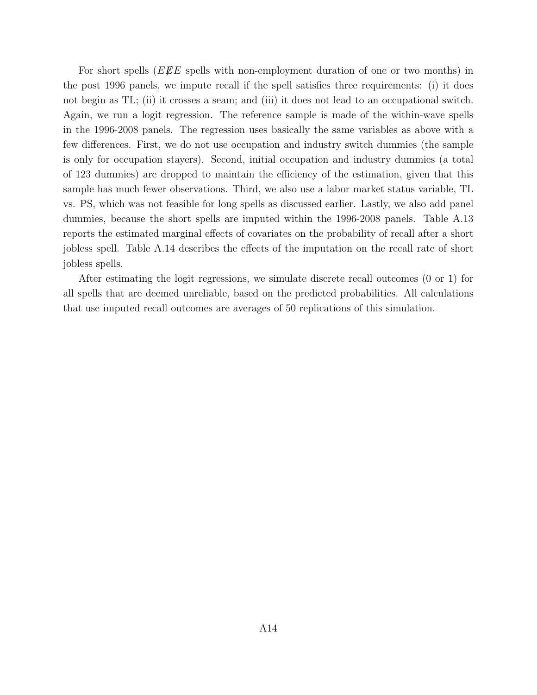For short spells ( $E\mathscr{L}E$  spells with non-employment duration of one or two months) in the post 1996 panels, we impute recall if the spell satisfies three requirements: (i) it does not begin as TL; (ii) it crosses a seam; and (iii) it does not lead to an occupational switch. Again, we run a logit regression. The reference sample is made of the within-wave spells in the 1996-2008 panels. The regression uses basically the same variables as above with a few differences. First, we do not use occupation and industry switch dummies (the sample is only for occupation stayers). Second, initial occupation and industry dummies (a total of 123 dummies) are dropped to maintain the efficiency of the estimation, given that this sample has much fewer observations. Third, we also use a labor market status variable, TL vs. PS, which was not feasible for long spells as discussed earlier. Lastly, we also add panel dummies, because the short spells are imputed within the 1996-2008 panels. Table A.13 reports the estimated marginal effects of covariates on the probability of recall after a short jobless spell. Table A.14 describes the effects of the imputation on the recall rate of short jobless spells.

After estimating the logit regressions, we simulate discrete recall outcomes (0 or 1) for all spells that are deemed unreliable, based on the predicted probabilities. All calculations that use imputed recall outcomes are averages of 50 replications of this simulation.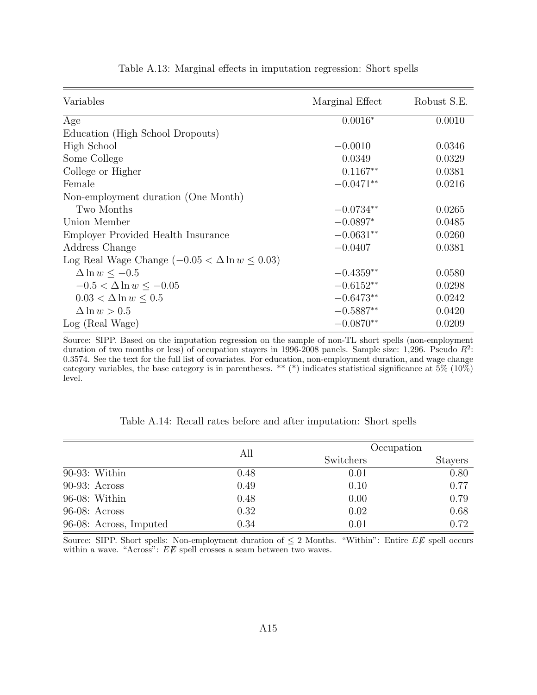| Variables                                              | Marginal Effect | Robust S.E. |
|--------------------------------------------------------|-----------------|-------------|
| Age                                                    | $0.0016*$       | 0.0010      |
| Education (High School Dropouts)                       |                 |             |
| High School                                            | $-0.0010$       | 0.0346      |
| Some College                                           | 0.0349          | 0.0329      |
| College or Higher                                      | $0.1167**$      | 0.0381      |
| Female                                                 | $-0.0471**$     | 0.0216      |
| Non-employment duration (One Month)                    |                 |             |
| Two Months                                             | $-0.0734**$     | 0.0265      |
| Union Member                                           | $-0.0897*$      | 0.0485      |
| Employer Provided Health Insurance                     | $-0.0631**$     | 0.0260      |
| Address Change                                         | $-0.0407$       | 0.0381      |
| Log Real Wage Change $(-0.05 < \Delta \ln w \le 0.03)$ |                 |             |
| $\Delta \ln w < -0.5$                                  | $-0.4359**$     | 0.0580      |
| $-0.5 < \Delta \ln w \le -0.05$                        | $-0.6152**$     | 0.0298      |
| $0.03 < \Delta \ln w < 0.5$                            | $-0.6473**$     | 0.0242      |
| $\Delta \ln w > 0.5$                                   | $-0.5887**$     | 0.0420      |
| Log (Real Wage)                                        | $-0.0870**$     | 0.0209      |

Table A.13: Marginal effects in imputation regression: Short spells

Source: SIPP. Based on the imputation regression on the sample of non-TL short spells (non-employment duration of two months or less) of occupation stayers in 1996-2008 panels. Sample size: 1,296. Pseudo  $R^2$ : 0.3574. See the text for the full list of covariates. For education, non-employment duration, and wage change category variables, the base category is in parentheses. \*\* (\*) indicates statistical significance at  $5\%$  (10%) level.

|                        | All  | Occupation |                |  |
|------------------------|------|------------|----------------|--|
|                        |      | Switchers  | <b>Stayers</b> |  |
| $90-93$ : Within       | 0.48 | 0.01       | 0.80           |  |
| $90-93$ : Across       | 0.49 | 0.10       | 0.77           |  |
| 96-08: Within          | 0.48 | 0.00       | 0.79           |  |
| $96-08$ : Across       | 0.32 | 0.02       | 0.68           |  |
| 96-08: Across, Imputed | 0.34 | 0.01       | 0.72           |  |

Table A.14: Recall rates before and after imputation: Short spells

Source: SIPP. Short spells: Non-employment duration of  $\leq 2$  Months. "Within": Entire EE spell occurs within a wave. "Across":  $E\rlap{\,/}E$  spell crosses a seam between two waves.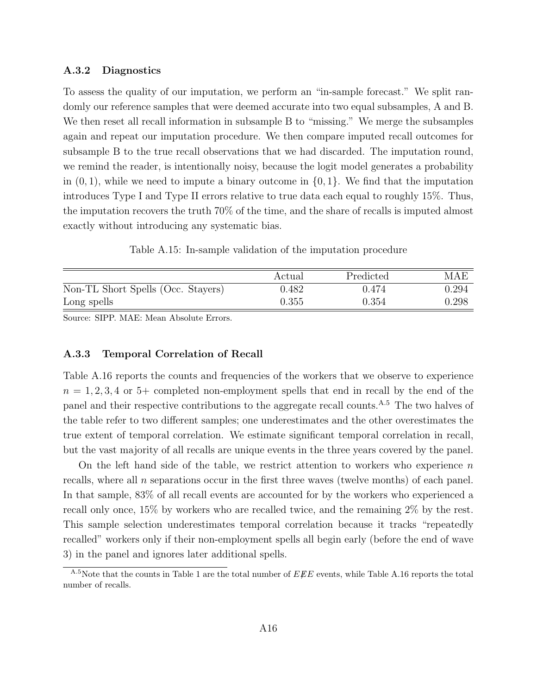#### A.3.2 Diagnostics

To assess the quality of our imputation, we perform an "in-sample forecast." We split randomly our reference samples that were deemed accurate into two equal subsamples, A and B. We then reset all recall information in subsample B to "missing." We merge the subsamples again and repeat our imputation procedure. We then compare imputed recall outcomes for subsample B to the true recall observations that we had discarded. The imputation round, we remind the reader, is intentionally noisy, because the logit model generates a probability in  $(0, 1)$ , while we need to impute a binary outcome in  $\{0, 1\}$ . We find that the imputation introduces Type I and Type II errors relative to true data each equal to roughly 15%. Thus, the imputation recovers the truth 70% of the time, and the share of recalls is imputed almost exactly without introducing any systematic bias.

Table A.15: In-sample validation of the imputation procedure

|                                    | Actual | Predicted | MAE   |
|------------------------------------|--------|-----------|-------|
| Non-TL Short Spells (Occ. Stayers) | 0.482  | 0.474     | 0.294 |
| Long spells                        | 0.355  | 0.354     | 0.298 |

Source: SIPP. MAE: Mean Absolute Errors.

#### A.3.3 Temporal Correlation of Recall

Table A.16 reports the counts and frequencies of the workers that we observe to experience  $n = 1, 2, 3, 4$  or 5+ completed non-employment spells that end in recall by the end of the panel and their respective contributions to the aggregate recall counts.<sup>A.5</sup> The two halves of the table refer to two different samples; one underestimates and the other overestimates the true extent of temporal correlation. We estimate significant temporal correlation in recall, but the vast majority of all recalls are unique events in the three years covered by the panel.

On the left hand side of the table, we restrict attention to workers who experience  $n$ recalls, where all n separations occur in the first three waves (twelve months) of each panel. In that sample, 83% of all recall events are accounted for by the workers who experienced a recall only once, 15% by workers who are recalled twice, and the remaining 2% by the rest. This sample selection underestimates temporal correlation because it tracks "repeatedly recalled" workers only if their non-employment spells all begin early (before the end of wave 3) in the panel and ignores later additional spells.

<sup>&</sup>lt;sup>A.5</sup>Note that the counts in Table 1 are the total number of  $EEE$  events, while Table A.16 reports the total number of recalls.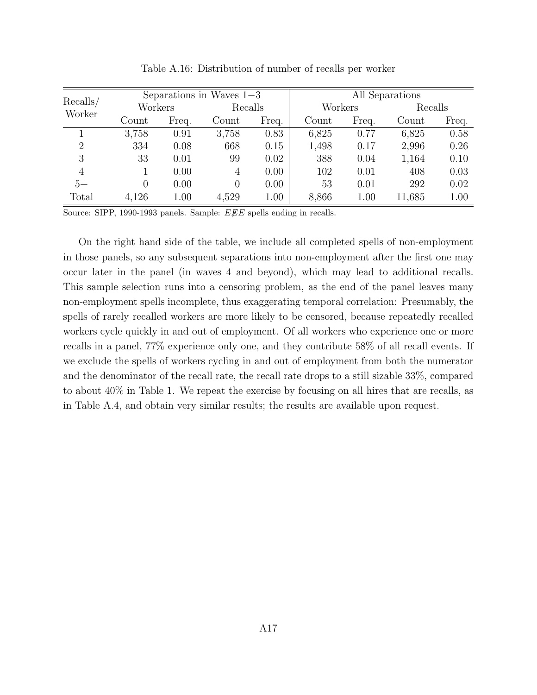| Recalls/       |       |         | Separations in Waves $1-3$ |         |       |         | All Separations |         |
|----------------|-------|---------|----------------------------|---------|-------|---------|-----------------|---------|
|                |       | Workers |                            | Recalls |       | Workers |                 | Recalls |
| Worker         | Count | Freq.   | Count                      | Freq.   | Count | Freq.   | Count           | Freq.   |
|                | 3,758 | 0.91    | 3,758                      | 0.83    | 6,825 | 0.77    | 6,825           | 0.58    |
| $\overline{2}$ | 334   | 0.08    | 668                        | 0.15    | 1,498 | 0.17    | 2,996           | 0.26    |
| 3              | 33    | 0.01    | 99                         | 0.02    | 388   | 0.04    | 1,164           | 0.10    |
| 4              |       | 0.00    | 4                          | 0.00    | 102   | 0.01    | 408             | 0.03    |
| $5+$           | 0     | 0.00    | $\overline{0}$             | 0.00    | 53    | 0.01    | 292             | 0.02    |
| Total          | 4,126 | 1.00    | 4,529                      | 1.00    | 8,866 | 1.00    | 11,685          | 1.00    |

Table A.16: Distribution of number of recalls per worker

Source: SIPP, 1990-1993 panels. Sample:  $E \not E E$  spells ending in recalls.

On the right hand side of the table, we include all completed spells of non-employment in those panels, so any subsequent separations into non-employment after the first one may occur later in the panel (in waves 4 and beyond), which may lead to additional recalls. This sample selection runs into a censoring problem, as the end of the panel leaves many non-employment spells incomplete, thus exaggerating temporal correlation: Presumably, the spells of rarely recalled workers are more likely to be censored, because repeatedly recalled workers cycle quickly in and out of employment. Of all workers who experience one or more recalls in a panel, 77% experience only one, and they contribute 58% of all recall events. If we exclude the spells of workers cycling in and out of employment from both the numerator and the denominator of the recall rate, the recall rate drops to a still sizable 33%, compared to about 40% in Table 1. We repeat the exercise by focusing on all hires that are recalls, as in Table A.4, and obtain very similar results; the results are available upon request.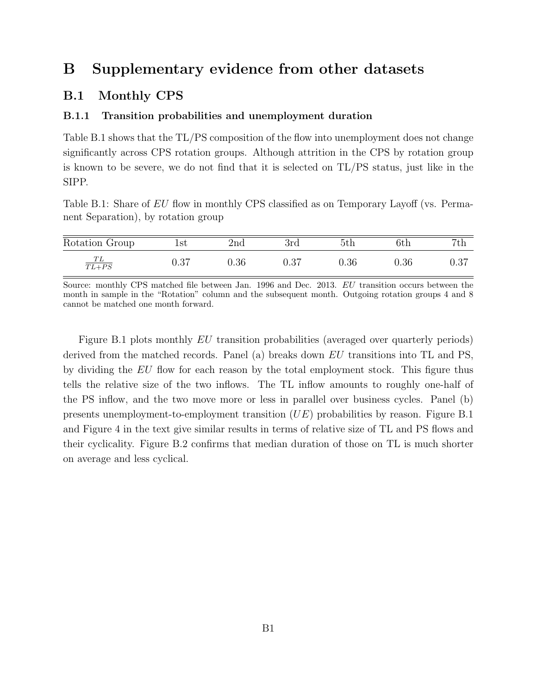## B Supplementary evidence from other datasets

#### B.1 Monthly CPS

#### B.1.1 Transition probabilities and unemployment duration

Table B.1 shows that the TL/PS composition of the flow into unemployment does not change significantly across CPS rotation groups. Although attrition in the CPS by rotation group is known to be severe, we do not find that it is selected on TL/PS status, just like in the SIPP.

Table B.1: Share of EU flow in monthly CPS classified as on Temporary Layoff (vs. Permanent Separation), by rotation group

| Rotation Group     | İst  | 2 <sub>nd</sub> | 3rd  | 5th      | 6th        | 7th  |
|--------------------|------|-----------------|------|----------|------------|------|
| $\frac{TL}{TL+PS}$ | 0.37 | $0.36\,$        | 0.37 | $0.36\,$ | $\rm 0.36$ | 0.37 |

Source: monthly CPS matched file between Jan. 1996 and Dec. 2013. EU transition occurs between the month in sample in the "Rotation" column and the subsequent month. Outgoing rotation groups 4 and 8 cannot be matched one month forward.

Figure B.1 plots monthly EU transition probabilities (averaged over quarterly periods) derived from the matched records. Panel (a) breaks down EU transitions into TL and PS, by dividing the EU flow for each reason by the total employment stock. This figure thus tells the relative size of the two inflows. The TL inflow amounts to roughly one-half of the PS inflow, and the two move more or less in parallel over business cycles. Panel (b) presents unemployment-to-employment transition (UE) probabilities by reason. Figure B.1 and Figure 4 in the text give similar results in terms of relative size of TL and PS flows and their cyclicality. Figure B.2 confirms that median duration of those on TL is much shorter on average and less cyclical.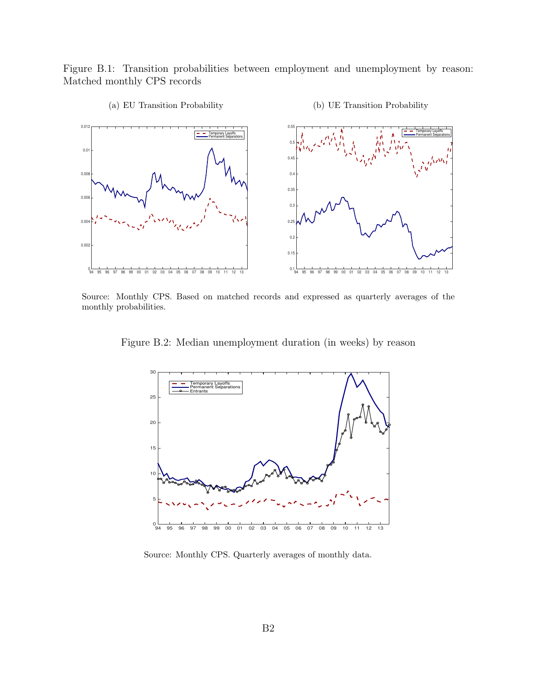Figure B.1: Transition probabilities between employment and unemployment by reason: Matched monthly CPS records



(a) EU Transition Probability

(b) UE Transition Probability

Source: Monthly CPS. Based on matched records and expressed as quarterly averages of the monthly probabilities.

Figure B.2: Median unemployment duration (in weeks) by reason



Source: Monthly CPS. Quarterly averages of monthly data.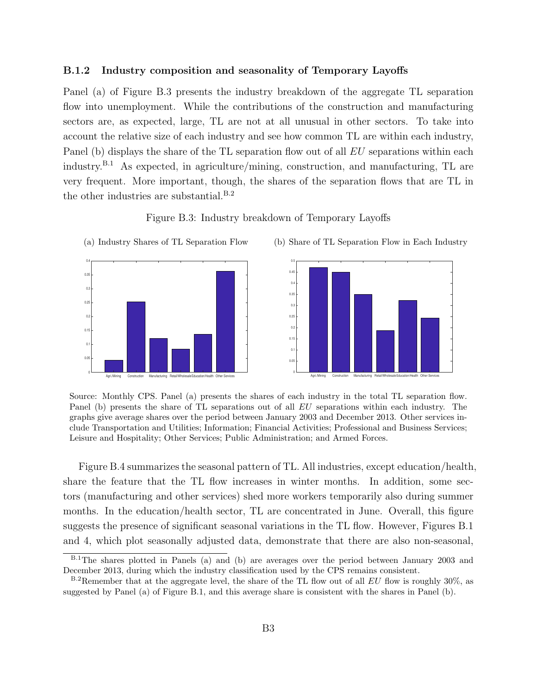#### B.1.2 Industry composition and seasonality of Temporary Layoffs

Panel (a) of Figure B.3 presents the industry breakdown of the aggregate TL separation flow into unemployment. While the contributions of the construction and manufacturing sectors are, as expected, large, TL are not at all unusual in other sectors. To take into account the relative size of each industry and see how common TL are within each industry, Panel (b) displays the share of the TL separation flow out of all  $EU$  separations within each industry.B.1 As expected, in agriculture/mining, construction, and manufacturing, TL are very frequent. More important, though, the shares of the separation flows that are TL in the other industries are substantial.<sup>B.2</sup>

Figure B.3: Industry breakdown of Temporary Layoffs



(a) Industry Shares of TL Separation Flow (b) Share of TL Separation Flow in Each Industry



Source: Monthly CPS. Panel (a) presents the shares of each industry in the total TL separation flow. Panel (b) presents the share of TL separations out of all EU separations within each industry. The graphs give average shares over the period between January 2003 and December 2013. Other services include Transportation and Utilities; Information; Financial Activities; Professional and Business Services; Leisure and Hospitality; Other Services; Public Administration; and Armed Forces.

Figure B.4 summarizes the seasonal pattern of TL. All industries, except education/health, share the feature that the TL flow increases in winter months. In addition, some sectors (manufacturing and other services) shed more workers temporarily also during summer months. In the education/health sector, TL are concentrated in June. Overall, this figure suggests the presence of significant seasonal variations in the TL flow. However, Figures B.1 and 4, which plot seasonally adjusted data, demonstrate that there are also non-seasonal,

B.1The shares plotted in Panels (a) and (b) are averages over the period between January 2003 and December 2013, during which the industry classification used by the CPS remains consistent.

 $B^2R$ emember that at the aggregate level, the share of the TL flow out of all EU flow is roughly 30%, as suggested by Panel (a) of Figure B.1, and this average share is consistent with the shares in Panel (b).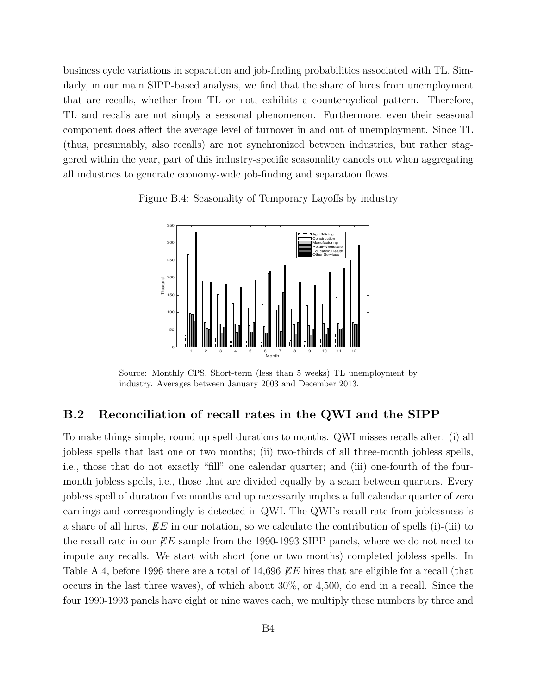business cycle variations in separation and job-finding probabilities associated with TL. Similarly, in our main SIPP-based analysis, we find that the share of hires from unemployment that are recalls, whether from TL or not, exhibits a countercyclical pattern. Therefore, TL and recalls are not simply a seasonal phenomenon. Furthermore, even their seasonal component does affect the average level of turnover in and out of unemployment. Since TL (thus, presumably, also recalls) are not synchronized between industries, but rather staggered within the year, part of this industry-specific seasonality cancels out when aggregating all industries to generate economy-wide job-finding and separation flows.





Source: Monthly CPS. Short-term (less than 5 weeks) TL unemployment by industry. Averages between January 2003 and December 2013.

#### B.2 Reconciliation of recall rates in the QWI and the SIPP

To make things simple, round up spell durations to months. QWI misses recalls after: (i) all jobless spells that last one or two months; (ii) two-thirds of all three-month jobless spells, i.e., those that do not exactly "fill" one calendar quarter; and (iii) one-fourth of the fourmonth jobless spells, i.e., those that are divided equally by a seam between quarters. Every jobless spell of duration five months and up necessarily implies a full calendar quarter of zero earnings and correspondingly is detected in QWI. The QWI's recall rate from joblessness is a share of all hires,  $EE$  in our notation, so we calculate the contribution of spells (i)-(iii) to the recall rate in our  $\mathbb{E}E$  sample from the 1990-1993 SIPP panels, where we do not need to impute any recalls. We start with short (one or two months) completed jobless spells. In Table A.4, before 1996 there are a total of 14,696  $\mathbb{E}E$  hires that are eligible for a recall (that occurs in the last three waves), of which about 30%, or 4,500, do end in a recall. Since the four 1990-1993 panels have eight or nine waves each, we multiply these numbers by three and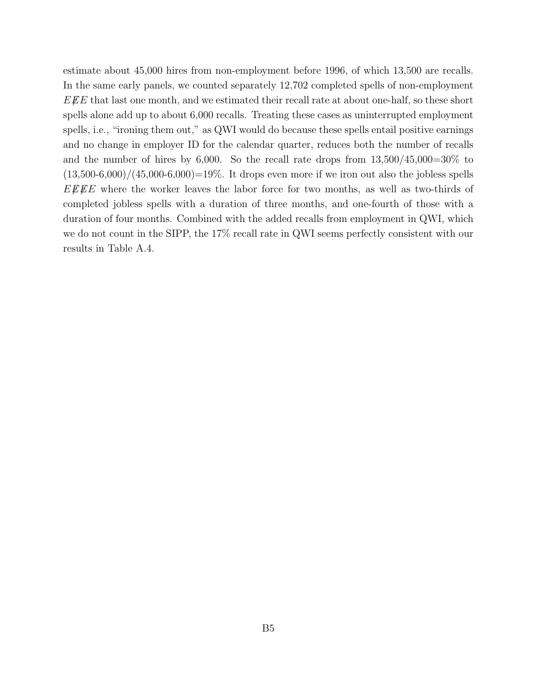estimate about 45,000 hires from non-employment before 1996, of which 13,500 are recalls. In the same early panels, we counted separately 12,702 completed spells of non-employment  $E\ddot{E}E$  that last one month, and we estimated their recall rate at about one-half, so these short spells alone add up to about 6,000 recalls. Treating these cases as uninterrupted employment spells, i.e., "ironing them out," as QWI would do because these spells entail positive earnings and no change in employer ID for the calendar quarter, reduces both the number of recalls and the number of hires by 6,000. So the recall rate drops from  $13,500/45,000=30\%$  to  $(13,500-6,000)/(45,000-6,000)=19\%$ . It drops even more if we iron out also the jobless spells  $EEE$  where the worker leaves the labor force for two months, as well as two-thirds of completed jobless spells with a duration of three months, and one-fourth of those with a duration of four months. Combined with the added recalls from employment in QWI, which we do not count in the SIPP, the 17% recall rate in QWI seems perfectly consistent with our results in Table A.4.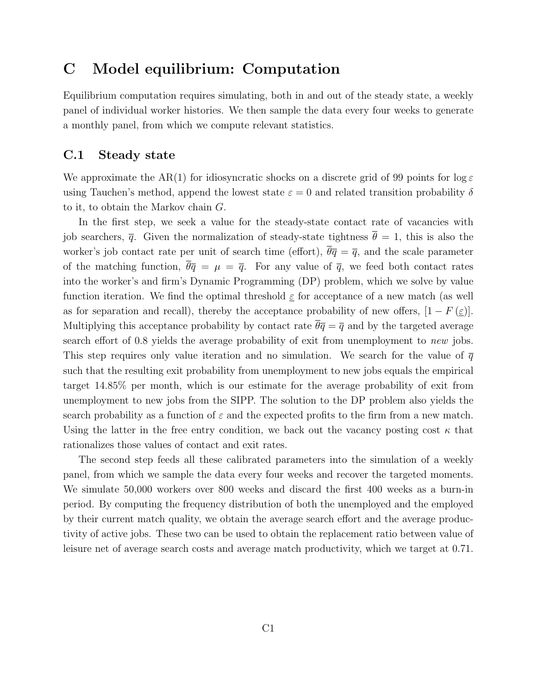## C Model equilibrium: Computation

Equilibrium computation requires simulating, both in and out of the steady state, a weekly panel of individual worker histories. We then sample the data every four weeks to generate a monthly panel, from which we compute relevant statistics.

## C.1 Steady state

We approximate the AR(1) for idiosyncratic shocks on a discrete grid of 99 points for  $\log \varepsilon$ using Tauchen's method, append the lowest state  $\varepsilon = 0$  and related transition probability  $\delta$ to it, to obtain the Markov chain G.

In the first step, we seek a value for the steady-state contact rate of vacancies with job searchers,  $\bar{q}$ . Given the normalization of steady-state tightness  $\bar{\theta} = 1$ , this is also the worker's job contact rate per unit of search time (effort),  $\overline{\theta}\overline{q}=\overline{q}$ , and the scale parameter of the matching function,  $\overline{\theta}\overline{q} = \mu = \overline{q}$ . For any value of  $\overline{q}$ , we feed both contact rates into the worker's and firm's Dynamic Programming (DP) problem, which we solve by value function iteration. We find the optimal threshold  $\varepsilon$  for acceptance of a new match (as well as for separation and recall), thereby the acceptance probability of new offers,  $[1 - F(\varepsilon)]$ . Multiplying this acceptance probability by contact rate  $\bar{\theta}\bar{q}=\bar{q}$  and by the targeted average search effort of 0.8 yields the average probability of exit from unemployment to new jobs. This step requires only value iteration and no simulation. We search for the value of  $\overline{q}$ such that the resulting exit probability from unemployment to new jobs equals the empirical target 14.85% per month, which is our estimate for the average probability of exit from unemployment to new jobs from the SIPP. The solution to the DP problem also yields the search probability as a function of  $\varepsilon$  and the expected profits to the firm from a new match. Using the latter in the free entry condition, we back out the vacancy posting cost  $\kappa$  that rationalizes those values of contact and exit rates.

The second step feeds all these calibrated parameters into the simulation of a weekly panel, from which we sample the data every four weeks and recover the targeted moments. We simulate 50,000 workers over 800 weeks and discard the first 400 weeks as a burn-in period. By computing the frequency distribution of both the unemployed and the employed by their current match quality, we obtain the average search effort and the average productivity of active jobs. These two can be used to obtain the replacement ratio between value of leisure net of average search costs and average match productivity, which we target at 0.71.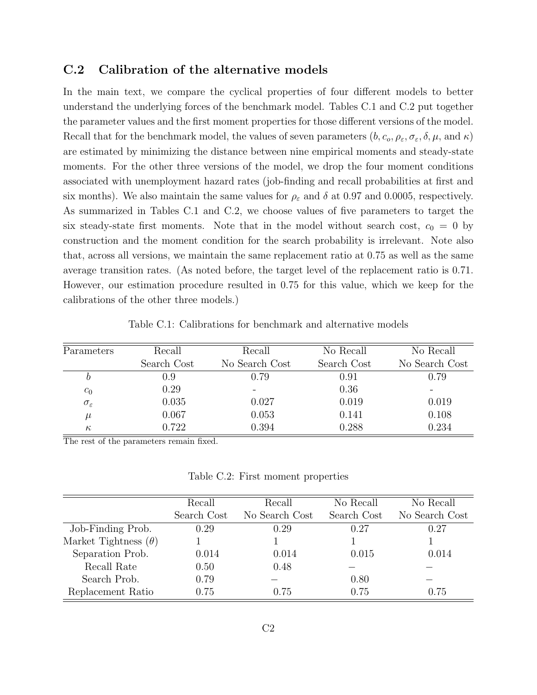## C.2 Calibration of the alternative models

In the main text, we compare the cyclical properties of four different models to better understand the underlying forces of the benchmark model. Tables C.1 and C.2 put together the parameter values and the first moment properties for those different versions of the model. Recall that for the benchmark model, the values of seven parameters  $(b, c_o, \rho_{\varepsilon}, \sigma_{\varepsilon}, \delta, \mu, \text{ and } \kappa)$ are estimated by minimizing the distance between nine empirical moments and steady-state moments. For the other three versions of the model, we drop the four moment conditions associated with unemployment hazard rates (job-finding and recall probabilities at first and six months). We also maintain the same values for  $\rho_{\varepsilon}$  and  $\delta$  at 0.97 and 0.0005, respectively. As summarized in Tables C.1 and C.2, we choose values of five parameters to target the six steady-state first moments. Note that in the model without search cost,  $c_0 = 0$  by construction and the moment condition for the search probability is irrelevant. Note also that, across all versions, we maintain the same replacement ratio at 0.75 as well as the same average transition rates. (As noted before, the target level of the replacement ratio is 0.71. However, our estimation procedure resulted in 0.75 for this value, which we keep for the calibrations of the other three models.)

| Parameters             | Recall      | Recall         | No Recall   | No Recall      |
|------------------------|-------------|----------------|-------------|----------------|
|                        | Search Cost | No Search Cost | Search Cost | No Search Cost |
|                        | 0.9         | 0.79           | 0.91        | 0.79           |
| $c_0$                  | 0.29        |                | 0.36        |                |
| $\sigma_{\varepsilon}$ | 0.035       | 0.027          | 0.019       | 0.019          |
| $\mu$                  | 0.067       | 0.053          | 0.141       | 0.108          |
| $\kappa$               | 0.722       | 0.394          | 0.288       | 0.234          |

Table C.1: Calibrations for benchmark and alternative models

The rest of the parameters remain fixed.

Table C.2: First moment properties

|                             | Recall      | Recall         | No Recall   | No Recall      |
|-----------------------------|-------------|----------------|-------------|----------------|
|                             | Search Cost | No Search Cost | Search Cost | No Search Cost |
| Job-Finding Prob.           | 0.29        | 0.29           | 0.27        | 0.27           |
| Market Tightness $(\theta)$ |             |                |             |                |
| Separation Prob.            | 0.014       | 0.014          | 0.015       | 0.014          |
| Recall Rate                 | 0.50        | 0.48           |             |                |
| Search Prob.                | 0.79        |                | 0.80        |                |
| Replacement Ratio           | 0.75        | 0.75           | 0.75        | 0.75           |